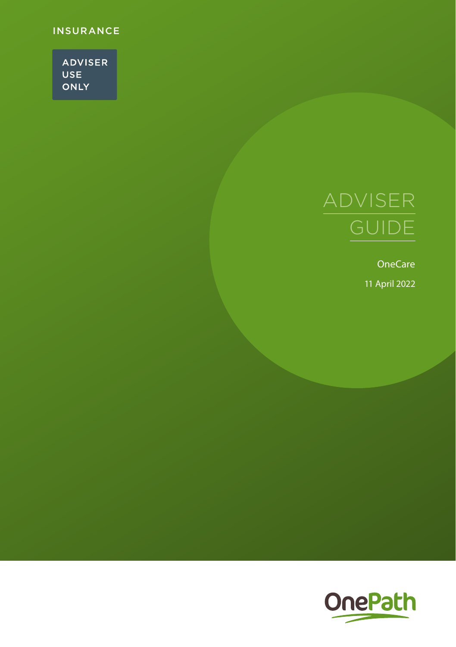### **INSURANCE**

ADVISER **USE** ONLY



**OneCare** 11 April 2022

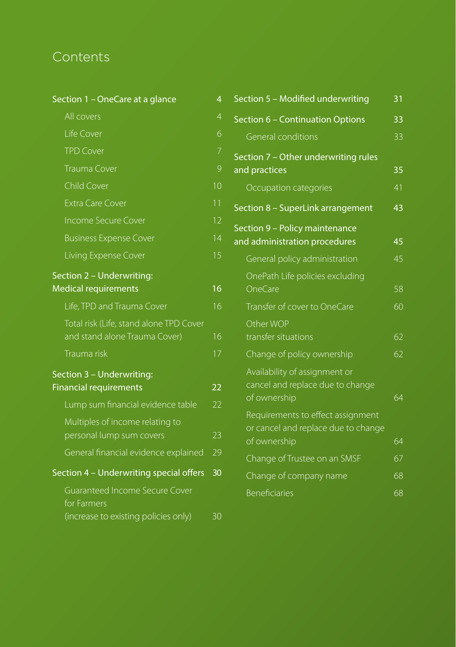# Contents

### [Section 1 – OneCare at a glance 4](#page-3-0)

| All covers                                                               | $\overline{4}$ |
|--------------------------------------------------------------------------|----------------|
| Life Cover                                                               | 6              |
| <b>TPD Cover</b>                                                         | 7              |
| <b>Trauma Cover</b>                                                      | 9              |
| Child Cover                                                              | 10             |
| <b>Extra Care Cover</b>                                                  | 11             |
| Income Secure Cover                                                      | 12             |
| <b>Business Expense Cover</b>                                            | 14             |
| Living Expense Cover                                                     | 15             |
| Section 2 - Underwriting:<br><b>Medical requirements</b>                 | 16             |
| Life, TPD and Trauma Cover                                               | 16             |
| Total risk (Life, stand alone TPD Cover<br>and stand alone Trauma Cover) | 16             |
| Trauma risk                                                              | 17             |
| Section 3 - Underwriting:<br><b>Financial requirements</b>               | 22             |
| Lump sum financial evidence table                                        | 22             |
| Multiples of income relating to<br>personal lump sum covers              | 23             |
| General financial evidence explained                                     | 29             |
| Section 4 - Underwriting special offers                                  | 30             |
| Guaranteed Income Secure Cover<br>for Farmers                            |                |
| (increase to existing policies only)                                     | 30             |

| Section 5 - Modified underwriting                                                        | 31              |
|------------------------------------------------------------------------------------------|-----------------|
| Section 6 - Continuation Options                                                         | 33              |
| General conditions                                                                       | 33              |
| Section 7 - Other underwriting rules<br>and practices                                    | 35              |
| Occupation categories                                                                    | 41              |
| Section 8 - SuperLink arrangement                                                        | 43              |
| Section 9 - Policy maintenance<br>and administration procedures                          | 45              |
| General policy administration                                                            | 45              |
| OnePath Life policies excluding<br><b>OneCare</b>                                        | 58              |
| Transfer of cover to OneCare                                                             | 60              |
| Other WOP<br>transfer situations                                                         | 62              |
| Change of policy ownership                                                               | 62              |
| Availability of assignment or<br>cancel and replace due to change<br>of ownership        | 64              |
| Requirements to effect assignment<br>or cancel and replace due to change<br>of ownership | $\overline{64}$ |
| Change of Trustee on an SMSF                                                             | 67              |
| Change of company name                                                                   | 68              |
| Beneficiaries                                                                            | 68              |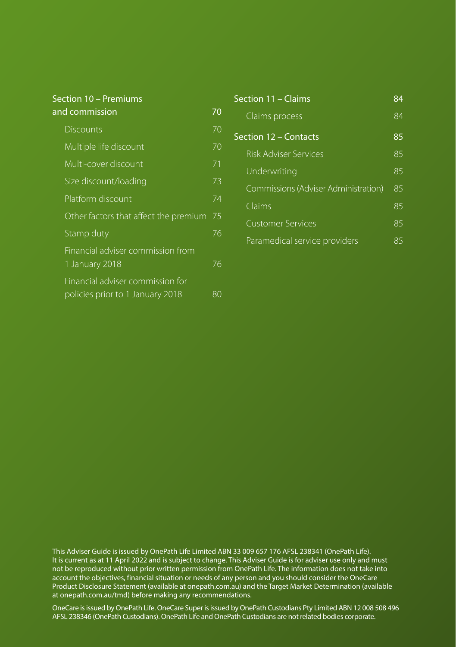#### [Section 10 – Premiums](#page-69-0)  and commission and 70

| Discounts                                                            | 70 |
|----------------------------------------------------------------------|----|
| Multiple life discount                                               | 70 |
| Multi-cover discount                                                 | 71 |
| Size discount/loading                                                | 73 |
| Platform discount                                                    | 74 |
| Other factors that affect the premium                                | 75 |
| Stamp duty                                                           | 76 |
| Financial adviser commission from<br>1 January 2018                  | 76 |
| Financial adviser commission for<br>policies prior to 1 January 2018 | 80 |

| Section 11 - Claims                  | 84 |
|--------------------------------------|----|
| Claims process                       | 84 |
| <b>Section 12 - Contacts</b>         | 85 |
| <b>Risk Adviser Services</b>         | 85 |
| Underwriting                         | 85 |
| Commissions (Adviser Administration) | 85 |
| Claims                               | 85 |
| <b>Customer Services</b>             | 85 |
| Paramedical service providers        | 85 |
|                                      |    |

This Adviser Guide is issued by OnePath Life Limited ABN 33 009 657 176 AFSL 238341 (OnePath Life). It is current as at 11 April 2022 and is subject to change. This Adviser Guide is for adviser use only and must not be reproduced without prior written permission from OnePath Life. The information does not take into account the objectives, financial situation or needs of any person and you should consider the OneCare Product Disclosure Statement (available at [onepath.com.au](http://onepath.com.au)) and the Target Market Determination (available at [onepath.com.au/tmd\)](http://onepath.com.au/tmd) before making any recommendations.

OneCare is issued by OnePath Life. OneCare Super is issued by OnePath Custodians Pty Limited ABN 12 008 508 496 AFSL 238346 (OnePath Custodians). OnePath Life and OnePath Custodians are not related bodies corporate.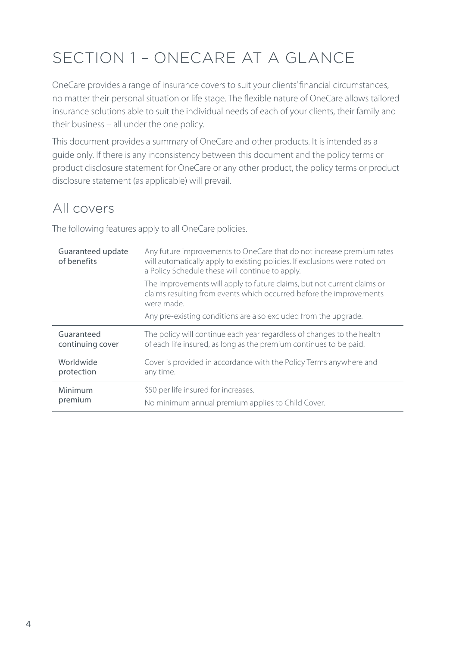# <span id="page-3-0"></span>SECTION 1 – ONECARE AT A GLANCE

OneCare provides a range of insurance covers to suit your clients' financial circumstances, no matter their personal situation or life stage. The flexible nature of OneCare allows tailored insurance solutions able to suit the individual needs of each of your clients, their family and their business – all under the one policy.

This document provides a summary of OneCare and other products. It is intended as a guide only. If there is any inconsistency between this document and the policy terms or product disclosure statement for OneCare or any other product, the policy terms or product disclosure statement (as applicable) will prevail.

## All covers

The following features apply to all OneCare policies.

| Guaranteed update<br>of benefits | Any future improvements to OneCare that do not increase premium rates<br>will automatically apply to existing policies. If exclusions were noted on<br>a Policy Schedule these will continue to apply. |
|----------------------------------|--------------------------------------------------------------------------------------------------------------------------------------------------------------------------------------------------------|
|                                  | The improvements will apply to future claims, but not current claims or<br>claims resulting from events which occurred before the improvements<br>were made.                                           |
|                                  | Any pre-existing conditions are also excluded from the upgrade.                                                                                                                                        |
| Guaranteed<br>continuing cover   | The policy will continue each year regardless of changes to the health<br>of each life insured, as long as the premium continues to be paid.                                                           |
| Worldwide<br>protection          | Cover is provided in accordance with the Policy Terms anywhere and<br>any time.                                                                                                                        |
| Minimum                          | \$50 per life insured for increases.                                                                                                                                                                   |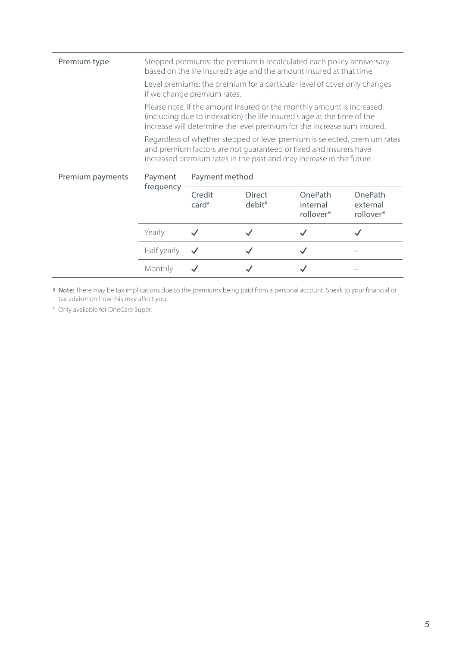| Premium type     | Stepped premiums: the premium is recalculated each policy anniversary<br>based on the life insured's age and the amount insured at that time.                                                                               |
|------------------|-----------------------------------------------------------------------------------------------------------------------------------------------------------------------------------------------------------------------------|
|                  | Level premiums: the premium for a particular level of cover only changes<br>if we change premium rates.                                                                                                                     |
|                  | Please note, if the amount insured or the monthly amount is increased<br>(including due to indexation) the life insured's age at the time of the<br>increase will determine the level premium for the increase sum insured. |
|                  | Regardless of whether stepped or level premium is selected, premium rates<br>and premium factors are not quaranteed or fixed and insurers have<br>increased premium rates in the past and may increase in the future.       |
| Premium payments | Payment method<br>Payment                                                                                                                                                                                                   |

| Premium payments | Payment<br>frequency | Payment method                |                         |                                  |                                  |
|------------------|----------------------|-------------------------------|-------------------------|----------------------------------|----------------------------------|
|                  |                      | Credit<br>$card$ <sup>#</sup> | <b>Direct</b><br>debit# | OnePath<br>internal<br>rollover* | OnePath<br>external<br>rollover* |
|                  | Yearly               |                               |                         |                                  |                                  |
|                  | Half yearly          | $\checkmark$                  |                         |                                  |                                  |
|                  | Monthly              | ✓                             |                         |                                  |                                  |

# Note: There may be tax implications due to the premiums being paid from a personal account. Speak to your financial or tax adviser on how this may affect you.

\* Only available for OneCare Super.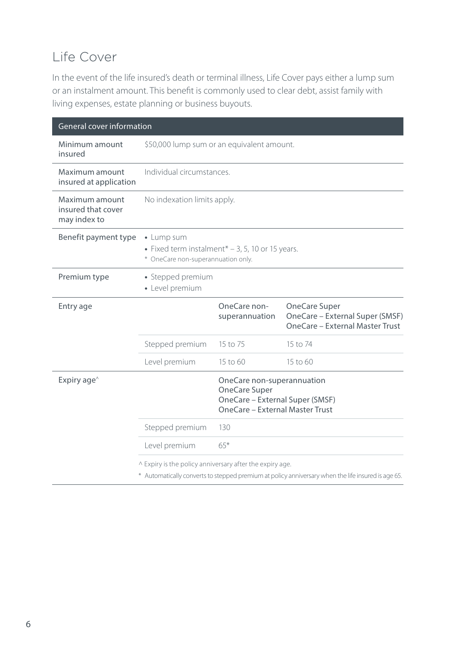# <span id="page-5-0"></span>Life Cover

In the event of the life insured's death or terminal illness, Life Cover pays either a lump sum or an instalment amount. This benefit is commonly used to clear debt, assist family with living expenses, estate planning or business buyouts.

| <b>General cover information</b>                     |                                                                                                         |                                                                                                                          |                                 |  |
|------------------------------------------------------|---------------------------------------------------------------------------------------------------------|--------------------------------------------------------------------------------------------------------------------------|---------------------------------|--|
| Minimum amount<br>insured                            | \$50,000 lump sum or an equivalent amount.                                                              |                                                                                                                          |                                 |  |
| Maximum amount<br>insured at application             | Individual circumstances.                                                                               |                                                                                                                          |                                 |  |
| Maximum amount<br>insured that cover<br>may index to | No indexation limits apply.                                                                             |                                                                                                                          |                                 |  |
| Benefit payment type                                 | • Lump sum<br>• Fixed term instalment $*$ – 3, 5, 10 or 15 years.<br>* OneCare non-superannuation only. |                                                                                                                          |                                 |  |
| Premium type                                         | • Stepped premium<br>• Level premium                                                                    |                                                                                                                          |                                 |  |
|                                                      | OneCare non-<br>OneCare Super<br>Entry age<br>superannuation                                            |                                                                                                                          |                                 |  |
|                                                      |                                                                                                         |                                                                                                                          | OneCare - External Master Trust |  |
|                                                      | Stepped premium                                                                                         | 15 to 75                                                                                                                 | 15 to 74                        |  |
|                                                      | Level premium                                                                                           | 15 to 60                                                                                                                 | 15 to 60                        |  |
| Expiry age <sup>^</sup>                              |                                                                                                         | OneCare non-superannuation<br><b>OneCare Super</b><br>OneCare - External Super (SMSF)<br>OneCare - External Master Trust |                                 |  |
|                                                      | Stepped premium                                                                                         | 130                                                                                                                      |                                 |  |
|                                                      | Level premium                                                                                           | $65*$                                                                                                                    | OneCare - External Super (SMSF) |  |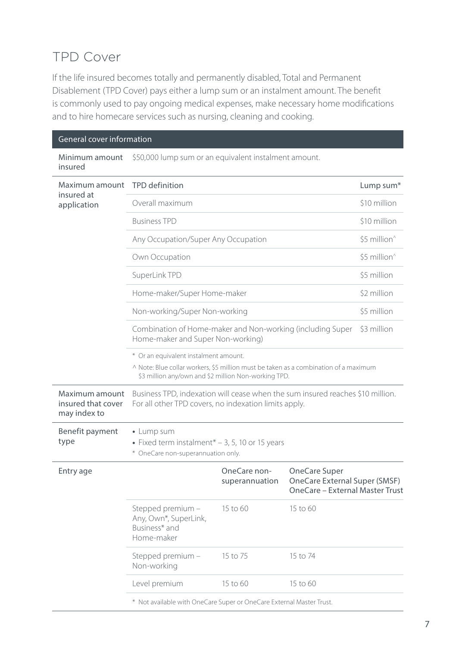# <span id="page-6-0"></span>TPD Cover

If the life insured becomes totally and permanently disabled, Total and Permanent Disablement (TPD Cover) pays either a lump sum or an instalment amount. The benefit is commonly used to pay ongoing medical expenses, make necessary home modifications and to hire homecare services such as nursing, cleaning and cooking.

#### General cover information

Minimum amount 550,000 lump sum or an equivalent instalment amount. insured

| Maximum amount TPD definition                        |                                                                                                                                              |                                                                                                                |                                                                                   | Lump sum*                |  |
|------------------------------------------------------|----------------------------------------------------------------------------------------------------------------------------------------------|----------------------------------------------------------------------------------------------------------------|-----------------------------------------------------------------------------------|--------------------------|--|
| insured at<br>application                            | Overall maximum                                                                                                                              | \$10 million                                                                                                   |                                                                                   |                          |  |
|                                                      | <b>Business TPD</b>                                                                                                                          | \$10 million                                                                                                   |                                                                                   |                          |  |
|                                                      | Any Occupation/Super Any Occupation                                                                                                          |                                                                                                                |                                                                                   | \$5 million <sup>^</sup> |  |
|                                                      | Own Occupation                                                                                                                               |                                                                                                                |                                                                                   | \$5 million <sup>^</sup> |  |
|                                                      | SuperLink TPD                                                                                                                                |                                                                                                                |                                                                                   | \$5 million              |  |
|                                                      | Home-maker/Super Home-maker                                                                                                                  |                                                                                                                |                                                                                   | \$2 million              |  |
|                                                      | Non-working/Super Non-working                                                                                                                |                                                                                                                |                                                                                   | \$5 million              |  |
|                                                      |                                                                                                                                              | Combination of Home-maker and Non-working (including Super<br>\$3 million<br>Home-maker and Super Non-working) |                                                                                   |                          |  |
|                                                      | * Or an equivalent instalment amount.                                                                                                        |                                                                                                                |                                                                                   |                          |  |
|                                                      | ^ Note: Blue collar workers, \$5 million must be taken as a combination of a maximum<br>\$3 million any/own and \$2 million Non-working TPD. |                                                                                                                |                                                                                   |                          |  |
| Maximum amount<br>insured that cover<br>may index to | Business TPD, indexation will cease when the sum insured reaches \$10 million.<br>For all other TPD covers, no indexation limits apply.      |                                                                                                                |                                                                                   |                          |  |
| Benefit payment<br>type                              | • Lump sum<br>• Fixed term instalment $*$ – 3, 5, 10 or 15 years<br>* OneCare non-superannuation only.                                       |                                                                                                                |                                                                                   |                          |  |
| Entry age                                            |                                                                                                                                              | OneCare non-<br>superannuation                                                                                 | OneCare Super<br>OneCare External Super (SMSF)<br>OneCare - External Master Trust |                          |  |
|                                                      | Stepped premium -<br>Any, Own*, SuperLink,<br>Business* and<br>Home-maker                                                                    | 15 to 60                                                                                                       | $15 \text{ to } 60$                                                               |                          |  |
|                                                      | Stepped premium -<br>Non-working                                                                                                             | 15 to 75                                                                                                       | 15 to 74                                                                          |                          |  |
|                                                      | Level premium                                                                                                                                | 15 to 60                                                                                                       | 15 to 60                                                                          |                          |  |
|                                                      | * Not available with OneCare Super or OneCare External Master Trust.                                                                         |                                                                                                                |                                                                                   |                          |  |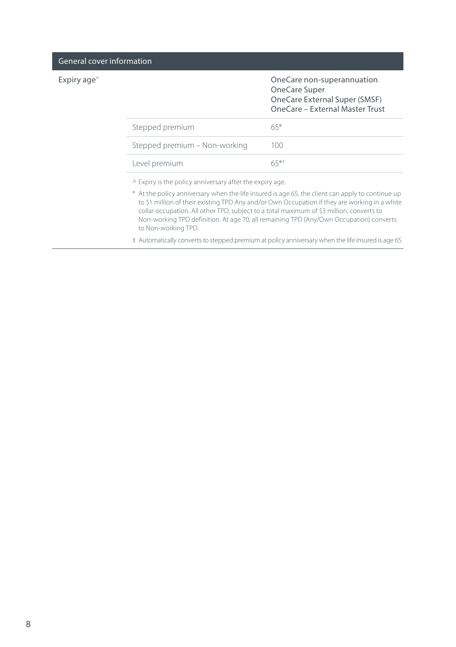| General cover information |                                                      |                                                                                                                 |  |
|---------------------------|------------------------------------------------------|-----------------------------------------------------------------------------------------------------------------|--|
| Expiry age <sup>^</sup>   |                                                      | OneCare non-superannuation<br>OneCare Super<br>OneCare External Super (SMSF)<br>OneCare - External Master Trust |  |
|                           | Stepped premium                                      | $65*$                                                                                                           |  |
|                           | Stepped premium - Non-working                        | 100                                                                                                             |  |
|                           | Level premium                                        | $65***$                                                                                                         |  |
|                           | A Evois is the policy applyment ofter the evoiry ago |                                                                                                                 |  |

^ Expiry is the policy anniversary after the expiry age.

\* At the policy anniversary when the life insured is age 65, the client can apply to continue up to \$1 million of their existing TPD Any and/or Own Occupation if they are working in a white collar occupation. All other TPD, subject to a total maximum of \$3 million, converts to Non-working TPD definition. At age 70, all remaining TPD (Any/Own Occupation) converts to Non-working TPD.

‡ Automatically converts to stepped premium at policy anniversary when the life insured is age 65.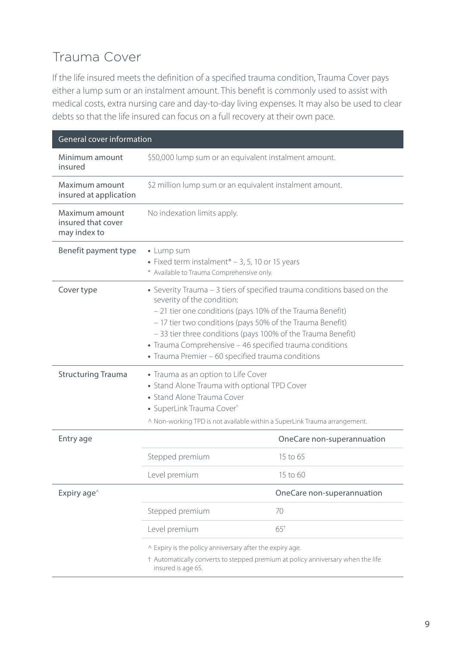# <span id="page-8-0"></span>Trauma Cover

If the life insured meets the definition of a specified trauma condition, Trauma Cover pays either a lump sum or an instalment amount. This benefit is commonly used to assist with medical costs, extra nursing care and day-to-day living expenses. It may also be used to clear debts so that the life insured can focus on a full recovery at their own pace.

| <b>General cover information</b>                         |                                                                                                                                                                                                                                                                                                                                                                                                                |                                                                                 |  |  |
|----------------------------------------------------------|----------------------------------------------------------------------------------------------------------------------------------------------------------------------------------------------------------------------------------------------------------------------------------------------------------------------------------------------------------------------------------------------------------------|---------------------------------------------------------------------------------|--|--|
| Minimum amount<br>insured                                | \$50,000 lump sum or an equivalent instalment amount.                                                                                                                                                                                                                                                                                                                                                          |                                                                                 |  |  |
| Maximum amount<br>insured at application                 |                                                                                                                                                                                                                                                                                                                                                                                                                | \$2 million lump sum or an equivalent instalment amount.                        |  |  |
| Maximum amount<br>insured that cover<br>may index to     | No indexation limits apply.                                                                                                                                                                                                                                                                                                                                                                                    |                                                                                 |  |  |
| Benefit payment type                                     | • Lump sum<br>• Fixed term instalment $*$ – 3, 5, 10 or 15 years<br>* Available to Trauma Comprehensive only.                                                                                                                                                                                                                                                                                                  |                                                                                 |  |  |
| Cover type                                               | • Severity Trauma - 3 tiers of specified trauma conditions based on the<br>severity of the condition:<br>- 21 tier one conditions (pays 10% of the Trauma Benefit)<br>- 17 tier two conditions (pays 50% of the Trauma Benefit)<br>-33 tier three conditions (pays 100% of the Trauma Benefit)<br>• Trauma Comprehensive - 46 specified trauma conditions<br>• Trauma Premier - 60 specified trauma conditions |                                                                                 |  |  |
| <b>Structuring Trauma</b>                                | • Trauma as an option to Life Cover<br>• Stand Alone Trauma with optional TPD Cover<br>• Stand Alone Trauma Cover<br>• SuperLink Trauma Cover^                                                                                                                                                                                                                                                                 | ^ Non-working TPD is not available within a SuperLink Trauma arrangement.       |  |  |
| Entry age                                                |                                                                                                                                                                                                                                                                                                                                                                                                                | OneCare non-superannuation                                                      |  |  |
|                                                          | Stepped premium                                                                                                                                                                                                                                                                                                                                                                                                | 15 to 65                                                                        |  |  |
|                                                          | Level premium                                                                                                                                                                                                                                                                                                                                                                                                  | 15 to 60                                                                        |  |  |
| Expiry age <sup>^</sup>                                  |                                                                                                                                                                                                                                                                                                                                                                                                                | OneCare non-superannuation                                                      |  |  |
|                                                          | Stepped premium                                                                                                                                                                                                                                                                                                                                                                                                | 70                                                                              |  |  |
|                                                          | Level premium                                                                                                                                                                                                                                                                                                                                                                                                  | $65+$                                                                           |  |  |
| ^ Expiry is the policy anniversary after the expiry age. |                                                                                                                                                                                                                                                                                                                                                                                                                |                                                                                 |  |  |
|                                                          | insured is age 65.                                                                                                                                                                                                                                                                                                                                                                                             | + Automatically converts to stepped premium at policy anniversary when the life |  |  |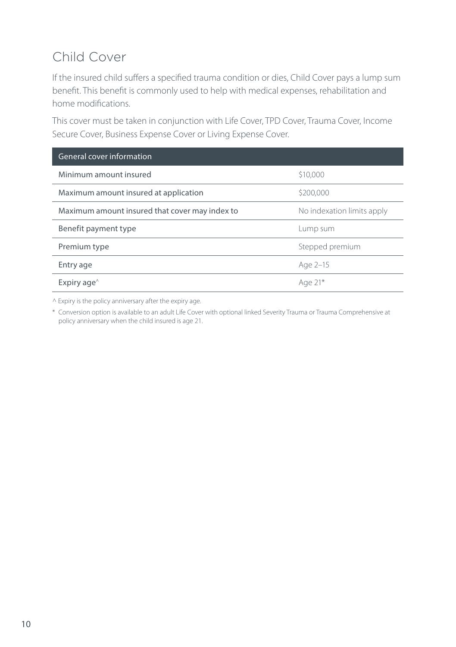# <span id="page-9-0"></span>Child Cover

If the insured child suffers a specified trauma condition or dies, Child Cover pays a lump sum benefit. This benefit is commonly used to help with medical expenses, rehabilitation and home modifications.

This cover must be taken in conjunction with Life Cover, TPD Cover, Trauma Cover, Income Secure Cover, Business Expense Cover or Living Expense Cover.

| <b>General cover information</b>               |                            |
|------------------------------------------------|----------------------------|
| Minimum amount insured                         | \$10,000                   |
| Maximum amount insured at application          | \$200.000                  |
| Maximum amount insured that cover may index to | No indexation limits apply |
| Benefit payment type                           | Lump sum                   |
| Premium type                                   | Stepped premium            |
| Entry age                                      | Age 2-15                   |
| Expiry age $\textdegree$                       | Age $21*$                  |

^ Expiry is the policy anniversary after the expiry age.

\* Conversion option is available to an adult Life Cover with optional linked Severity Trauma or Trauma Comprehensive at policy anniversary when the child insured is age 21.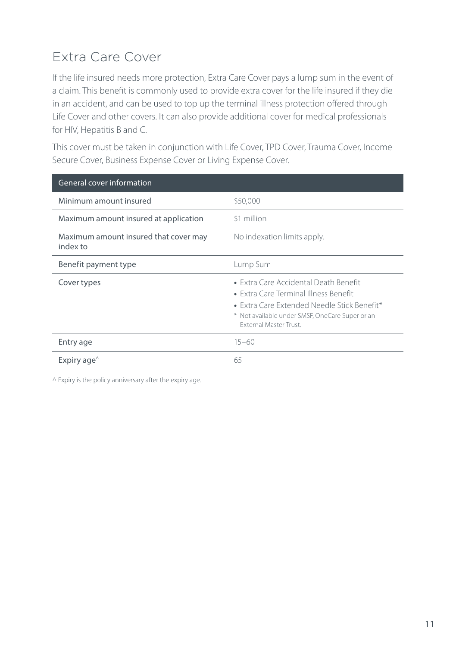# <span id="page-10-0"></span>Extra Care Cover

If the life insured needs more protection, Extra Care Cover pays a lump sum in the event of a claim. This benefit is commonly used to provide extra cover for the life insured if they die in an accident, and can be used to top up the terminal illness protection offered through Life Cover and other covers. It can also provide additional cover for medical professionals for HIV, Hepatitis B and C.

This cover must be taken in conjunction with Life Cover, TPD Cover, Trauma Cover, Income Secure Cover, Business Expense Cover or Living Expense Cover.

| <b>General cover information</b>                  |                                                                                                                                                                                                                   |
|---------------------------------------------------|-------------------------------------------------------------------------------------------------------------------------------------------------------------------------------------------------------------------|
| Minimum amount insured                            | \$50,000                                                                                                                                                                                                          |
| Maximum amount insured at application             | \$1 million                                                                                                                                                                                                       |
| Maximum amount insured that cover may<br>index to | No indexation limits apply.                                                                                                                                                                                       |
| Benefit payment type                              | Lump Sum                                                                                                                                                                                                          |
| Cover types                                       | • Extra Care Accidental Death Benefit<br>• Extra Care Terminal Illness Benefit<br>• Extra Care Extended Needle Stick Benefit*<br>* Not available under SMSF, OneCare Super or an<br><b>External Master Trust.</b> |
| Entry age                                         | $15 - 60$                                                                                                                                                                                                         |
| Expiry age $\textdegree$                          | 65                                                                                                                                                                                                                |

^ Expiry is the policy anniversary after the expiry age.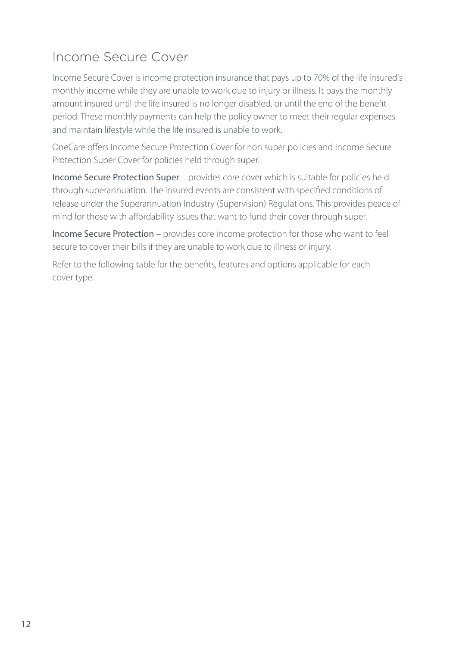# <span id="page-11-0"></span>Income Secure Cover

Income Secure Cover is income protection insurance that pays up to 70% of the life insured's monthly income while they are unable to work due to injury or illness. It pays the monthly amount insured until the life insured is no longer disabled, or until the end of the benefit period. These monthly payments can help the policy owner to meet their regular expenses and maintain lifestyle while the life insured is unable to work.

OneCare offers Income Secure Protection Cover for non super policies and Income Secure Protection Super Cover for policies held through super.

Income Secure Protection Super – provides core cover which is suitable for policies held through superannuation. The insured events are consistent with specified conditions of release under the Superannuation Industry (Supervision) Regulations. This provides peace of mind for those with affordability issues that want to fund their cover through super.

Income Secure Protection – provides core income protection for those who want to feel secure to cover their bills if they are unable to work due to illness or injury.

Refer to the following table for the benefits, features and options applicable for each cover type.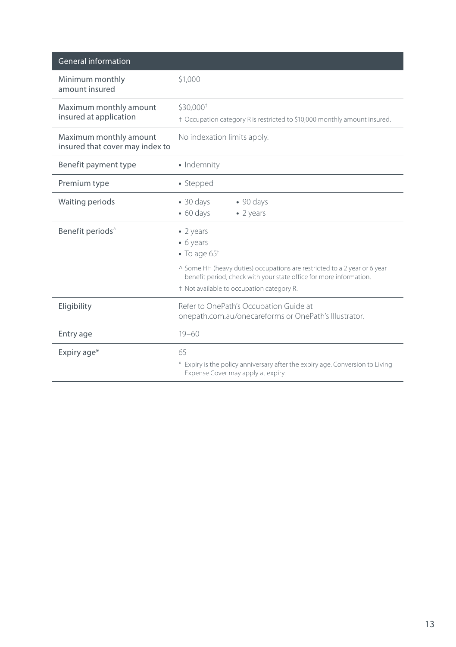| <b>General information</b>                                |                                                                                                                                                                                              |  |  |
|-----------------------------------------------------------|----------------------------------------------------------------------------------------------------------------------------------------------------------------------------------------------|--|--|
| Minimum monthly<br>amount insured                         | \$1.000                                                                                                                                                                                      |  |  |
| Maximum monthly amount<br>insured at application          | \$30,000+<br>+ Occupation category R is restricted to \$10,000 monthly amount insured.                                                                                                       |  |  |
| Maximum monthly amount<br>insured that cover may index to | No indexation limits apply.                                                                                                                                                                  |  |  |
| Benefit payment type                                      | • Indemnity                                                                                                                                                                                  |  |  |
| Premium type                                              | • Stepped                                                                                                                                                                                    |  |  |
| Waiting periods                                           | $\bullet$ 90 days<br>$\bullet$ 30 days<br>$\bullet$ 60 days<br>• 2 years                                                                                                                     |  |  |
| Benefit periods <sup>^</sup>                              | $\bullet$ 2 years<br>• 6 years<br>$\bullet$ To age 65 <sup>+</sup>                                                                                                                           |  |  |
|                                                           | ^ Some HH (heavy duties) occupations are restricted to a 2 year or 6 year<br>benefit period, check with your state office for more information.<br>+ Not available to occupation category R. |  |  |
| Eligibility                                               | Refer to OnePath's Occupation Guide at<br>onepath.com.au/onecareforms or OnePath's Illustrator.                                                                                              |  |  |
| Entry age                                                 | $19 - 60$                                                                                                                                                                                    |  |  |
| Expiry age*                                               | 65<br>* Expiry is the policy anniversary after the expiry age. Conversion to Living<br>Expense Cover may apply at expiry.                                                                    |  |  |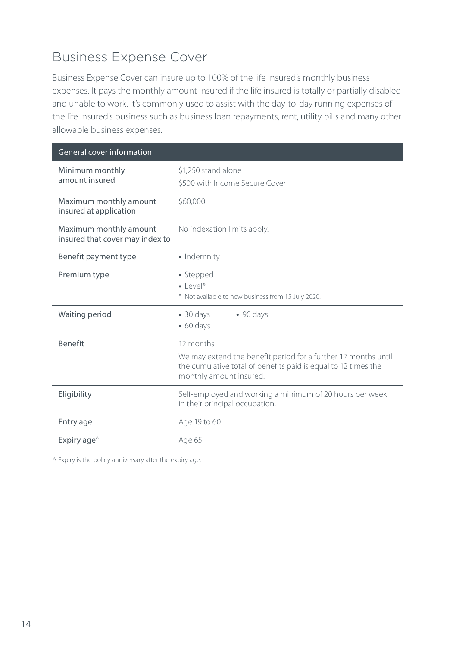# <span id="page-13-0"></span>Business Expense Cover

Business Expense Cover can insure up to 100% of the life insured's monthly business expenses. It pays the monthly amount insured if the life insured is totally or partially disabled and unable to work. It's commonly used to assist with the day-to-day running expenses of the life insured's business such as business loan repayments, rent, utility bills and many other allowable business expenses.

| <b>General cover information</b>                          |                                                                                                                                                                          |
|-----------------------------------------------------------|--------------------------------------------------------------------------------------------------------------------------------------------------------------------------|
| Minimum monthly<br>amount insured                         | \$1.250 stand alone<br>\$500 with Income Secure Cover                                                                                                                    |
| Maximum monthly amount<br>insured at application          | \$60,000                                                                                                                                                                 |
| Maximum monthly amount<br>insured that cover may index to | No indexation limits apply.                                                                                                                                              |
| Benefit payment type                                      | • Indemnity                                                                                                                                                              |
| Premium type                                              | • Stepped<br>$\bullet$   $\angle$<br>* Not available to new business from 15 July 2020.                                                                                  |
| Waiting period                                            | $\bullet$ 90 days<br>$\bullet$ 30 days<br>$\bullet$ 60 days                                                                                                              |
| <b>Benefit</b>                                            | 12 months<br>We may extend the benefit period for a further 12 months until<br>the cumulative total of benefits paid is equal to 12 times the<br>monthly amount insured. |
| Eligibility                                               | Self-employed and working a minimum of 20 hours per week<br>in their principal occupation.                                                                               |
| Entry age                                                 | Age 19 to 60                                                                                                                                                             |
| Expiry age <sup>^</sup>                                   | Age 65                                                                                                                                                                   |

^ Expiry is the policy anniversary after the expiry age.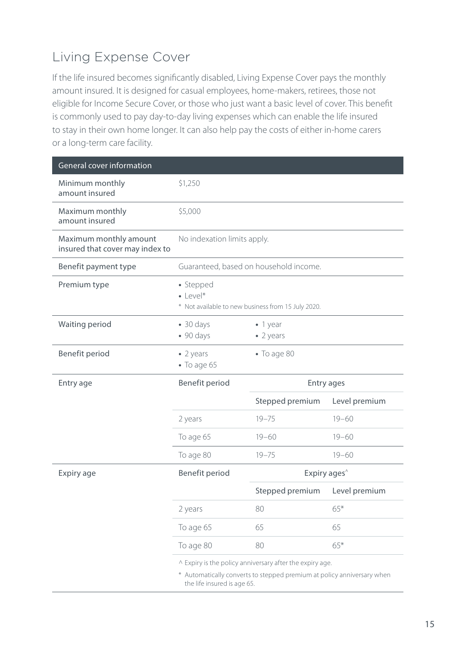# <span id="page-14-0"></span>Living Expense Cover

If the life insured becomes significantly disabled, Living Expense Cover pays the monthly amount insured. It is designed for casual employees, home-makers, retirees, those not eligible for Income Secure Cover, or those who just want a basic level of cover. This benefit is commonly used to pay day-to-day living expenses which can enable the life insured to stay in their own home longer. It can also help pay the costs of either in-home carers or a long-term care facility.

| General cover information                                 |                                          |                                                    |                          |
|-----------------------------------------------------------|------------------------------------------|----------------------------------------------------|--------------------------|
| Minimum monthly<br>amount insured                         | \$1,250                                  |                                                    |                          |
| Maximum monthly<br>amount insured                         | \$5,000                                  |                                                    |                          |
| Maximum monthly amount<br>insured that cover may index to | No indexation limits apply.              |                                                    |                          |
| Benefit payment type                                      |                                          | Guaranteed, based on household income.             |                          |
| Premium type                                              | • Stepped<br>$\bullet$   evel*           | * Not available to new business from 15 July 2020. |                          |
| Waiting period                                            | $\bullet$ 30 days<br>$\bullet$ 90 days   | $\bullet$ 1 year<br>$\bullet$ 2 years              |                          |
| Benefit period                                            | $\bullet$ 2 years<br>$\bullet$ To age 65 | $\bullet$ To age 80                                |                          |
| Entry age                                                 | Benefit period                           |                                                    | Entry ages               |
|                                                           |                                          | Stepped premium                                    | Level premium            |
|                                                           | 2 years                                  | $19 - 75$                                          | $19 - 60$                |
|                                                           | To age 65                                | $19 - 60$                                          | $19 - 60$                |
|                                                           |                                          |                                                    |                          |
|                                                           | To age 80                                | $19 - 75$                                          | $19 - 60$                |
| Expiry age                                                | Benefit period                           |                                                    | Expiry ages <sup>^</sup> |
|                                                           |                                          | Stepped premium                                    | Level premium            |
|                                                           | 2 years                                  | 80                                                 | 65*                      |
|                                                           | To age 65                                | 65                                                 | 65                       |
|                                                           | To age 80                                | 80                                                 | 65*                      |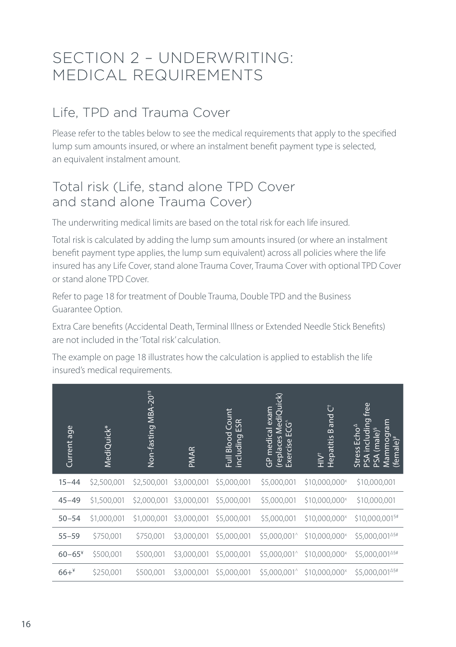# <span id="page-15-0"></span>SECTION 2 – UNDERWRITING: MEDICAL REQUIREMENTS

# Life, TPD and Trauma Cover

Please refer to the tables below to see the medical requirements that apply to the specified lump sum amounts insured, or where an instalment benefit payment type is selected, an equivalent instalment amount.

# <span id="page-15-1"></span>Total risk (Life, stand alone TPD Cover and stand alone Trauma Cover)

The underwriting medical limits are based on the total risk for each life insured.

Total risk is calculated by adding the lump sum amounts insured (or where an instalment benefit payment type applies, the lump sum equivalent) across all policies where the life insured has any Life Cover, stand alone Trauma Cover, Trauma Cover with optional TPD Cover or stand alone TPD Cover.

Refer to page [18](#page-17-0) for treatment of Double Trauma, Double TPD and the Business Guarantee Option.

Extra Care benefits (Accidental Death, Terminal Illness or Extended Needle Stick Benefits) are not included in the 'Total risk' calculation.

The example on page [18](#page-17-1) illustrates how the calculation is applied to establish the life insured's medical requirements.

| Current age | MediQuick*  | <b>MBA-20<sup>#</sup></b><br>Non-fasting | <b>PMAR</b> | Count<br>ESR<br>Blood<br>including<br>言 | (replaces MediQuick)<br>GP medical exam<br>ECG^<br>Exercise | も<br><b>Dug</b><br>$\mathbf{\underline{\infty}}$<br>Hepatitis<br>$\stackrel{+}{\equiv}$ | free<br>ō<br>gram<br>cludin<br>Echo <sup>4</sup><br>male) <sup>§</sup><br>(female)<br>SS<br>Ξ.<br>Stre:<br>Mār<br>PSA<br>ΡSΙ |
|-------------|-------------|------------------------------------------|-------------|-----------------------------------------|-------------------------------------------------------------|-----------------------------------------------------------------------------------------|------------------------------------------------------------------------------------------------------------------------------|
| $15 - 44$   | \$2,500,001 | \$2,500,001                              | \$3,000,001 | \$5,000,001                             | \$5,000,001                                                 | \$10,000,000 <sup>x</sup>                                                               | \$10,000,001                                                                                                                 |
| $45 - 49$   | \$1,500,001 | \$2,000,001                              | \$3,000,001 | \$5,000,001                             | \$5,000,001                                                 | \$10,000,000 <sup>x</sup>                                                               | \$10,000,001                                                                                                                 |
| $50 - 54$   | \$1,000,001 | \$1,000,001                              | \$3,000,001 | \$5,000,001                             | \$5,000,001                                                 | \$10,000,000 <sup>x</sup>                                                               | \$10,000,001§#                                                                                                               |
| $55 - 59$   | \$750,001   | \$750,001                                | \$3,000,001 | \$5,000,001                             | \$5,000,001^                                                | \$10,000,000 <sup>x</sup>                                                               | \$5,000,001 <sup>4§#</sup>                                                                                                   |
| $60 - 65*$  | \$500,001   | \$500,001                                | \$3,000,001 | \$5,000,001                             | \$5,000,001^                                                | \$10,000,000 <sup>x</sup>                                                               | \$5,000,0014\$#                                                                                                              |
| $66 +$      | \$250,001   | \$500.001                                | \$3,000,001 | \$5,000,001                             | \$5,000,001^                                                | \$10,000,000 <sup>x</sup>                                                               | \$5,000,001 <sup>4§#</sup>                                                                                                   |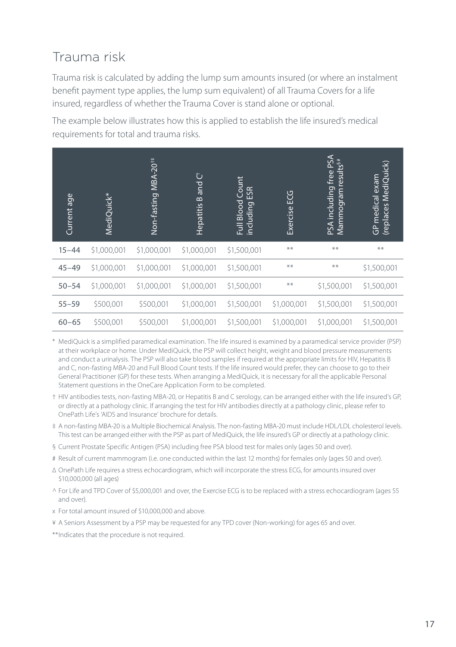# <span id="page-16-1"></span><span id="page-16-0"></span>Trauma risk

Trauma risk is calculated by adding the lump sum amounts insured (or where an instalment benefit payment type applies, the lump sum equivalent) of all Trauma Covers for a life insured, regardless of whether the Trauma Cover is stand alone or optional.

The example below illustrates how this is applied to establish the life insured's medical requirements for total and trauma risks.

| Current age | MediQuick*  | Non-fasting MBA-20 <sup>#</sup> | も<br>and<br>Hepatitis B | Count<br>ESR<br>Full Blood<br>including | 5DE<br>Exercise | free PSA<br>results <sup>§#</sup><br>PSA including<br>Mammogram | (replaces MediQuick)<br>exam<br>medical<br>၆ |
|-------------|-------------|---------------------------------|-------------------------|-----------------------------------------|-----------------|-----------------------------------------------------------------|----------------------------------------------|
| $15 - 44$   | \$1,000,001 | \$1,000,001                     | \$1,000,001             | \$1,500,001                             | $**$            | **                                                              | **                                           |
| $45 - 49$   | \$1,000,001 | \$1,000,001                     | \$1,000,001             | \$1,500,001                             | $**$            | **                                                              | \$1,500,001                                  |
| $50 - 54$   | \$1,000,001 | \$1,000,001                     | \$1,000,001             | \$1,500,001                             | $***$           | \$1,500,001                                                     | \$1,500,001                                  |
| $55 - 59$   | \$500,001   | \$500,001                       | \$1,000,001             | \$1,500,001                             | \$1,000,001     | \$1,500,001                                                     | \$1,500,001                                  |
| $60 - 65$   | \$500,001   | \$500,001                       | \$1,000,001             | \$1,500,001                             | \$1,000,001     | \$1,000,001                                                     | \$1,500,001                                  |

\* MediQuick is a simplified paramedical examination. The life insured is examined by a paramedical service provider (PSP) at their workplace or home. Under MediQuick, the PSP will collect height, weight and blood pressure measurements and conduct a urinalysis. The PSP will also take blood samples if required at the appropriate limits for HIV, Hepatitis B and C, non-fasting MBA-20 and Full Blood Count tests. If the life insured would prefer, they can choose to go to their General Practitioner (GP) for these tests. When arranging a MediQuick, it is necessary for all the applicable Personal Statement questions in the OneCare Application Form to be completed.

- † HIV antibodies tests, non-fasting MBA-20, or Hepatitis B and C serology, can be arranged either with the life insured's GP, or directly at a pathology clinic. If arranging the test for HIV antibodies directly at a pathology clinic, please refer to OnePath Life's 'AIDS and Insurance' brochure for details.
- ‡ A non-fasting MBA-20 is a Multiple Biochemical Analysis. The non-fasting MBA-20 must include HDL/LDL cholesterol levels. This test can be arranged either with the PSP as part of MediQuick, the life insured's GP or directly at a pathology clinic.
- § Current Prostate Specific Antigen (PSA) including free PSA blood test for males only (ages 50 and over).
- # Result of current mammogram (i.e. one conducted within the last 12 months) for females only (ages 50 and over).
- ∆ OnePath Life requires a stress echocardiogram, which will incorporate the stress ECG, for amounts insured over \$10,000,000 (all ages)
- ^ For Life and TPD Cover of \$5,000,001 and over, the Exercise ECG is to be replaced with a stress echocardiogram (ages 55 and over).
- x For total amount insured of \$10,000,000 and above.
- ¥ A Seniors Assessment by a PSP may be requested for any TPD cover (Non-working) for ages 65 and over.
- \*\*Indicates that the procedure is not required.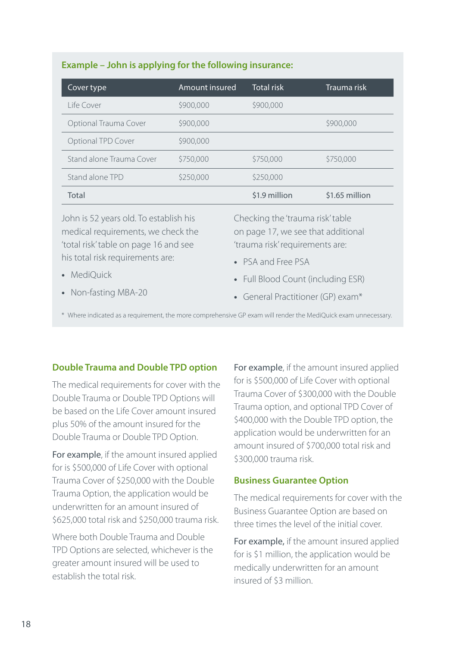#### <span id="page-17-1"></span>**Example – John is applying for the following insurance:**

| Cover type               | Amount insured | <b>Total risk</b> | Trauma risk    |
|--------------------------|----------------|-------------------|----------------|
| l ife Cover              | \$900,000      | \$900,000         |                |
| Optional Trauma Cover    | \$900,000      |                   | \$900,000      |
| Optional TPD Cover       | \$900,000      |                   |                |
| Stand alone Trauma Cover | \$750,000      | \$750,000         | \$750,000      |
| Stand alone TPD          | \$250,000      | \$250,000         |                |
| Total                    |                | \$1.9 million     | \$1.65 million |

John is 52 years old. To establish his medical requirements, we check the 'total risk' table on page [16](#page-15-1) and see his total risk requirements are:

- **•** MediQuick
- **•** Non-fasting MBA-20

Checking the 'trauma risk' table on page [17,](#page-16-1) we see that additional 'trauma risk' requirements are:

- **•** PSA and Free PSA
- **•** Full Blood Count (including ESR)
- **•** General Practitioner (GP) exam\*

\* Where indicated as a requirement, the more comprehensive GP exam will render the MediQuick exam unnecessary.

### <span id="page-17-0"></span>**Double Trauma and Double TPD option**

The medical requirements for cover with the Double Trauma or Double TPD Options will be based on the Life Cover amount insured plus 50% of the amount insured for the Double Trauma or Double TPD Option.

For example, if the amount insured applied for is \$500,000 of Life Cover with optional Trauma Cover of \$250,000 with the Double Trauma Option, the application would be underwritten for an amount insured of \$625,000 total risk and \$250,000 trauma risk.

Where both Double Trauma and Double TPD Options are selected, whichever is the greater amount insured will be used to establish the total risk.

For example, if the amount insured applied for is \$500,000 of Life Cover with optional Trauma Cover of \$300,000 with the Double Trauma option, and optional TPD Cover of \$400,000 with the Double TPD option, the application would be underwritten for an amount insured of \$700,000 total risk and \$300,000 trauma risk.

### **Business Guarantee Option**

The medical requirements for cover with the Business Guarantee Option are based on three times the level of the initial cover.

For example, if the amount insured applied for is \$1 million, the application would be medically underwritten for an amount insured of \$3 million.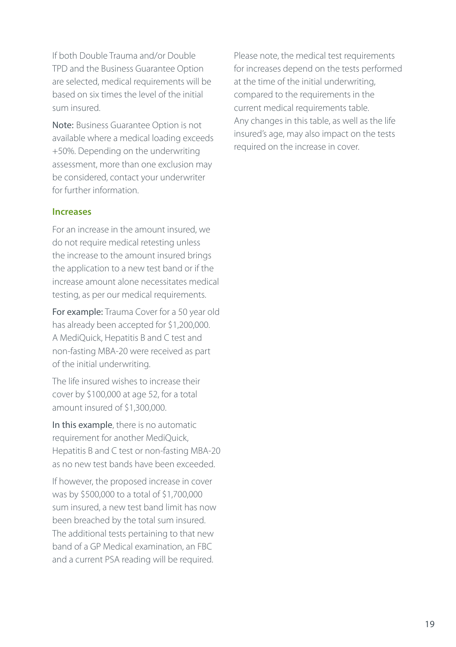If both Double Trauma and/or Double TPD and the Business Guarantee Option are selected, medical requirements will be based on six times the level of the initial sum insured.

Note: Business Guarantee Option is not available where a medical loading exceeds +50%. Depending on the underwriting assessment, more than one exclusion may be considered, contact your underwriter for further information.

#### **Increases**

For an increase in the amount insured, we do not require medical retesting unless the increase to the amount insured brings the application to a new test band or if the increase amount alone necessitates medical testing, as per our medical requirements.

For example: Trauma Cover for a 50 year old has already been accepted for \$1,200,000. A MediQuick, Hepatitis B and C test and non-fasting MBA-20 were received as part of the initial underwriting.

The life insured wishes to increase their cover by \$100,000 at age 52, for a total amount insured of \$1,300,000.

In this example, there is no automatic requirement for another MediQuick, Hepatitis B and C test or non-fasting MBA-20 as no new test bands have been exceeded.

If however, the proposed increase in cover was by \$500,000 to a total of \$1,700,000 sum insured, a new test band limit has now been breached by the total sum insured. The additional tests pertaining to that new band of a GP Medical examination, an FBC and a current PSA reading will be required.

Please note, the medical test requirements for increases depend on the tests performed at the time of the initial underwriting, compared to the requirements in the current medical requirements table. Any changes in this table, as well as the life insured's age, may also impact on the tests required on the increase in cover.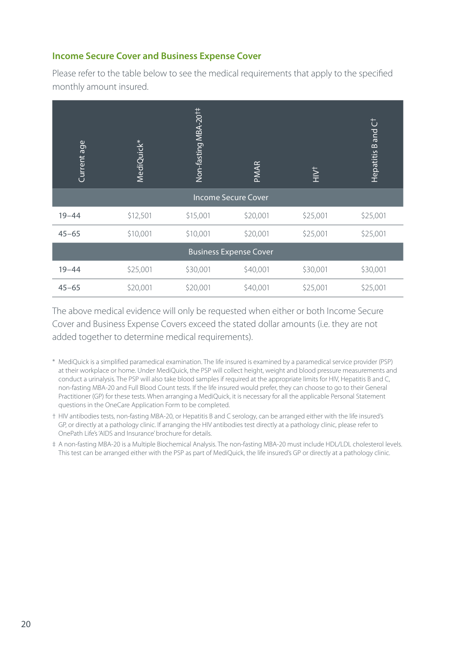#### **Income Secure Cover and Business Expense Cover**

Please refer to the table below to see the medical requirements that apply to the specified monthly amount insured.

| Current age                   | MediQuick* | Non-fasting MBA-20 <sup>†‡</sup> | <b>PMAR</b>                | HNT<br>H | $\ddot{\circ}$<br><b>Hepatitis B and</b> |
|-------------------------------|------------|----------------------------------|----------------------------|----------|------------------------------------------|
|                               |            |                                  | <b>Income Secure Cover</b> |          |                                          |
| $19 - 44$                     | \$12,501   | \$15,001                         | \$20,001                   | \$25,001 | \$25,001                                 |
| $45 - 65$                     | \$10,001   | \$10,001                         | \$20,001                   | \$25,001 | \$25,001                                 |
| <b>Business Expense Cover</b> |            |                                  |                            |          |                                          |
| $19 - 44$                     | \$25,001   | \$30,001                         | \$40,001                   | \$30,001 | \$30,001                                 |
| $45 - 65$                     | \$20,001   | \$20,001                         | \$40,001                   | \$25,001 | \$25,001                                 |

The above medical evidence will only be requested when either or both Income Secure Cover and Business Expense Covers exceed the stated dollar amounts (i.e. they are not added together to determine medical requirements).

- \* MediQuick is a simplified paramedical examination. The life insured is examined by a paramedical service provider (PSP) at their workplace or home. Under MediQuick, the PSP will collect height, weight and blood pressure measurements and conduct a urinalysis. The PSP will also take blood samples if required at the appropriate limits for HIV, Hepatitis B and C, non-fasting MBA-20 and Full Blood Count tests. If the life insured would prefer, they can choose to go to their General Practitioner (GP) for these tests. When arranging a MediQuick, it is necessary for all the applicable Personal Statement questions in the OneCare Application Form to be completed.
- † HIV antibodies tests, non-fasting MBA-20, or Hepatitis B and C serology, can be arranged either with the life insured's GP, or directly at a pathology clinic. If arranging the HIV antibodies test directly at a pathology clinic, please refer to OnePath Life's 'AIDS and Insurance' brochure for details.
- ‡ A non-fasting MBA-20 is a Multiple Biochemical Analysis. The non-fasting MBA-20 must include HDL/LDL cholesterol levels. This test can be arranged either with the PSP as part of MediQuick, the life insured's GP or directly at a pathology clinic.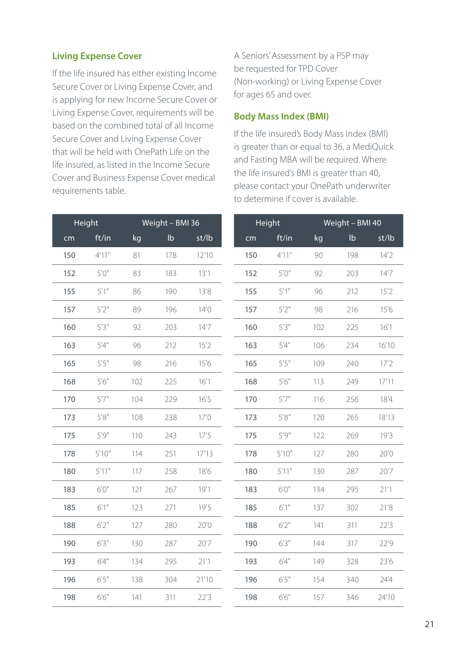#### **Living Expense Cover**

If the life insured has either existing Income Secure Cover or Living Expense Cover, and is applying for new Income Secure Cover or Living Expense Cover, requirements will be based on the combined total of all Income Secure Cover and Living Expense Cover that will be held with OnePath Life on the life insured, as listed in the Income Secure Cover and Business Expense Cover medical requirements table.

|     | Height |     | Weight - BMI 36 |       |  |
|-----|--------|-----|-----------------|-------|--|
| cm  | ft/in  | kg  | lb              | st/lb |  |
| 150 | 4'11'' | 81  | 178             | 12'10 |  |
| 152 | 5'0''  | 83  | 183             | 13'1  |  |
| 155 | 5'1''  | 86  | 190             | 13'8  |  |
| 157 | 5'2''  | 89  | 196             | 14'0  |  |
| 160 | 5'3''  | 92  | 203             | 14'7  |  |
| 163 | 5'4''  | 96  | 212             | 15'2  |  |
| 165 | 5'5''  | 98  | 216             | 15'6  |  |
| 168 | 5'6"   | 102 | 225             | 16'1  |  |
| 170 | 5'7''  | 104 | 229             | 16'5  |  |
| 173 | 5'8''  | 108 | 238             | 17'0  |  |
| 175 | 5'9"   | 110 | 243             | 17'5  |  |
| 178 | 5'10'' | 114 | 251             | 17'13 |  |
| 180 | 5'11"  | 117 | 258             | 18'6  |  |
| 183 | 6'0"   | 121 | 267             | 19'1  |  |
| 185 | 6'1''  | 123 | 271             | 19'5  |  |
| 188 | 6'2''  | 127 | 280             | 20'0  |  |
| 190 | 6'3''  | 130 | 287             | 20'7  |  |
| 193 | 6'4"   | 134 | 295             | 21'1  |  |
| 196 | 6'5''  | 138 | 304             | 21'10 |  |
| 198 | 6'6"   | 141 | 311             | 22'3  |  |

A Seniors' Assessment by a PSP may be requested for TPD Cover (Non-working) or Living Expense Cover for ages 65 and over.

#### **Body Mass Index (BMI)**

If the life insured's Body Mass Index (BMI) is greater than or equal to 36, a MediQuick and Fasting MBA will be required. Where the life insured's BMI is greater than 40, please contact your OnePath underwriter to determine if cover is available.

| Height |        | Weight - BMI 40 |     |       |  |
|--------|--------|-----------------|-----|-------|--|
| cm     | ft/in  | kg              | lb  | st/lb |  |
| 150    | 4'11'' | 90              | 198 | 14'2  |  |
| 152    | 5'0"   | 92              | 203 | 14'7  |  |
| 155    | 5'1''  | 96              | 212 | 15'2  |  |
| 157    | 5'2''  | 98              | 216 | 15'6  |  |
| 160    | 5'3''  | 102             | 225 | 16'1  |  |
| 163    | 5'4"   | 106             | 234 | 16'10 |  |
| 165    | 5'5''  | 109             | 240 | 17'2  |  |
| 168    | 5'6"   | 113             | 249 | 17'11 |  |
| 170    | 5'7''  | 116             | 256 | 18'4  |  |
| 173    | 5'8''  | 120             | 265 | 18'13 |  |
| 175    | 5'9''  | 122             | 269 | 19'3  |  |
| 178    | 5'10"  | 127             | 280 | 20'0  |  |
| 180    | 5'11"  | 130             | 287 | 20'7  |  |
| 183    | 6'0"   | 134             | 295 | 21'1  |  |
| 185    | 6'1''  | 137             | 302 | 21'8  |  |
| 188    | 6'2''  | 141             | 311 | 22'3  |  |
| 190    | 6'3''  | 144             | 317 | 22'9  |  |
| 193    | 6'4''  | 149             | 328 | 23'6  |  |
| 196    | 6'5''  | 154             | 340 | 24'4  |  |
| 198    | 6'6"   | 157             | 346 | 24'10 |  |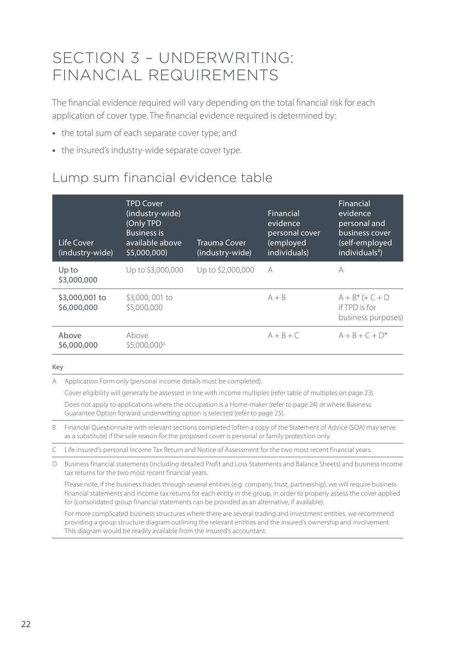# <span id="page-21-0"></span>SECTION 3 – UNDERWRITING: FINANCIAL REQUIREMENTS

The financial evidence required will vary depending on the total financial risk for each application of cover type. The financial evidence required is determined by:

- **•** the total sum of each separate cover type; and
- **•** the insured's industry-wide separate cover type.

# Lump sum financial evidence table

<span id="page-21-1"></span>

| Life Cover<br>(industry-wide) | <b>TPD Cover</b><br>(industry-wide)<br>(Only TPD<br><b>Business is</b><br>available above<br>\$5,000,000) | <b>Trauma Cover</b><br>(industry-wide) | Financial<br>evidence<br>personal cover<br>(employed<br>individuals) | Financial<br>evidence<br>personal and<br>business cover<br>(self-employed<br>individuals <sup>#</sup> ) |
|-------------------------------|-----------------------------------------------------------------------------------------------------------|----------------------------------------|----------------------------------------------------------------------|---------------------------------------------------------------------------------------------------------|
| Up to<br>\$3,000,000          | Up to \$3,000,000                                                                                         | Up to \$2,000,000                      | A                                                                    | A                                                                                                       |
| \$3,000,001 to<br>\$6,000,000 | \$3,000,001 to<br>\$5,000,000                                                                             |                                        | $A + B$                                                              | $A + B^* (+ C + D)$<br>if TPD is for<br>business purposes)                                              |
| Above<br>\$6,000,000          | Above<br>\$5,000,000 <sup>4</sup>                                                                         |                                        | $A + B + C$                                                          | $A + B + C + D^*$                                                                                       |

#### Key

A Application Form only (personal income details must be completed).

Cover eligibility will generally be assessed in line with income multiples (refer table of multiples on page [23\)](#page-22-1).

Does not apply to applications where the occupation is a Home-maker (refer to page [24\)](#page-23-0) or where Business Guarantee Option forward underwriting option is selected (refer to page [25](#page-24-0)).

- B Financial Questionnaire with relevant sections completed (often a copy of the Statement of Advice (SOA) may serve as a substitute) if the sole reason for the proposed cover is personal or family protection only.
- C Life insured's personal Income Tax Return and Notice of Assessment for the two most recent financial years.
- D Business financial statements (including detailed Profit and Loss Statements and Balance Sheets) and business income tax returns for the two most recent financial years.

Please note, if the business trades through several entities (e.g. company, trust, partnership), we will require business financial statements and income tax returns for each entity in the group, in order to properly assess the cover applied for (consolidated group financial statements can be provided as an alternative, if available).

For more complicated business structures where there are several trading and investment entities, we recommend providing a group structure diagram outlining the relevant entities and the insured's ownership and involvement. This diagram would be readily available from the insured's accountant.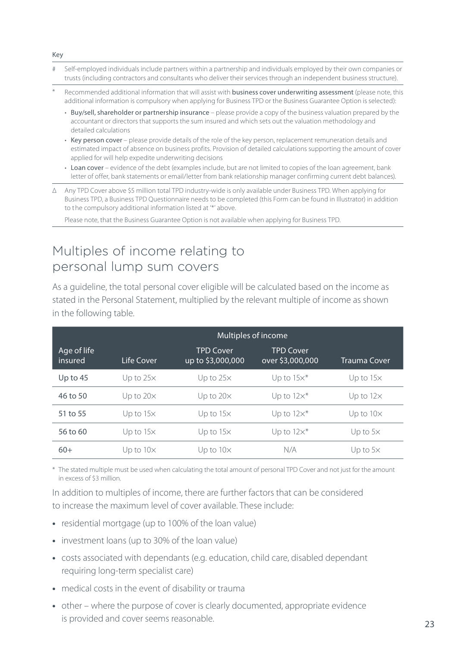- Self-employed individuals include partners within a partnership and individuals employed by their own companies or trusts (including contractors and consultants who deliver their services through an independent business structure).
- Recommended additional information that will assist with business cover underwriting assessment (please note, this additional information is compulsory when applying for Business TPD or the Business Guarantee Option is selected):
	- Buy/sell, shareholder or partnership insurance please provide a copy of the business valuation prepared by the accountant or directors that supports the sum insured and which sets out the valuation methodology and detailed calculations
	- Key person cover please provide details of the role of the key person, replacement remuneration details and estimated impact of absence on business profits. Provision of detailed calculations supporting the amount of cover applied for will help expedite underwriting decisions
	- Loan cover evidence of the debt (examples include, but are not limited to copies of the loan agreement, bank letter of offer, bank statements or email/letter from bank relationship manager confirming current debt balances).
- Δ Any TPD Cover above \$5 million total TPD industry-wide is only available under Business TPD. When applying for Business TPD, a Business TPD Questionnaire needs to be completed (this Form can be found in Illustrator) in addition to the compulsory additional information listed at '\*' above.

Please note, that the Business Guarantee Option is not available when applying for Business TPD.

### Multiples of income relating to personal lump sum covers

As a guideline, the total personal cover eligible will be calculated based on the income as stated in the Personal Statement, multiplied by the relevant multiple of income as shown in the following table.

<span id="page-22-1"></span>

|                        | Multiples of income |                                       |                                      |                  |  |  |
|------------------------|---------------------|---------------------------------------|--------------------------------------|------------------|--|--|
| Age of life<br>insured | Life Cover          | <b>TPD Cover</b><br>up to \$3,000,000 | <b>TPD Cover</b><br>over \$3,000,000 | Trauma Cover     |  |  |
| Up to $45$             | Up to $25\times$    | Up to $25\times$                      | Up to $15\times$ *                   | Up to $15\times$ |  |  |
| 46 to 50               | Up to $20\times$    | Up to $20\times$                      | Up to $12\times$ *                   | Up to $12\times$ |  |  |
| 51 to 55               | Up to $15\times$    | Up to $15\times$                      | Up to $12\times$ *                   | Up to $10\times$ |  |  |
| 56 to 60               | Up to $15\times$    | Up to $15\times$                      | Up to $12\times$ *                   | Up to $5\times$  |  |  |
| $60+$                  | Up to $10\times$    | Up to $10\times$                      | N/A                                  | Up to $5\times$  |  |  |

\* The stated multiple must be used when calculating the total amount of personal TPD Cover and not just for the amount in excess of \$3 million.

In addition to multiples of income, there are further factors that can be considered to increase the maximum level of cover available. These include:

- **•** residential mortgage (up to 100% of the loan value)
- **•** investment loans (up to 30% of the loan value)
- **•** costs associated with dependants (e.g. education, child care, disabled dependant requiring long-term specialist care)
- **•** medical costs in the event of disability or trauma
- **•** other where the purpose of cover is clearly documented, appropriate evidence is provided and cover seems reasonable. 23

#### <span id="page-22-0"></span>Key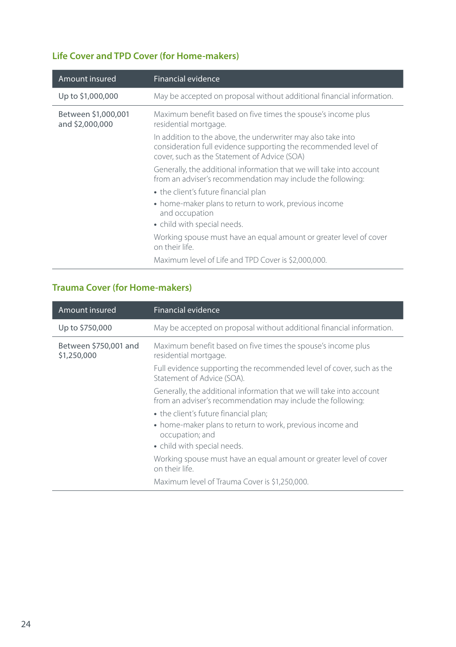### <span id="page-23-0"></span>**Life Cover and TPD Cover (for Home-makers)**

| Amount insured                         | <b>Financial evidence</b>                                                                                                                                                       |
|----------------------------------------|---------------------------------------------------------------------------------------------------------------------------------------------------------------------------------|
| Up to \$1,000,000                      | May be accepted on proposal without additional financial information.                                                                                                           |
| Between \$1,000,001<br>and \$2,000,000 | Maximum benefit based on five times the spouse's income plus<br>residential mortgage.                                                                                           |
|                                        | In addition to the above, the underwriter may also take into<br>consideration full evidence supporting the recommended level of<br>cover, such as the Statement of Advice (SOA) |
|                                        | Generally, the additional information that we will take into account<br>from an adviser's recommendation may include the following:                                             |
|                                        | • the client's future financial plan                                                                                                                                            |
|                                        | • home-maker plans to return to work, previous income<br>and occupation<br>• child with special needs.                                                                          |
|                                        | Working spouse must have an equal amount or greater level of cover<br>on their life.                                                                                            |
|                                        | Maximum level of Life and TPD Cover is \$2,000,000.                                                                                                                             |

### **Trauma Cover (for Home-makers)**

| Amount insured                       | Financial evidence                                                                                                                  |
|--------------------------------------|-------------------------------------------------------------------------------------------------------------------------------------|
| Up to \$750,000                      | May be accepted on proposal without additional financial information.                                                               |
| Between \$750,001 and<br>\$1,250,000 | Maximum benefit based on five times the spouse's income plus<br>residential mortgage.                                               |
|                                      | Full evidence supporting the recommended level of cover, such as the<br>Statement of Advice (SOA).                                  |
|                                      | Generally, the additional information that we will take into account<br>from an adviser's recommendation may include the following: |
|                                      | • the client's future financial plan;                                                                                               |
|                                      | • home-maker plans to return to work, previous income and<br>occupation; and                                                        |
|                                      | • child with special needs.                                                                                                         |
|                                      | Working spouse must have an equal amount or greater level of cover<br>on their life.                                                |
|                                      | Maximum level of Trauma Cover is \$1,250,000.                                                                                       |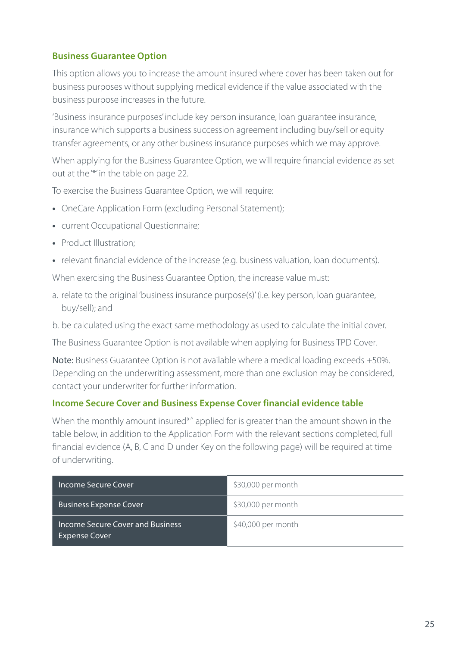### <span id="page-24-0"></span>**Business Guarantee Option**

This option allows you to increase the amount insured where cover has been taken out for business purposes without supplying medical evidence if the value associated with the business purpose increases in the future.

'Business insurance purposes' include key person insurance, loan guarantee insurance, insurance which supports a business succession agreement including buy/sell or equity transfer agreements, or any other business insurance purposes which we may approve.

When applying for the Business Guarantee Option, we will require financial evidence as set out at the '\*' in the table on page [22](#page-21-1).

To exercise the Business Guarantee Option, we will require:

- **•** OneCare Application Form (excluding Personal Statement);
- **•** current Occupational Questionnaire;
- **•** Product Illustration;
- **•** relevant financial evidence of the increase (e.g. business valuation, loan documents).

When exercising the Business Guarantee Option, the increase value must:

- a. relate to the original 'business insurance purpose(s)' (i.e. key person, loan guarantee, buy/sell); and
- b. be calculated using the exact same methodology as used to calculate the initial cover.

The Business Guarantee Option is not available when applying for Business TPD Cover.

Note: Business Guarantee Option is not available where a medical loading exceeds +50%. Depending on the underwriting assessment, more than one exclusion may be considered, contact your underwriter for further information.

#### <span id="page-24-1"></span>**Income Secure Cover and Business Expense Cover financial evidence table**

When the monthly amount insured\*^ applied for is greater than the amount shown in the table below, in addition to the Application Form with the relevant sections completed, full financial evidence (A, B, C and D under Key on the following page) will be required at time of underwriting.

| Income Secure Cover                                      | \$30,000 per month |
|----------------------------------------------------------|--------------------|
| Business Expense Cover                                   | \$30,000 per month |
| Income Secure Cover and Business<br><b>Expense Cover</b> | \$40,000 per month |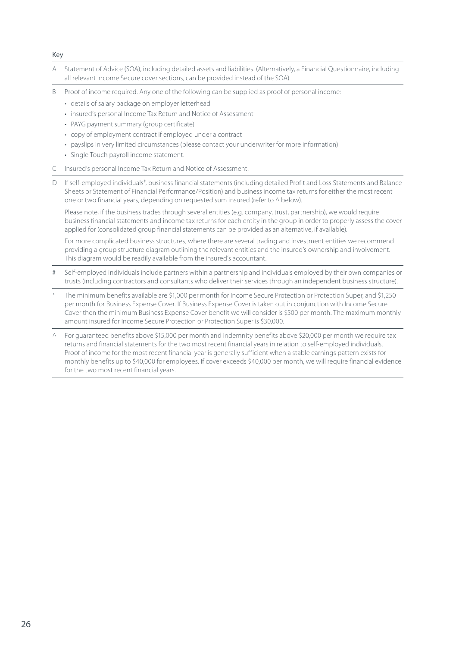- Key
- A Statement of Advice (SOA), including detailed assets and liabilities. (Alternatively, a Financial Questionnaire, including all relevant Income Secure cover sections, can be provided instead of the SOA).
- B Proof of income required. Any one of the following can be supplied as proof of personal income:
	- details of salary package on employer letterhead
	- insured's personal Income Tax Return and Notice of Assessment
	- PAYG payment summary (group certificate)
	- copy of employment contract if employed under a contract
	- payslips in very limited circumstances (please contact your underwriter for more information)
	- Single Touch payroll income statement.
- Insured's personal Income Tax Return and Notice of Assessment.
- D If self-employed individuals<sup>#</sup>, business financial statements (including detailed Profit and Loss Statements and Balance Sheets or Statement of Financial Performance/Position) and business income tax returns for either the most recent one or two financial years, depending on requested sum insured (refer to ^ below).

Please note, if the business trades through several entities (e.g. company, trust, partnership), we would require business financial statements and income tax returns for each entity in the group in order to properly assess the cover applied for (consolidated group financial statements can be provided as an alternative, if available).

For more complicated business structures, where there are several trading and investment entities we recommend providing a group structure diagram outlining the relevant entities and the insured's ownership and involvement. This diagram would be readily available from the insured's accountant.

- Self-employed individuals include partners within a partnership and individuals employed by their own companies or trusts (including contractors and consultants who deliver their services through an independent business structure).
- \* The minimum benefits available are \$1,000 per month for Income Secure Protection or Protection Super, and \$1,250 per month for Business Expense Cover. If Business Expense Cover is taken out in conjunction with Income Secure Cover then the minimum Business Expense Cover benefit we will consider is \$500 per month. The maximum monthly amount insured for Income Secure Protection or Protection Super is \$30,000.
- For guaranteed benefits above \$15,000 per month and indemnity benefits above \$20,000 per month we require tax returns and financial statements for the two most recent financial years in relation to self-employed individuals. Proof of income for the most recent financial year is generally sufficient when a stable earnings pattern exists for monthly benefits up to \$40,000 for employees. If cover exceeds \$40,000 per month, we will require financial evidence for the two most recent financial years.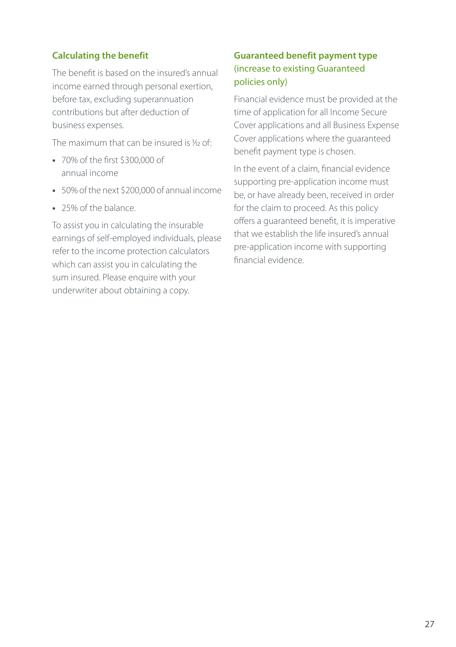### **Calculating the benefit**

The benefit is based on the insured's annual income earned through personal exertion, before tax, excluding superannuation contributions but after deduction of business expenses.

The maximum that can be insured is  $\mathcal{V}_1$  of:

- **•** 70% of the first \$300,000 of annual income
- **•** 50% of the next \$200,000 of annual income
- **•** 25% of the balance.

To assist you in calculating the insurable earnings of self-employed individuals, please refer to the income protection calculators which can assist you in calculating the sum insured. Please enquire with your underwriter about obtaining a copy.

### **Guaranteed benefit payment type** (increase to existing Guaranteed policies only)

Financial evidence must be provided at the time of application for all Income Secure Cover applications and all Business Expense Cover applications where the guaranteed benefit payment type is chosen.

In the event of a claim, financial evidence supporting pre-application income must be, or have already been, received in order for the claim to proceed. As this policy offers a guaranteed benefit, it is imperative that we establish the life insured's annual pre-application income with supporting financial evidence.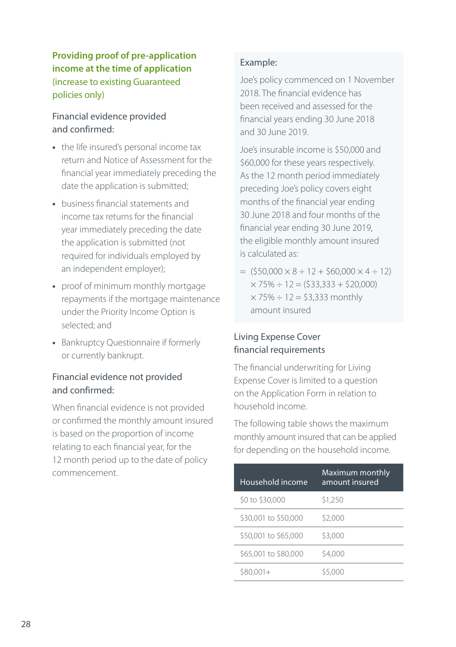### **Providing proof of pre-application income at the time of application** (increase to existing Guaranteed policies only)

### Financial evidence provided and confirmed:

- **•** the life insured's personal income tax return and Notice of Assessment for the financial year immediately preceding the date the application is submitted;
- **•** business financial statements and income tax returns for the financial year immediately preceding the date the application is submitted (not required for individuals employed by an independent employer);
- **•** proof of minimum monthly mortgage repayments if the mortgage maintenance under the Priority Income Option is selected; and
- **•** Bankruptcy Questionnaire if formerly or currently bankrupt.

### Financial evidence not provided and confirmed:

When financial evidence is not provided or confirmed the monthly amount insured is based on the proportion of income relating to each financial year, for the 12 month period up to the date of policy commencement.

### Example:

Joe's policy commenced on 1 November 2018. The financial evidence has been received and assessed for the financial years ending 30 June 2018 and 30 June 2019.

Joe's insurable income is \$50,000 and \$60,000 for these years respectively. As the 12 month period immediately preceding Joe's policy covers eight months of the financial year ending 30 June 2018 and four months of the financial year ending 30 June 2019, the eligible monthly amount insured is calculated as:

 $=$  (\$50,000  $\times$  8 ÷ 12 + \$60,000  $\times$  4 ÷ 12)  $\times$  75% ÷ 12 = (\$33,333 + \$20,000)  $\times$  75%  $\div$  12 = \$3.333 monthly amount insured

### Living Expense Cover financial requirements

The financial underwriting for Living Expense Cover is limited to a question on the Application Form in relation to household income.

The following table shows the maximum monthly amount insured that can be applied for depending on the household income.

| Household income     | Maximum monthly<br>amount insured |
|----------------------|-----------------------------------|
| \$0 to \$30,000      | \$1,250                           |
| \$30,001 to \$50,000 | \$2,000                           |
| \$50,001 to \$65,000 | \$3,000                           |
| \$65,001 to \$80,000 | \$4,000                           |
| S80.001+             | \$5,000                           |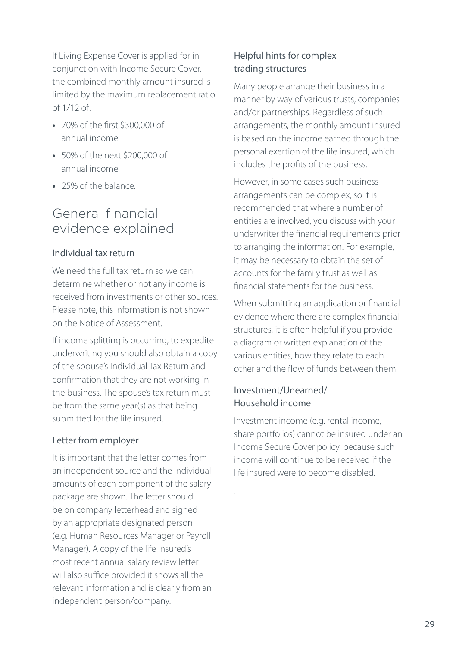<span id="page-28-0"></span>If Living Expense Cover is applied for in conjunction with Income Secure Cover, the combined monthly amount insured is limited by the maximum replacement ratio of 1/12 of:

- **•** 70% of the first \$300,000 of annual income
- **•** 50% of the next \$200,000 of annual income
- 25% of the balance.

### General financial evidence explained

#### Individual tax return

We need the full tax return so we can determine whether or not any income is received from investments or other sources. Please note, this information is not shown on the Notice of Assessment.

If income splitting is occurring, to expedite underwriting you should also obtain a copy of the spouse's Individual Tax Return and confirmation that they are not working in the business. The spouse's tax return must be from the same year(s) as that being submitted for the life insured.

#### Letter from employer

It is important that the letter comes from an independent source and the individual amounts of each component of the salary package are shown. The letter should be on company letterhead and signed by an appropriate designated person (e.g. Human Resources Manager or Payroll Manager). A copy of the life insured's most recent annual salary review letter will also suffice provided it shows all the relevant information and is clearly from an independent person/company.

### Helpful hints for complex trading structures

Many people arrange their business in a manner by way of various trusts, companies and/or partnerships. Regardless of such arrangements, the monthly amount insured is based on the income earned through the personal exertion of the life insured, which includes the profits of the business.

However, in some cases such business arrangements can be complex, so it is recommended that where a number of entities are involved, you discuss with your underwriter the financial requirements prior to arranging the information. For example, it may be necessary to obtain the set of accounts for the family trust as well as financial statements for the business.

When submitting an application or financial evidence where there are complex financial structures, it is often helpful if you provide a diagram or written explanation of the various entities, how they relate to each other and the flow of funds between them.

### Investment/Unearned/ Household income

.

Investment income (e.g. rental income, share portfolios) cannot be insured under an Income Secure Cover policy, because such income will continue to be received if the life insured were to become disabled.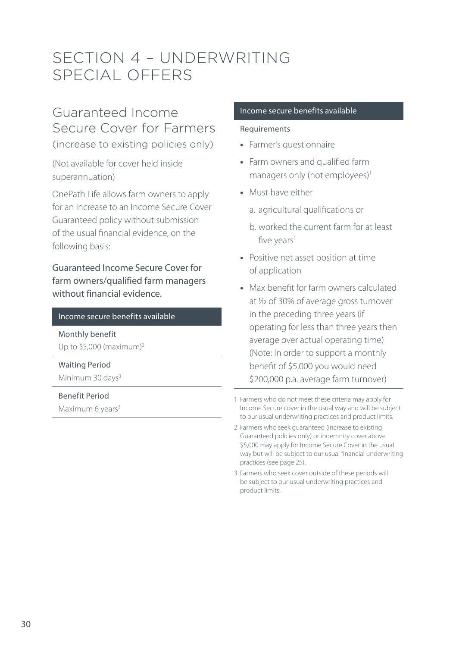# <span id="page-29-0"></span>SECTION 4 – UNDERWRITING SPECIAL OFFERS

### Guaranteed Income Secure Cover for Farmers (increase to existing policies only)

(Not available for cover held inside superannuation)

OnePath Life allows farm owners to apply for an increase to an Income Secure Cover Guaranteed policy without submission of the usual financial evidence, on the following basis:

Guaranteed Income Secure Cover for farm owners/qualified farm managers without financial evidence.

#### Income secure benefits available

Monthly benefit

Up to \$5,000 (maximum)<sup>2</sup>

#### Waiting Period

Minimum 30 days<sup>3</sup>

#### Benefit Period

Maximum 6 years<sup>3</sup>

#### Income secure benefits available

#### Requirements

- **•** Farmer's questionnaire
- **•** Farm owners and qualified farm managers only (not employees)<sup>1</sup>
- **•** Must have either
	- a. agricultural qualifications or
	- b. worked the current farm for at least five years<sup>1</sup>
- **•** Positive net asset position at time of application
- **•** Max benefit for farm owners calculated at 1/2 of 30% of average gross turnover in the preceding three years (if operating for less than three years then average over actual operating time) (Note: In order to support a monthly benefit of \$5,000 you would need \$200,000 p.a. average farm turnover)
- 1 Farmers who do not meet these criteria may apply for Income Secure cover in the usual way and will be subject to our usual underwriting practices and product limits.
- 2 Farmers who seek guaranteed (increase to existing Guaranteed policies only) or indemnity cover above \$5,000 may apply for Income Secure Cover in the usual way but will be subject to our usual financial underwriting practices (see page [25\)](#page-24-1).
- 3 Farmers who seek cover outside of these periods will be subject to our usual underwriting practices and product limits.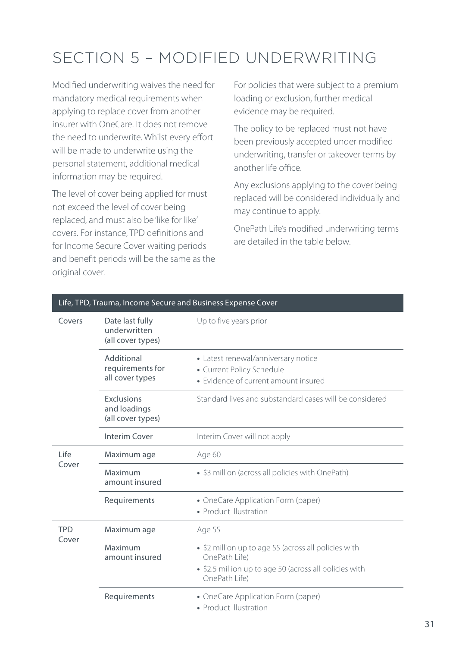# <span id="page-30-0"></span>SECTION 5 – MODIFIED UNDERWRITING

Modified underwriting waives the need for mandatory medical requirements when applying to replace cover from another insurer with OneCare. It does not remove the need to underwrite. Whilst every effort will be made to underwrite using the personal statement, additional medical information may be required.

The level of cover being applied for must not exceed the level of cover being replaced, and must also be 'like for like' covers. For instance, TPD definitions and for Income Secure Cover waiting periods and benefit periods will be the same as the original cover.

For policies that were subject to a premium loading or exclusion, further medical evidence may be required.

The policy to be replaced must not have been previously accepted under modified underwriting, transfer or takeover terms by another life office.

Any exclusions applying to the cover being replaced will be considered individually and may continue to apply.

OnePath Life's modified underwriting terms are detailed in the table below.

| Life, TPD, Trauma, Income Secure and Business Expense Cover |                                                      |                                                                                                                                                  |  |  |
|-------------------------------------------------------------|------------------------------------------------------|--------------------------------------------------------------------------------------------------------------------------------------------------|--|--|
| Covers                                                      | Date last fully<br>underwritten<br>(all cover types) | Up to five years prior                                                                                                                           |  |  |
|                                                             | Additional<br>requirements for<br>all cover types    | • Latest renewal/anniversary notice<br>• Current Policy Schedule<br>• Evidence of current amount insured                                         |  |  |
|                                                             | Exclusions<br>and loadings<br>(all cover types)      | Standard lives and substandard cases will be considered                                                                                          |  |  |
|                                                             | <b>Interim Cover</b>                                 | Interim Cover will not apply                                                                                                                     |  |  |
| Life<br>Cover                                               | Maximum age                                          | Age 60                                                                                                                                           |  |  |
|                                                             | Maximum<br>amount insured                            | • \$3 million (across all policies with OnePath)                                                                                                 |  |  |
|                                                             | Requirements                                         | • OneCare Application Form (paper)<br>• Product Illustration                                                                                     |  |  |
| <b>TPD</b><br>Cover                                         | Maximum age                                          | Age 55                                                                                                                                           |  |  |
|                                                             | Maximum<br>amount insured                            | • \$2 million up to age 55 (across all policies with<br>OnePath Life)<br>• \$2.5 million up to age 50 (across all policies with<br>OnePath Life) |  |  |
|                                                             | Requirements                                         | • OneCare Application Form (paper)<br>• Product Illustration                                                                                     |  |  |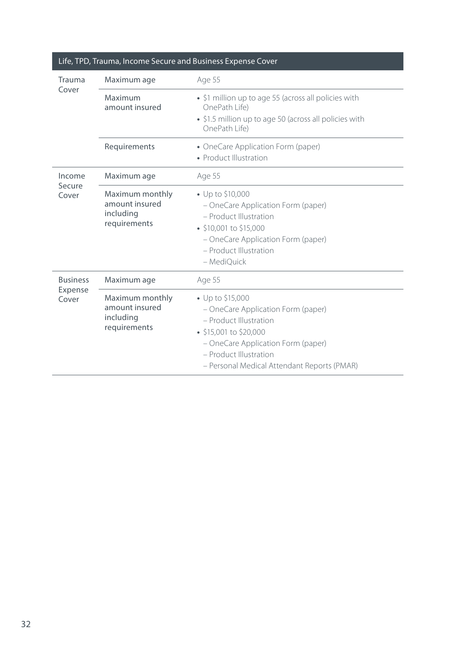| Life, TPD, Trauma, Income Secure and Business Expense Cover |                                                                |                                                                                                                                                                                                                                 |  |
|-------------------------------------------------------------|----------------------------------------------------------------|---------------------------------------------------------------------------------------------------------------------------------------------------------------------------------------------------------------------------------|--|
| Trauma<br>Cover                                             | Maximum age                                                    | Age 55                                                                                                                                                                                                                          |  |
|                                                             | Maximum<br>amount insured                                      | • \$1 million up to age 55 (across all policies with<br>OnePath Life)<br>• \$1.5 million up to age 50 (across all policies with<br>OnePath Life)                                                                                |  |
|                                                             | Requirements                                                   | • OneCare Application Form (paper)<br>• Product Illustration                                                                                                                                                                    |  |
| Income<br>Secure<br>Cover                                   | Maximum age                                                    | Age 55                                                                                                                                                                                                                          |  |
|                                                             | Maximum monthly<br>amount insured<br>including<br>requirements | • Up to \$10,000<br>- OneCare Application Form (paper)<br>- Product Illustration<br>$\cdot$ \$10,001 to \$15,000<br>- OneCare Application Form (paper)<br>- Product Illustration<br>- MediOuick                                 |  |
| <b>Business</b><br>Expense<br>Cover                         | Maximum age                                                    | Age 55                                                                                                                                                                                                                          |  |
|                                                             | Maximum monthly<br>amount insured<br>including<br>requirements | • Up to \$15,000<br>- OneCare Application Form (paper)<br>- Product Illustration<br>$\cdot$ \$15,001 to \$20,000<br>- OneCare Application Form (paper)<br>- Product Illustration<br>- Personal Medical Attendant Reports (PMAR) |  |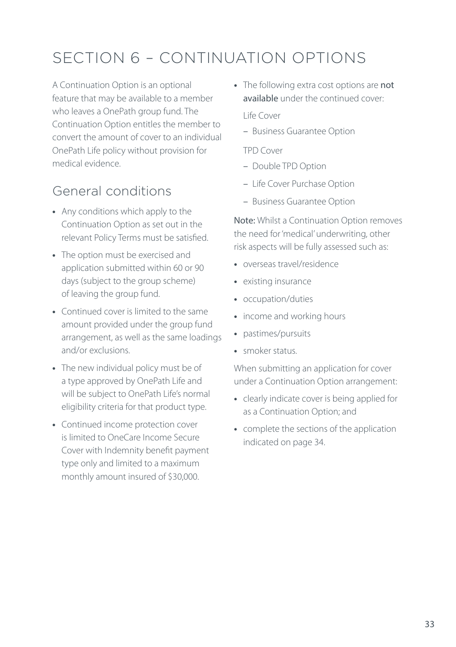# <span id="page-32-0"></span>SECTION 6 – CONTINUATION OPTIONS

A Continuation Option is an optional feature that may be available to a member who leaves a OnePath group fund. The Continuation Option entitles the member to convert the amount of cover to an individual OnePath Life policy without provision for medical evidence.

# General conditions

- **•** Any conditions which apply to the Continuation Option as set out in the relevant Policy Terms must be satisfied.
- **•** The option must be exercised and application submitted within 60 or 90 days (subject to the group scheme) of leaving the group fund.
- **•** Continued cover is limited to the same amount provided under the group fund arrangement, as well as the same loadings and/or exclusions.
- **•** The new individual policy must be of a type approved by OnePath Life and will be subject to OnePath Life's normal eligibility criteria for that product type.
- **•** Continued income protection cover is limited to OneCare Income Secure Cover with Indemnity benefit payment type only and limited to a maximum monthly amount insured of \$30,000.

**•** The following extra cost options are not available under the continued cover:

Life Cover

– Business Guarantee Option

TPD Cover

- Double TPD Option
- Life Cover Purchase Option
- Business Guarantee Option

Note: Whilst a Continuation Option removes the need for 'medical' underwriting, other risk aspects will be fully assessed such as:

- **•** overseas travel/residence
- **•** existing insurance
- **•** occupation/duties
- **•** income and working hours
- **•** pastimes/pursuits
- **•** smoker status.

When submitting an application for cover under a Continuation Option arrangement:

- **•** clearly indicate cover is being applied for as a Continuation Option; and
- **•** complete the sections of the application indicated on page [34](#page-33-0).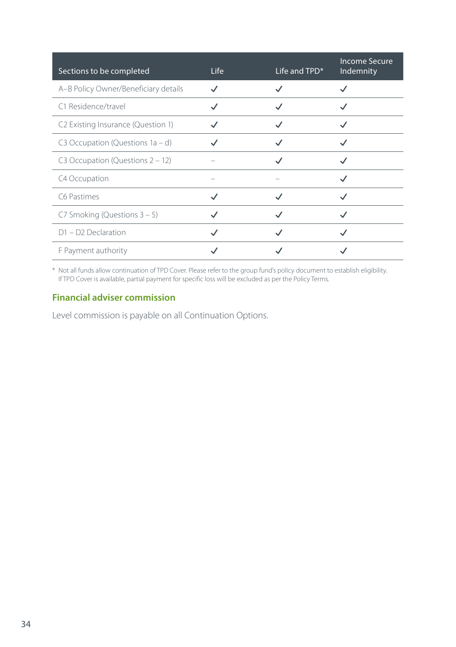<span id="page-33-0"></span>

| Sections to be completed             | Life         | Life and TPD* | <b>Income Secure</b><br>Indemnity |
|--------------------------------------|--------------|---------------|-----------------------------------|
| A-B Policy Owner/Beneficiary details | $\checkmark$ |               |                                   |
| C1 Residence/travel                  |              |               |                                   |
| C2 Existing Insurance (Question 1)   |              |               |                                   |
| C3 Occupation (Questions $1a - d$ )  | $\cdot$      |               |                                   |
| C3 Occupation (Questions 2 - 12)     |              |               |                                   |
| C4 Occupation                        |              |               |                                   |
| C6 Pastimes                          |              |               |                                   |
| C7 Smoking (Questions $3 - 5$ )      |              |               |                                   |
| $D1 - D2$ Declaration                |              |               |                                   |
| F Payment authority                  |              |               |                                   |

\* Not all funds allow continuation of TPD Cover. Please refer to the group fund's policy document to establish eligibility. If TPD Cover is available, partial payment for specific loss will be excluded as per the Policy Terms.

#### **Financial adviser commission**

Level commission is payable on all Continuation Options.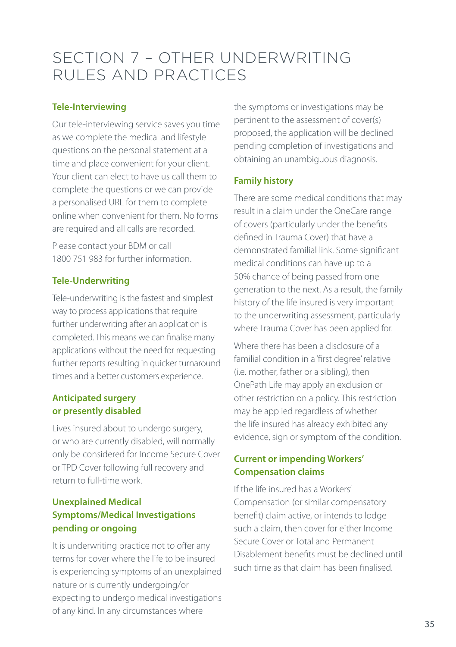# <span id="page-34-0"></span>SECTION 7 – OTHER UNDERWRITING RULES AND PRACTICES

### **Tele-Interviewing**

Our tele-interviewing service saves you time as we complete the medical and lifestyle questions on the personal statement at a time and place convenient for your client. Your client can elect to have us call them to complete the questions or we can provide a personalised URL for them to complete online when convenient for them. No forms are required and all calls are recorded.

Please contact your BDM or call 1800 751 983 for further information.

### **Tele-Underwriting**

Tele-underwriting is the fastest and simplest way to process applications that require further underwriting after an application is completed. This means we can finalise many applications without the need for requesting further reports resulting in quicker turnaround times and a better customers experience.

#### **Anticipated surgery or presently disabled**

Lives insured about to undergo surgery, or who are currently disabled, will normally only be considered for Income Secure Cover or TPD Cover following full recovery and return to full-time work.

### **Unexplained Medical Symptoms/Medical Investigations pending or ongoing**

It is underwriting practice not to offer any terms for cover where the life to be insured is experiencing symptoms of an unexplained nature or is currently undergoing/or expecting to undergo medical investigations of any kind. In any circumstances where

the symptoms or investigations may be pertinent to the assessment of cover(s) proposed, the application will be declined pending completion of investigations and obtaining an unambiguous diagnosis.

### **Family history**

There are some medical conditions that may result in a claim under the OneCare range of covers (particularly under the benefits defined in Trauma Cover) that have a demonstrated familial link. Some significant medical conditions can have up to a 50% chance of being passed from one generation to the next. As a result, the family history of the life insured is very important to the underwriting assessment, particularly where Trauma Cover has been applied for.

Where there has been a disclosure of a familial condition in a 'first degree' relative (i.e. mother, father or a sibling), then OnePath Life may apply an exclusion or other restriction on a policy. This restriction may be applied regardless of whether the life insured has already exhibited any evidence, sign or symptom of the condition.

### **Current or impending Workers' Compensation claims**

If the life insured has a Workers' Compensation (or similar compensatory benefit) claim active, or intends to lodge such a claim, then cover for either Income Secure Cover or Total and Permanent Disablement benefits must be declined until such time as that claim has been finalised.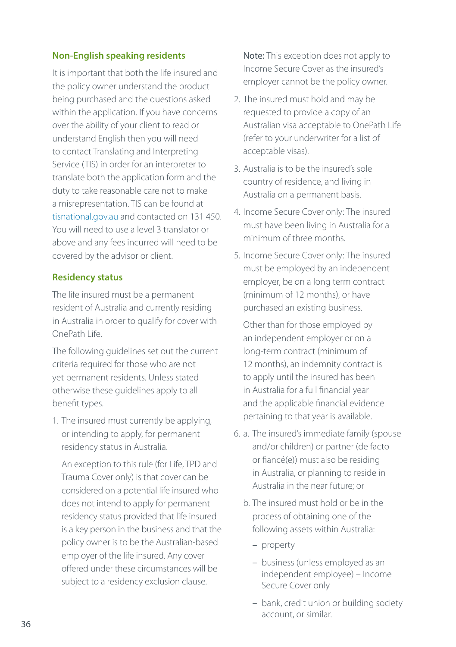#### **Non-English speaking residents**

It is important that both the life insured and the policy owner understand the product being purchased and the questions asked within the application. If you have concerns over the ability of your client to read or understand English then you will need to contact Translating and Interpreting Service (TIS) in order for an interpreter to translate both the application form and the duty to take reasonable care not to make a misrepresentation. TIS can be found at [tisnational.gov.au](http://tisnational.gov.au) and contacted on 131 450. You will need to use a level 3 translator or above and any fees incurred will need to be covered by the advisor or client.

#### **Residency status**

The life insured must be a permanent resident of Australia and currently residing in Australia in order to qualify for cover with OnePath Life.

The following guidelines set out the current criteria required for those who are not yet permanent residents. Unless stated otherwise these guidelines apply to all benefit types.

1. The insured must currently be applying, or intending to apply, for permanent residency status in Australia.

An exception to this rule (for Life, TPD and Trauma Cover only) is that cover can be considered on a potential life insured who does not intend to apply for permanent residency status provided that life insured is a key person in the business and that the policy owner is to be the Australian-based employer of the life insured. Any cover offered under these circumstances will be subject to a residency exclusion clause.

Note: This exception does not apply to Income Secure Cover as the insured's employer cannot be the policy owner.

- 2. The insured must hold and may be requested to provide a copy of an Australian visa acceptable to OnePath Life (refer to your underwriter for a list of acceptable visas).
- 3. Australia is to be the insured's sole country of residence, and living in Australia on a permanent basis.
- 4. Income Secure Cover only: The insured must have been living in Australia for a minimum of three months.
- 5. Income Secure Cover only: The insured must be employed by an independent employer, be on a long term contract (minimum of 12 months), or have purchased an existing business.

Other than for those employed by an independent employer or on a long-term contract (minimum of 12 months), an indemnity contract is to apply until the insured has been in Australia for a full financial year and the applicable financial evidence pertaining to that year is available.

- 6. a. The insured's immediate family (spouse and/or children) or partner (de facto or fiancé(e)) must also be residing in Australia, or planning to reside in Australia in the near future; or
	- b. The insured must hold or be in the process of obtaining one of the following assets within Australia:
		- property
		- business (unless employed as an independent employee) – Income Secure Cover only
		- bank, credit union or building society account, or similar.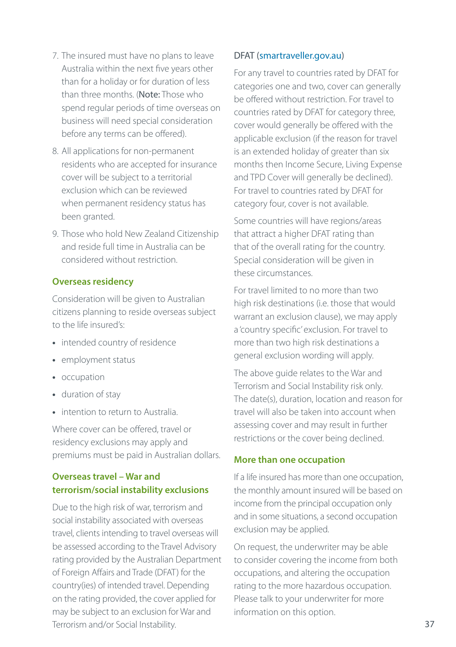- 7. The insured must have no plans to leave Australia within the next five years other than for a holiday or for duration of less than three months. (Note: Those who spend regular periods of time overseas on business will need special consideration before any terms can be offered).
- 8. All applications for non-permanent residents who are accepted for insurance cover will be subject to a territorial exclusion which can be reviewed when permanent residency status has been granted.
- 9. Those who hold New Zealand Citizenship and reside full time in Australia can be considered without restriction.

#### **Overseas residency**

Consideration will be given to Australian citizens planning to reside overseas subject to the life insured's:

- **•** intended country of residence
- **•** employment status
- **•** occupation
- **•** duration of stay
- **•** intention to return to Australia.

Where cover can be offered, travel or residency exclusions may apply and premiums must be paid in Australian dollars.

# **Overseas travel – War and terrorism/social instability exclusions**

Due to the high risk of war, terrorism and social instability associated with overseas travel, clients intending to travel overseas will be assessed according to the Travel Advisory rating provided by the Australian Department of Foreign Affairs and Trade (DFAT) for the country(ies) of intended travel. Depending on the rating provided, the cover applied for may be subject to an exclusion for War and Terrorism and/or Social Instability.

#### DFAT ([smartraveller.gov.au](http://smartraveller.gov.au))

For any travel to countries rated by DFAT for categories one and two, cover can generally be offered without restriction. For travel to countries rated by DFAT for category three, cover would generally be offered with the applicable exclusion (if the reason for travel is an extended holiday of greater than six months then Income Secure, Living Expense and TPD Cover will generally be declined). For travel to countries rated by DFAT for category four, cover is not available.

Some countries will have regions/areas that attract a higher DFAT rating than that of the overall rating for the country. Special consideration will be given in these circumstances.

For travel limited to no more than two high risk destinations (i.e. those that would warrant an exclusion clause), we may apply a 'country specific' exclusion. For travel to more than two high risk destinations a general exclusion wording will apply.

The above guide relates to the War and Terrorism and Social Instability risk only. The date(s), duration, location and reason for travel will also be taken into account when assessing cover and may result in further restrictions or the cover being declined.

#### **More than one occupation**

If a life insured has more than one occupation, the monthly amount insured will be based on income from the principal occupation only and in some situations, a second occupation exclusion may be applied.

On request, the underwriter may be able to consider covering the income from both occupations, and altering the occupation rating to the more hazardous occupation. Please talk to your underwriter for more information on this option.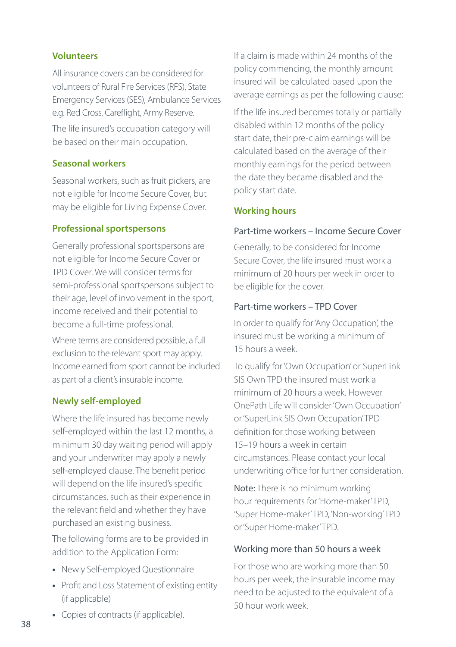### **Volunteers**

All insurance covers can be considered for volunteers of Rural Fire Services (RFS), State Emergency Services (SES), Ambulance Services e.g. Red Cross, Careflight, Army Reserve.

The life insured's occupation category will be based on their main occupation.

### **Seasonal workers**

Seasonal workers, such as fruit pickers, are not eligible for Income Secure Cover, but may be eligible for Living Expense Cover.

#### **Professional sportspersons**

Generally professional sportspersons are not eligible for Income Secure Cover or TPD Cover. We will consider terms for semi-professional sportspersons subject to their age, level of involvement in the sport, income received and their potential to become a full-time professional.

Where terms are considered possible, a full exclusion to the relevant sport may apply. Income earned from sport cannot be included as part of a client's insurable income.

#### **Newly self-employed**

Where the life insured has become newly self-employed within the last 12 months, a minimum 30 day waiting period will apply and your underwriter may apply a newly self-employed clause. The benefit period will depend on the life insured's specific circumstances, such as their experience in the relevant field and whether they have purchased an existing business.

The following forms are to be provided in addition to the Application Form:

- **•** Newly Self-employed Questionnaire
- **•** Profit and Loss Statement of existing entity (if applicable)

If a claim is made within 24 months of the policy commencing, the monthly amount insured will be calculated based upon the average earnings as per the following clause:

If the life insured becomes totally or partially disabled within 12 months of the policy start date, their pre-claim earnings will be calculated based on the average of their monthly earnings for the period between the date they became disabled and the policy start date.

#### **Working hours**

#### Part-time workers – Income Secure Cover

Generally, to be considered for Income Secure Cover, the life insured must work a minimum of 20 hours per week in order to be eligible for the cover.

#### Part-time workers – TPD Cover

In order to qualify for 'Any Occupation', the insured must be working a minimum of 15 hours a week.

To qualify for 'Own Occupation' or SuperLink SIS Own TPD the insured must work a minimum of 20 hours a week. However OnePath Life will consider 'Own Occupation' or 'SuperLink SIS Own Occupation' TPD definition for those working between 15–19 hours a week in certain circumstances. Please contact your local underwriting office for further consideration.

Note: There is no minimum working hour requirements for 'Home-maker' TPD, 'Super Home-maker' TPD, 'Non-working' TPD or 'Super Home-maker' TPD.

#### Working more than 50 hours a week

For those who are working more than 50 hours per week, the insurable income may need to be adjusted to the equivalent of a 50 hour work week.

**•** Copies of contracts (if applicable).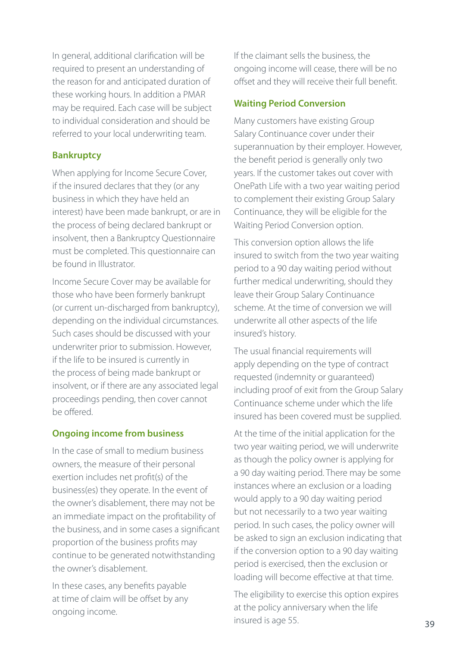In general, additional clarification will be required to present an understanding of the reason for and anticipated duration of these working hours. In addition a PMAR may be required. Each case will be subject to individual consideration and should be referred to your local underwriting team.

#### **Bankruptcy**

When applying for Income Secure Cover, if the insured declares that they (or any business in which they have held an interest) have been made bankrupt, or are in the process of being declared bankrupt or insolvent, then a Bankruptcy Questionnaire must be completed. This questionnaire can be found in Illustrator.

Income Secure Cover may be available for those who have been formerly bankrupt (or current un-discharged from bankruptcy), depending on the individual circumstances. Such cases should be discussed with your underwriter prior to submission. However, if the life to be insured is currently in the process of being made bankrupt or insolvent, or if there are any associated legal proceedings pending, then cover cannot be offered.

#### **Ongoing income from business**

In the case of small to medium business owners, the measure of their personal exertion includes net profit(s) of the business(es) they operate. In the event of the owner's disablement, there may not be an immediate impact on the profitability of the business, and in some cases a significant proportion of the business profits may continue to be generated notwithstanding the owner's disablement.

In these cases, any benefits payable at time of claim will be offset by any ongoing income.

If the claimant sells the business, the ongoing income will cease, there will be no offset and they will receive their full benefit.

#### **Waiting Period Conversion**

Many customers have existing Group Salary Continuance cover under their superannuation by their employer. However, the benefit period is generally only two years. If the customer takes out cover with OnePath Life with a two year waiting period to complement their existing Group Salary Continuance, they will be eligible for the Waiting Period Conversion option.

This conversion option allows the life insured to switch from the two year waiting period to a 90 day waiting period without further medical underwriting, should they leave their Group Salary Continuance scheme. At the time of conversion we will underwrite all other aspects of the life insured's history.

The usual financial requirements will apply depending on the type of contract requested (indemnity or guaranteed) including proof of exit from the Group Salary Continuance scheme under which the life insured has been covered must be supplied.

At the time of the initial application for the two year waiting period, we will underwrite as though the policy owner is applying for a 90 day waiting period. There may be some instances where an exclusion or a loading would apply to a 90 day waiting period but not necessarily to a two year waiting period. In such cases, the policy owner will be asked to sign an exclusion indicating that if the conversion option to a 90 day waiting period is exercised, then the exclusion or loading will become effective at that time.

The eligibility to exercise this option expires at the policy anniversary when the life insured is age 55.  $\frac{39}{2}$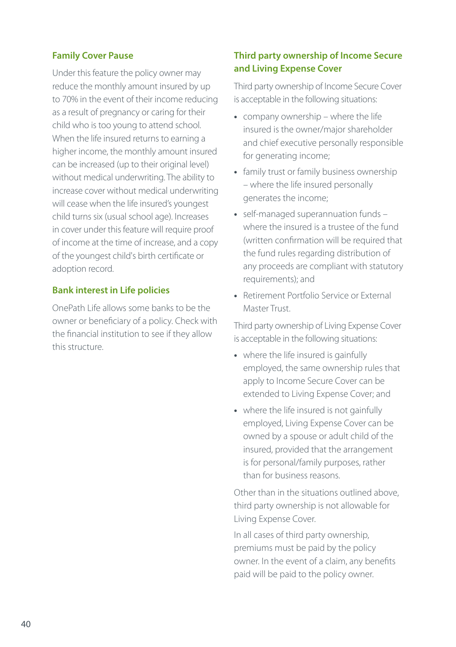### **Family Cover Pause**

Under this feature the policy owner may reduce the monthly amount insured by up to 70% in the event of their income reducing as a result of pregnancy or caring for their child who is too young to attend school. When the life insured returns to earning a higher income, the monthly amount insured can be increased (up to their original level) without medical underwriting. The ability to increase cover without medical underwriting will cease when the life insured's youngest child turns six (usual school age). Increases in cover under this feature will require proof of income at the time of increase, and a copy of the youngest child's birth certificate or adoption record.

### **Bank interest in Life policies**

OnePath Life allows some banks to be the owner or beneficiary of a policy. Check with the financial institution to see if they allow this structure.

# **Third party ownership of Income Secure and Living Expense Cover**

Third party ownership of Income Secure Cover is acceptable in the following situations:

- **•** company ownership where the life insured is the owner/major shareholder and chief executive personally responsible for generating income;
- **•** family trust or family business ownership – where the life insured personally generates the income;
- **•** self-managed superannuation funds where the insured is a trustee of the fund (written confirmation will be required that the fund rules regarding distribution of any proceeds are compliant with statutory requirements); and
- **•** Retirement Portfolio Service or External Master Trust.

Third party ownership of Living Expense Cover is acceptable in the following situations:

- **•** where the life insured is gainfully employed, the same ownership rules that apply to Income Secure Cover can be extended to Living Expense Cover; and
- where the life insured is not gainfully employed, Living Expense Cover can be owned by a spouse or adult child of the insured, provided that the arrangement is for personal/family purposes, rather than for business reasons.

Other than in the situations outlined above, third party ownership is not allowable for Living Expense Cover.

In all cases of third party ownership, premiums must be paid by the policy owner. In the event of a claim, any benefits paid will be paid to the policy owner.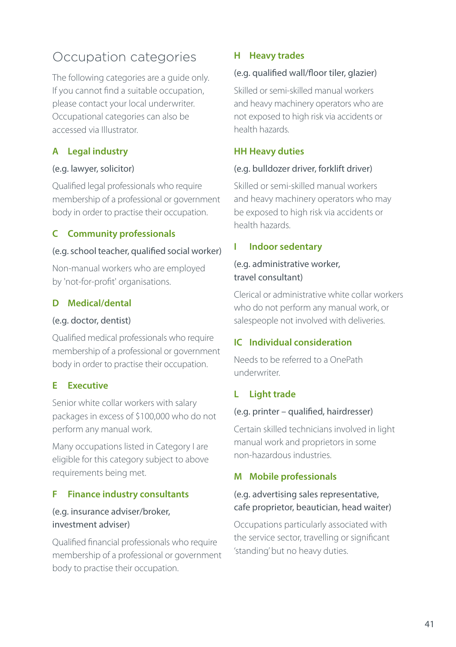# Occupation categories

The following categories are a guide only. If you cannot find a suitable occupation, please contact your local underwriter. Occupational categories can also be accessed via Illustrator.

# **A Legal industry**

#### (e.g. lawyer, solicitor)

Qualified legal professionals who require membership of a professional or government body in order to practise their occupation.

# **C Community professionals**

#### (e.g. school teacher, qualified social worker)

Non-manual workers who are employed by 'not-for-profit' organisations.

### **D Medical/dental**

### (e.g. doctor, dentist)

Qualified medical professionals who require membership of a professional or government body in order to practise their occupation.

# **E Executive**

Senior white collar workers with salary packages in excess of \$100,000 who do not perform any manual work.

Many occupations listed in Category I are eligible for this category subject to above requirements being met.

# **F Finance industry consultants**

# (e.g. insurance adviser/broker, investment adviser)

Qualified financial professionals who require membership of a professional or government body to practise their occupation.

### **H Heavy trades**

### (e.g. qualified wall/floor tiler, glazier)

Skilled or semi-skilled manual workers and heavy machinery operators who are not exposed to high risk via accidents or health hazards.

### **HH Heavy duties**

### (e.g. bulldozer driver, forklift driver)

Skilled or semi-skilled manual workers and heavy machinery operators who may be exposed to high risk via accidents or health hazards.

### **I Indoor sedentary**

# (e.g. administrative worker, travel consultant)

Clerical or administrative white collar workers who do not perform any manual work, or salespeople not involved with deliveries.

# **IC Individual consideration**

Needs to be referred to a OnePath underwriter.

# **L Light trade**

### (e.g. printer – qualified, hairdresser)

Certain skilled technicians involved in light manual work and proprietors in some non-hazardous industries.

# **M Mobile professionals**

### (e.g. advertising sales representative, cafe proprietor, beautician, head waiter)

Occupations particularly associated with the service sector, travelling or significant 'standing' but no heavy duties.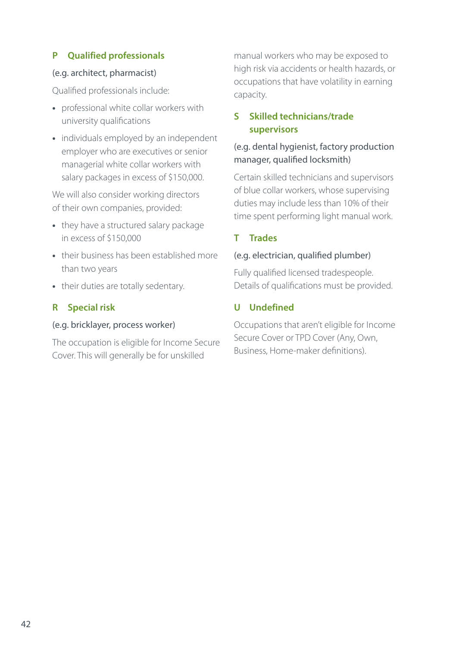# **P Qualified professionals**

### (e.g. architect, pharmacist)

Qualified professionals include:

- **•** professional white collar workers with university qualifications
- **•** individuals employed by an independent employer who are executives or senior managerial white collar workers with salary packages in excess of \$150,000.

We will also consider working directors of their own companies, provided:

- **•** they have a structured salary package in excess of \$150,000
- **•** their business has been established more than two years
- **•** their duties are totally sedentary.

### **R Special risk**

#### (e.g. bricklayer, process worker)

The occupation is eligible for Income Secure Cover. This will generally be for unskilled

manual workers who may be exposed to high risk via accidents or health hazards, or occupations that have volatility in earning capacity.

# **S Skilled technicians/trade supervisors**

# (e.g. dental hygienist, factory production manager, qualified locksmith)

Certain skilled technicians and supervisors of blue collar workers, whose supervising duties may include less than 10% of their time spent performing light manual work.

# **T Trades**

### (e.g. electrician, qualified plumber)

Fully qualified licensed tradespeople. Details of qualifications must be provided.

# **U Undefined**

Occupations that aren't eligible for Income Secure Cover or TPD Cover (Any, Own, Business, Home-maker definitions).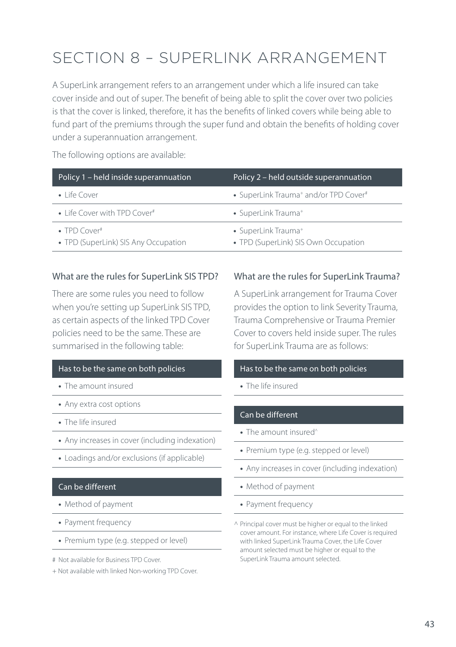# SECTION 8 – SUPERLINK ARRANGEMENT

A SuperLink arrangement refers to an arrangement under which a life insured can take cover inside and out of super. The benefit of being able to split the cover over two policies is that the cover is linked, therefore, it has the benefits of linked covers while being able to fund part of the premiums through the super fund and obtain the benefits of holding cover under a superannuation arrangement.

The following options are available:

| Policy 1 – held inside superannuation                                    | Policy 2 – held outside superannuation                                  |
|--------------------------------------------------------------------------|-------------------------------------------------------------------------|
| $\bullet$ life Cover                                                     | • SuperLink Trauma <sup>+</sup> and/or TPD Cover <sup>#</sup>           |
| • Life Cover with TPD Cover#                                             | • SuperLink Trauma+                                                     |
| $\bullet$ TPD Cover <sup>#</sup><br>• TPD (SuperLink) SIS Any Occupation | • SuperLink Trauma <sup>+</sup><br>• TPD (SuperLink) SIS Own Occupation |

#### What are the rules for SuperLink SIS TPD?

There are some rules you need to follow when you're setting up SuperLink SIS TPD, as certain aspects of the linked TPD Cover policies need to be the same. These are summarised in the following table:

#### Has to be the same on both policies

- **•** The amount insured
- **•** Any extra cost options
- **•** The life insured
- **•** Any increases in cover (including indexation)
- **•** Loadings and/or exclusions (if applicable)

#### Can be different

- **•** Method of payment
- **•** Payment frequency
- **•** Premium type (e.g. stepped or level)
- # Not available for Business TPD Cover.
- + Not available with linked Non-working TPD Cover.

### What are the rules for SuperLink Trauma?

A SuperLink arrangement for Trauma Cover provides the option to link Severity Trauma, Trauma Comprehensive or Trauma Premier Cover to covers held inside super. The rules for SuperLink Trauma are as follows:

#### Has to be the same on both policies

**•** The life insured

#### Can be different

- **•** The amount insured^
- **•** Premium type (e.g. stepped or level)
- **•** Any increases in cover (including indexation)
- **•** Method of payment
- **•** Payment frequency

<sup>^</sup> Principal cover must be higher or equal to the linked cover amount. For instance, where Life Cover is required with linked SuperLink Trauma Cover, the Life Cover amount selected must be higher or equal to the SuperLink Trauma amount selected.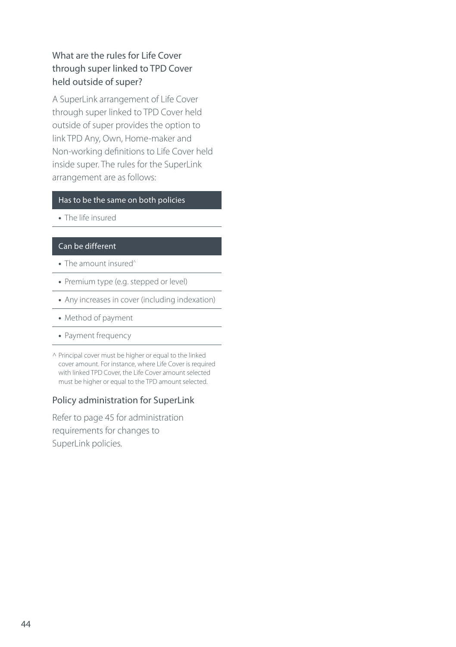# What are the rules for Life Cover through super linked to TPD Cover held outside of super?

A SuperLink arrangement of Life Cover through super linked to TPD Cover held outside of super provides the option to link TPD Any, Own, Home-maker and Non-working definitions to Life Cover held inside super. The rules for the SuperLink arrangement are as follows:

#### Has to be the same on both policies

**•** The life insured

#### Can be different

- **•** The amount insured^
- **•** Premium type (e.g. stepped or level)
- **•** Any increases in cover (including indexation)
- **•** Method of payment
- **•** Payment frequency

^ Principal cover must be higher or equal to the linked cover amount. For instance, where Life Cover is required with linked TPD Cover, the Life Cover amount selected must be higher or equal to the TPD amount selected.

### Policy administration for SuperLink

Refer to page [45](#page-44-0) for administration requirements for changes to SuperLink policies.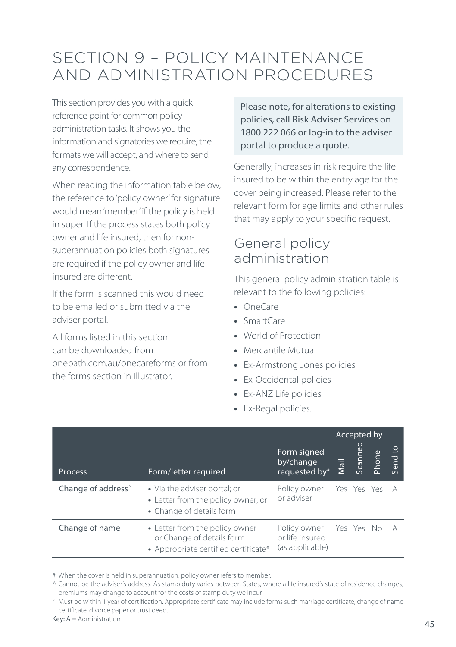# SECTION 9 – POLICY MAINTENANCE AND ADMINISTRATION PROCEDURES

This section provides you with a quick reference point for common policy administration tasks. It shows you the information and signatories we require, the formats we will accept, and where to send any correspondence.

When reading the information table below, the reference to 'policy owner' for signature would mean 'member' if the policy is held in super. If the process states both policy owner and life insured, then for nonsuperannuation policies both signatures are required if the policy owner and life insured are different.

If the form is scanned this would need to be emailed or submitted via the adviser portal.

All forms listed in this section can be downloaded from [onepath.com.au/onecareforms](http://onepath.com.au/onecareforms) or from the forms section in Illustrator.

Please note, for alterations to existing policies, call Risk Adviser Services on 1800 222 066 or log-in to the adviser portal to produce a quote.

Generally, increases in risk require the life insured to be within the entry age for the cover being increased. Please refer to the relevant form for age limits and other rules that may apply to your specific request.

# <span id="page-44-0"></span>General policy administration

This general policy administration table is relevant to the following policies:

- **•** OneCare
- **•** SmartCare
- **•** World of Protection
- **•** Mercantile Mutual
- **•** Ex-Armstrong Jones policies
- **•** Ex-Occidental policies
- **•** Ex-ANZ Life policies
- **•** Ex-Regal policies.

| Process                        | Form/letter required                                                                                | Form signed<br>by/change<br>requested by#                       | Accepted by<br>Mail<br>Scanned<br>Phone | Sendto |
|--------------------------------|-----------------------------------------------------------------------------------------------------|-----------------------------------------------------------------|-----------------------------------------|--------|
| Change of address <sup>^</sup> | • Via the adviser portal; or<br>• Letter from the policy owner; or<br>• Change of details form      | Policy owner Yes Yes Yes A<br>or adviser                        |                                         |        |
| Change of name                 | • Letter from the policy owner<br>or Change of details form<br>• Appropriate certified certificate* | Policy owner Yes Yes No A<br>or life insured<br>(as applicable) |                                         |        |

# When the cover is held in superannuation, policy owner refers to member.

<sup>^</sup> Cannot be the adviser's address. As stamp duty varies between States, where a life insured's state of residence changes, premiums may change to account for the costs of stamp duty we incur.

<sup>\*</sup> Must be within 1 year of certification. Appropriate certificate may include forms such marriage certificate, change of name certificate, divorce paper or trust deed.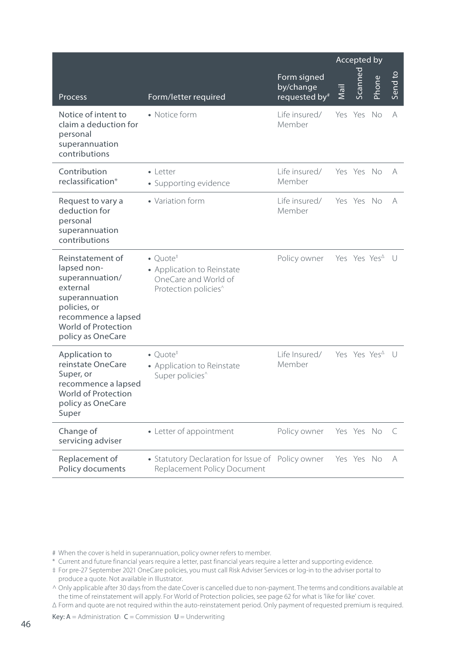|                                                                                                                                                                     |                                                                                                                        |                                           |      |            | Accepted by                |         |
|---------------------------------------------------------------------------------------------------------------------------------------------------------------------|------------------------------------------------------------------------------------------------------------------------|-------------------------------------------|------|------------|----------------------------|---------|
| <b>Process</b>                                                                                                                                                      | Form/letter required                                                                                                   | Form signed<br>by/change<br>requested by# | lieM | Scanned    | Phone                      | Send to |
| Notice of intent to<br>claim a deduction for<br>personal<br>superannuation<br>contributions                                                                         | • Notice form                                                                                                          | Life insured/<br>Member                   |      | Yes Yes No |                            | A       |
| Contribution<br>reclassification*                                                                                                                                   | • Letter<br>• Supporting evidence                                                                                      | I ife insured/<br>Member                  |      | Yes Yes No |                            | A       |
| Request to vary a<br>deduction for<br>personal<br>superannuation<br>contributions                                                                                   | • Variation form                                                                                                       | I ife insured/<br>Member                  |      | Yes Yes No |                            | A       |
| Reinstatement of<br>lapsed non-<br>superannuation/<br>external<br>superannuation<br>policies, or<br>recommence a lapsed<br>World of Protection<br>policy as OneCare | $\bullet$ Ouote <sup>#</sup><br>• Application to Reinstate<br>OneCare and World of<br>Protection policies <sup>^</sup> | Policy owner                              |      |            | Yes Yes Yes <sup>∆</sup>   | U       |
| Application to<br>reinstate OneCare<br>Super, or<br>recommence a lapsed<br><b>World of Protection</b><br>policy as OneCare<br>Super                                 | $\bullet$ Ouote <sup>#</sup><br>• Application to Reinstate<br>Super policies <sup>^</sup>                              | Life Insured/<br>Member                   |      |            | Yes Yes Yes <sup>A</sup> U |         |
| Change of<br>servicing adviser                                                                                                                                      | • Letter of appointment                                                                                                | Policy owner                              |      | Yes Yes No |                            | C       |
| Replacement of<br>Policy documents                                                                                                                                  | • Statutory Declaration for Issue of Policy owner<br>Replacement Policy Document                                       |                                           |      | Yes Yes No |                            | A       |

- \* Current and future financial years require a letter, past financial years require a letter and supporting evidence.
- ‡ For pre-27 September 2021 OneCare policies, you must call Risk Adviser Services or log-in to the adviser portal to produce a quote. Not available in Illustrator.

^ Only applicable after 30 days from the date Cover is cancelled due to non-payment. The terms and conditions available at the time of reinstatement will apply. For World of Protection policies, see page 62 for what is 'like for like' cover.

Δ Form and quote are not required within the auto-reinstatement period. Only payment of requested premium is required.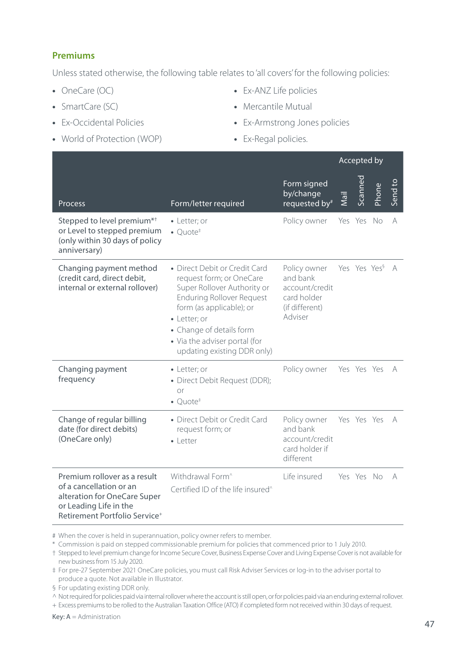### **Premiums**

Unless stated otherwise, the following table relates to 'all covers' for the following policies:

- **•** OneCare (OC)
- **•** SmartCare (SC)
- **•** Ex-Occidental Policies
- **•** World of Protection (WOP)
- **•** Ex-ANZ Life policies
- **•** Mercantile Mutual
- **•** Ex-Armstrong Jones policies
- **•** Ex-Regal policies.

|                                                                                                                                                                |                                                                                                                                                                                                                                                                      |                                                                                        |      | Accepted by |                            |         |
|----------------------------------------------------------------------------------------------------------------------------------------------------------------|----------------------------------------------------------------------------------------------------------------------------------------------------------------------------------------------------------------------------------------------------------------------|----------------------------------------------------------------------------------------|------|-------------|----------------------------|---------|
| Process                                                                                                                                                        | Form/letter required                                                                                                                                                                                                                                                 | Form signed<br>by/change<br>requested by#                                              | Nail | Scanned     | Phone                      | Send to |
| Stepped to level premium* <sup>†</sup><br>or Level to stepped premium<br>(only within 30 days of policy<br>anniversary)                                        | • Letter; or<br>$\bullet$ Ouote <sup>#</sup>                                                                                                                                                                                                                         | Policy owner                                                                           |      | Yes Yes     | No                         | A       |
| Changing payment method<br>(credit card, direct debit,<br>internal or external rollover)                                                                       | • Direct Debit or Credit Card<br>request form; or OneCare<br>Super Rollover Authority or<br><b>Enduring Rollover Request</b><br>form (as applicable); or<br>• Letter: or<br>• Change of details form<br>• Via the adviser portal (for<br>updating existing DDR only) | Policy owner<br>and bank<br>account/credit<br>card holder<br>(if different)<br>Adviser |      |             | Yes Yes Yes <sup>§</sup> A |         |
| Changing payment<br>frequency                                                                                                                                  | • Letter; or<br>• Direct Debit Request (DDR);<br><b>or</b><br>$\bullet$ Ouote <sup>#</sup>                                                                                                                                                                           | Policy owner                                                                           |      | Yes Yes Yes |                            | A       |
| Change of regular billing<br>date (for direct debits)<br>(OneCare only)                                                                                        | • Direct Debit or Credit Card<br>request form; or<br>• Letter                                                                                                                                                                                                        | Policy owner<br>and bank<br>account/credit<br>card holder if<br>different              |      | Yes Yes Yes |                            | A       |
| Premium rollover as a result<br>of a cancellation or an<br>alteration for OneCare Super<br>or Leading Life in the<br>Retirement Portfolio Service <sup>+</sup> | Withdrawal Form <sup>^</sup><br>Certified ID of the life insured <sup>^</sup>                                                                                                                                                                                        | Life insured                                                                           |      | Yes Yes No  |                            | A       |

# When the cover is held in superannuation, policy owner refers to member.

\* Commission is paid on stepped commissionable premium for policies that commenced prior to 1 July 2010.

† Stepped to level premium change for Income Secure Cover, Business Expense Cover and Living Expense Cover is not available for new business from 15 July 2020.

‡ For pre-27 September 2021 OneCare policies, you must call Risk Adviser Services or log-in to the adviser portal to produce a quote. Not available in Illustrator.

§ For updating existing DDR only.

^ Not required for policies paid via internal rollover where the account is still open, or for policies paid via an enduring external rollover.

+ Excess premiums to be rolled to the Australian Taxation Office (ATO) if completed form not received within 30 days of request.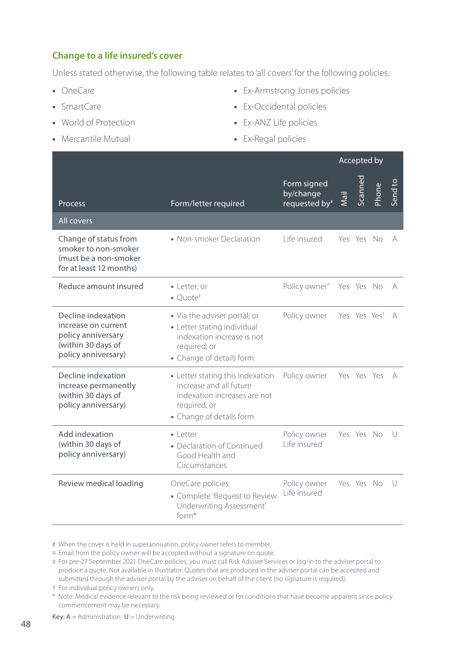### **Change to a life insured's cover**

Unless stated otherwise, the following table relates to 'all covers' for the following policies:

- **•** OneCare
- **•** SmartCare
- **•** World of Protection
- **•** Mercantile Mutual
- **•** Ex-Armstrong Jones policies
- **•** Ex-Occidental policies
- **•** Ex-ANZ Life policies
- **•** Ex-Regal policies

|                                                                                                              |                                                                                                                                         | Accepted by                               |      |             |                          |         |
|--------------------------------------------------------------------------------------------------------------|-----------------------------------------------------------------------------------------------------------------------------------------|-------------------------------------------|------|-------------|--------------------------|---------|
| Process                                                                                                      | Form/letter required                                                                                                                    | Form signed<br>by/change<br>requested by# | Nail | Scannec     | hone                     | Send to |
| All covers                                                                                                   |                                                                                                                                         |                                           |      |             |                          |         |
| Change of status from<br>smoker to non-smoker<br>(must be a non-smoker<br>for at least 12 months)            | • Non-smoker Declaration                                                                                                                | I ife insured                             |      | Yes Yes No  |                          | A       |
| Reduce amount insured                                                                                        | • Letter; or<br>$\bullet$ Quote <sup>#</sup>                                                                                            | Policy owner <sup>¤</sup> Yes Yes No      |      |             |                          | A       |
| Decline indexation<br>increase on current<br>policy anniversary<br>(within 30 days of<br>policy anniversary) | • Via the adviser portal; or<br>• Letter stating individual<br>indexation increase is not<br>required; or<br>• Change of details form   | Policy owner                              |      |             | Yes Yes Yes <sup>+</sup> | A       |
| Decline indexation<br>increase permanently<br>(within 30 days of<br>policy anniversary)                      | • Letter stating this indexation<br>increase and all future<br>indexation increases are not<br>required; or<br>• Change of details form | Policy owner                              |      | Yes Yes Yes |                          | A       |
| Add indexation<br>(within 30 days of<br>policy anniversary)                                                  | $\bullet$   etter<br>· Declaration of Continued<br>Good Health and<br>Circumstances                                                     | Policy owner<br>I ife insured             |      | Yes Yes No  |                          | U       |
| Review medical loading                                                                                       | OneCare policies:<br>• Complete 'Request to Review<br>Underwriting Assessment'<br>$form*$                                               | Policy owner<br>I ife insured             |      | Yes Yes No  |                          | U       |

# When the cover is held in superannuation, policy owner refers to member.

¤ Email from the policy owner will be accepted without a signature on quote.

‡ For pre-27 September 2021 OneCare policies, you must call Risk Adviser Services or log-in to the adviser portal to produce a quote. Not available in Illustrator. Quotes that are produced in the adviser portal can be accepted and submitted through the adviser portal by the adviser on behalf of the client (no signature is required).

† For individual policy owners only.

\* Note: Medical evidence relevant to the risk being reviewed or for conditions that have become apparent since policy commencement may be necessary.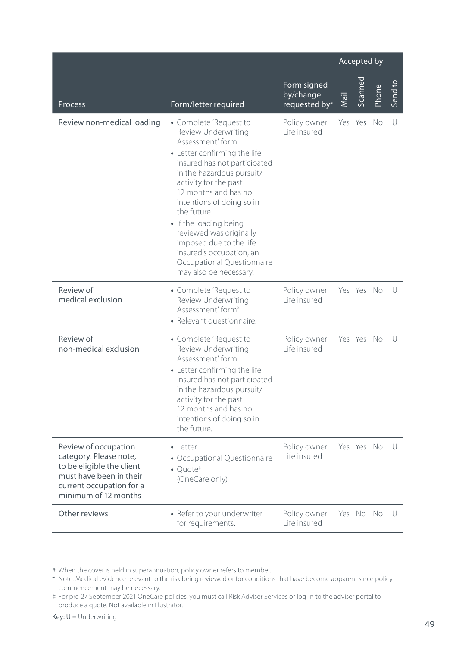|                                                                                                                                                            |                                                                                                                                                                                                                                                                                                                                                                                                                                       | Accepted by                               |      |            |           |         |
|------------------------------------------------------------------------------------------------------------------------------------------------------------|---------------------------------------------------------------------------------------------------------------------------------------------------------------------------------------------------------------------------------------------------------------------------------------------------------------------------------------------------------------------------------------------------------------------------------------|-------------------------------------------|------|------------|-----------|---------|
| Process                                                                                                                                                    | Form/letter required                                                                                                                                                                                                                                                                                                                                                                                                                  | Form signed<br>by/change<br>requested by# | Nail | Scanned    | Phone     | Send to |
| Review non-medical loading                                                                                                                                 | • Complete 'Request to<br><b>Review Underwriting</b><br>Assessment' form<br>• Letter confirming the life<br>insured has not participated<br>in the hazardous pursuit/<br>activity for the past<br>12 months and has no<br>intentions of doing so in<br>the future<br>• If the loading being<br>reviewed was originally<br>imposed due to the life<br>insured's occupation, an<br>Occupational Questionnaire<br>may also be necessary. | Policy owner<br>Life insured              |      | Yes Yes    | <b>No</b> | $\cup$  |
| Review of<br>medical exclusion                                                                                                                             | • Complete 'Request to<br>Review Underwriting<br>Assessment' form*<br>• Relevant questionnaire.                                                                                                                                                                                                                                                                                                                                       | Policy owner<br>Life insured              |      | Yes Yes No |           | U       |
| Review of<br>non-medical exclusion                                                                                                                         | • Complete 'Request to<br>Review Underwriting<br>Assessment' form<br>• Letter confirming the life<br>insured has not participated<br>in the hazardous pursuit/<br>activity for the past<br>12 months and has no<br>intentions of doing so in<br>the future.                                                                                                                                                                           | Policy owner<br>Life insured              |      | Yes Yes No |           | $\cup$  |
| Review of occupation<br>category. Please note,<br>to be eligible the client<br>must have been in their<br>current occupation for a<br>minimum of 12 months | $\bullet$   etter<br>• Occupational Questionnaire<br>$\bullet$ Ouote <sup>‡</sup><br>(OneCare only)                                                                                                                                                                                                                                                                                                                                   | Policy owner<br>Life insured              |      | Yes Yes No |           | U       |
| Other reviews                                                                                                                                              | • Refer to your underwriter<br>for requirements.                                                                                                                                                                                                                                                                                                                                                                                      | Policy owner<br>Life insured              |      | Yes No     | - No      | U       |

<sup>#</sup> When the cover is held in superannuation, policy owner refers to member.

<sup>\*</sup> Note: Medical evidence relevant to the risk being reviewed or for conditions that have become apparent since policy commencement may be necessary.

<sup>‡</sup> For pre-27 September 2021 OneCare policies, you must call Risk Adviser Services or log-in to the adviser portal to produce a quote. Not available in Illustrator.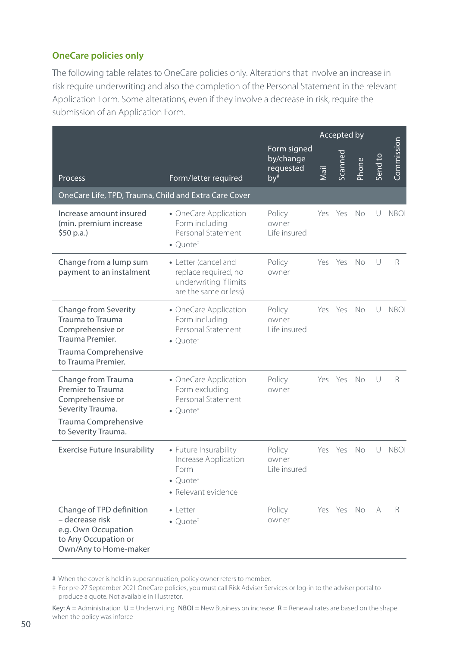# **OneCare policies only**

The following table relates to OneCare policies only. Alterations that involve an increase in risk require underwriting and also the completion of the Personal Statement in the relevant Application Form. Some alterations, even if they involve a decrease in risk, require the submission of an Application Form.

|                                                                                                                                      |                                                                                                              | Accepted by                                  |      |         |       |         |             |  |  |
|--------------------------------------------------------------------------------------------------------------------------------------|--------------------------------------------------------------------------------------------------------------|----------------------------------------------|------|---------|-------|---------|-------------|--|--|
| Process                                                                                                                              | Form/letter required                                                                                         | Form signed<br>by/change<br>requested<br>by# | Mail | Scanned | Phone | Send to | Commission  |  |  |
| OneCare Life, TPD, Trauma, Child and Extra Care Cover                                                                                |                                                                                                              |                                              |      |         |       |         |             |  |  |
| Increase amount insured<br>(min. premium increase<br>$$50 p.a.$ )                                                                    | • OneCare Application<br>Form including<br>Personal Statement<br>$\bullet$ Ouote <sup>#</sup>                | Policy<br>owner<br>Life insured              |      | Yes Yes | No.   | U       | <b>NBOI</b> |  |  |
| Change from a lump sum<br>payment to an instalment                                                                                   | • Letter (cancel and<br>replace required, no<br>underwriting if limits<br>are the same or less)              | Policy<br>owner                              |      | Yes Yes | No.   | $\cup$  | R           |  |  |
| Change from Severity<br><b>Trauma to Trauma</b><br>Comprehensive or<br>Trauma Premier.<br>Trauma Comprehensive<br>to Trauma Premier. | • OneCare Application<br>Form including<br>Personal Statement<br>$\bullet$ Quote <sup>#</sup>                | Policy<br>owner<br>Life insured              |      | Yes Yes | No.   | U       | <b>NBOI</b> |  |  |
| Change from Trauma<br>Premier to Trauma<br>Comprehensive or<br>Severity Trauma.<br>Trauma Comprehensive<br>to Severity Trauma.       | • OneCare Application<br>Form excluding<br>Personal Statement<br>$\bullet$ Quote <sup>#</sup>                | Policy<br>owner                              |      | Yes Yes | No.   | U       | R           |  |  |
| <b>Exercise Future Insurability</b>                                                                                                  | • Future Insurability<br>Increase Application<br>Form<br>$\bullet$ Ouote <sup>#</sup><br>• Relevant evidence | Policy<br>owner<br>Life insured              |      | Yes Yes | No.   | $\cup$  | <b>NBOI</b> |  |  |
| Change of TPD definition<br>- decrease risk<br>e.g. Own Occupation<br>to Any Occupation or<br>Own/Any to Home-maker                  | $\bullet$   etter<br>$\bullet$ Ouote <sup>#</sup>                                                            | Policy<br>owner                              |      | Yes Yes | No.   | А       | R           |  |  |

# When the cover is held in superannuation, policy owner refers to member.

‡ For pre-27 September 2021 OneCare policies, you must call Risk Adviser Services or log-in to the adviser portal to produce a quote. Not available in Illustrator.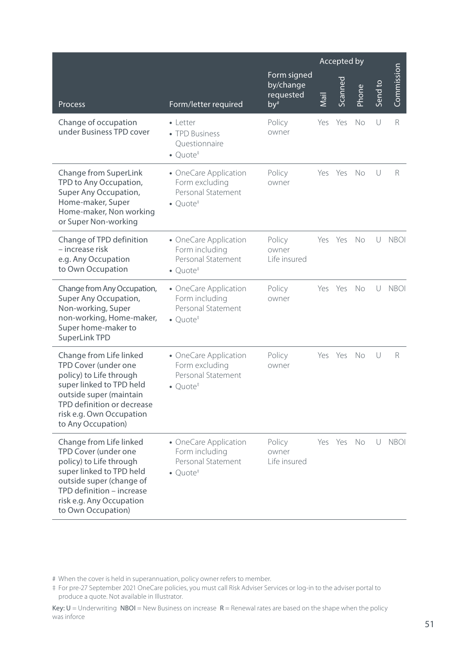|                                                                                                                                                                                                                   |                                                                                               | Accepted by                                  |       |         |           |         |             |
|-------------------------------------------------------------------------------------------------------------------------------------------------------------------------------------------------------------------|-----------------------------------------------------------------------------------------------|----------------------------------------------|-------|---------|-----------|---------|-------------|
| Process                                                                                                                                                                                                           | Form/letter required                                                                          | Form signed<br>by/change<br>requested<br>by# | Viail | Scanned | Phone     | Send to | Commission  |
| Change of occupation<br>under Business TPD cover                                                                                                                                                                  | • Letter<br>• TPD Business<br>Ouestionnaire<br>$\bullet$ Ouote <sup>#</sup>                   | Policy<br>owner                              | Yes   | Yes     | No        | $\cup$  | R           |
| Change from SuperLink<br>TPD to Any Occupation,<br>Super Any Occupation,<br>Home-maker, Super<br>Home-maker, Non working<br>or Super Non-working                                                                  | • OneCare Application<br>Form excluding<br>Personal Statement<br>$\bullet$ Ouote <sup>#</sup> | Policy<br>owner                              |       | Yes Yes | No        | $\cup$  | R           |
| Change of TPD definition<br>– increase risk<br>e.g. Any Occupation<br>to Own Occupation                                                                                                                           | • OneCare Application<br>Form including<br>Personal Statement<br>$\bullet$ Quote <sup>#</sup> | Policy<br>owner<br>Life insured              |       | Yes Yes | <b>No</b> | U       | <b>NBOI</b> |
| Change from Any Occupation,<br>Super Any Occupation,<br>Non-working, Super<br>non-working, Home-maker,<br>Super home-maker to<br>SuperLink TPD                                                                    | • OneCare Application<br>Form including<br>Personal Statement<br>$\bullet$ Ouote <sup>#</sup> | Policy<br>owner                              |       | Yes Yes | <b>No</b> | $\cup$  | <b>NBOI</b> |
| Change from Life linked<br>TPD Cover (under one<br>policy) to Life through<br>super linked to TPD held<br>outside super (maintain<br>TPD definition or decrease<br>risk e.g. Own Occupation<br>to Any Occupation) | • OneCare Application<br>Form excluding<br>Personal Statement<br>$\bullet$ Ouote <sup>#</sup> | Policy<br>owner                              | Yes   | Yes     | No        | $\cup$  | R           |
| Change from Life linked<br>TPD Cover (under one<br>policy) to Life through<br>super linked to TPD held<br>outside super (change of<br>TPD definition - increase<br>risk e.g. Any Occupation<br>to Own Occupation) | • OneCare Application<br>Form including<br>Personal Statement<br>$\bullet$ Ouote <sup>#</sup> | Policy<br>owner<br>Life insured              |       | Yes Yes | <b>No</b> | U       | <b>NBOI</b> |

# When the cover is held in superannuation, policy owner refers to member. ‡ For pre-27 September 2021 OneCare policies, you must call Risk Adviser Services or log-in to the adviser portal to produce a quote. Not available in Illustrator.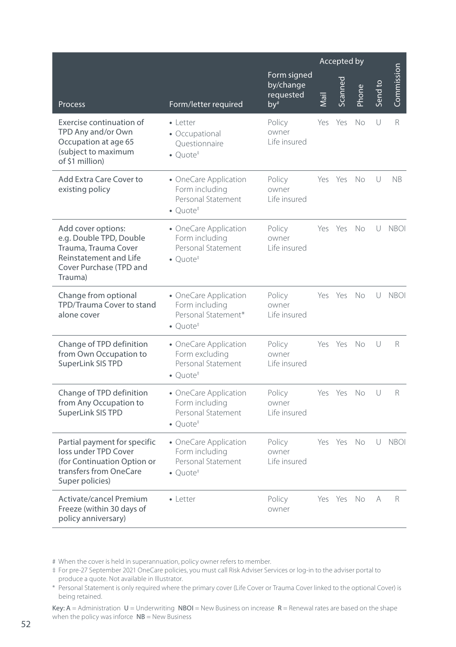|                                                                                                                                              |                                                                                                |                                              | Accepted by |         |           |         |             |
|----------------------------------------------------------------------------------------------------------------------------------------------|------------------------------------------------------------------------------------------------|----------------------------------------------|-------------|---------|-----------|---------|-------------|
| Process                                                                                                                                      | Form/letter required                                                                           | Form signed<br>by/change<br>requested<br>by# | Viail       | Scanned | Phone     | Send to | Commission  |
| Exercise continuation of<br>TPD Any and/or Own<br>Occupation at age 65<br>(subject to maximum<br>of \$1 million)                             | • Letter<br>• Occupational<br>Ouestionnaire<br>$\bullet$ Ouote <sup>#</sup>                    | Policy<br>owner<br>Life insured              | Yes         | Yes     | No.       | U       | R           |
| Add Extra Care Cover to<br>existing policy                                                                                                   | • OneCare Application<br>Form including<br>Personal Statement<br>$\bullet$ Ouote <sup>#</sup>  | Policy<br>owner<br>Life insured              |             | Yes Yes | <b>No</b> | U       | <b>NB</b>   |
| Add cover options:<br>e.g. Double TPD, Double<br>Trauma, Trauma Cover<br><b>Reinstatement and Life</b><br>Cover Purchase (TPD and<br>Trauma) | • OneCare Application<br>Form including<br>Personal Statement<br>$\bullet$ Ouote <sup>#</sup>  | Policy<br>owner<br>Life insured              |             | Yes Yes | No.       | U       | <b>NBOI</b> |
| Change from optional<br>TPD/Trauma Cover to stand<br>alone cover                                                                             | • OneCare Application<br>Form including<br>Personal Statement*<br>$\bullet$ Ouote <sup>#</sup> | Policy<br>owner<br>Life insured              |             | Yes Yes | <b>No</b> | U       | <b>NBOI</b> |
| Change of TPD definition<br>from Own Occupation to<br>SuperLink SIS TPD                                                                      | • OneCare Application<br>Form excludina<br>Personal Statement<br>$\bullet$ Ouote <sup>#</sup>  | Policy<br>owner<br>Life insured              |             | Yes Yes | <b>No</b> | $\cup$  | R           |
| Change of TPD definition<br>from Any Occupation to<br>SuperLink SIS TPD                                                                      | • OneCare Application<br>Form includina<br>Personal Statement<br>$\bullet$ Ouote <sup>#</sup>  | Policy<br>owner<br>I ife insured             |             | Yes Yes | <b>No</b> | U       | R           |
| Partial payment for specific<br>loss under TPD Cover<br>(for Continuation Option or<br>transfers from OneCare<br>Super policies)             | • OneCare Application<br>Form including<br>Personal Statement<br>$\bullet$ Ouote <sup>#</sup>  | Policy<br>owner<br>Life insured              |             | Yes Yes | <b>No</b> | U       | <b>NBOI</b> |
| Activate/cancel Premium<br>Freeze (within 30 days of<br>policy anniversary)                                                                  | • Letter                                                                                       | Policy<br>owner                              |             | Yes Yes | <b>No</b> | A       | R           |

- ‡ For pre-27 September 2021 OneCare policies, you must call Risk Adviser Services or log-in to the adviser portal to produce a quote. Not available in Illustrator.
- \* Personal Statement is only required where the primary cover (Life Cover or Trauma Cover linked to the optional Cover) is being retained.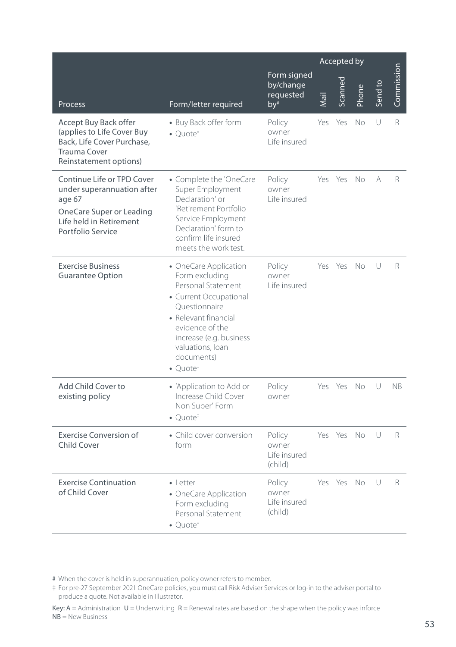|                                                                                                                                                |                                                                                                                                                                                                                                                  | Accepted by                                              |      |         |           |         |                |
|------------------------------------------------------------------------------------------------------------------------------------------------|--------------------------------------------------------------------------------------------------------------------------------------------------------------------------------------------------------------------------------------------------|----------------------------------------------------------|------|---------|-----------|---------|----------------|
| Process                                                                                                                                        | Form/letter required                                                                                                                                                                                                                             | Form signed<br>by/change<br>requested<br>by <sup>#</sup> | Nail | Scanneo | Phone     | Send to | Commission     |
| Accept Buy Back offer<br>(applies to Life Cover Buy<br>Back, Life Cover Purchase,<br><b>Trauma Cover</b><br>Reinstatement options)             | • Buy Back offer form<br>$\bullet$ Ouote <sup>#</sup>                                                                                                                                                                                            | Policy<br>owner<br>Life insured                          | Yes  | Yes     | No        | $\cup$  | R              |
| Continue Life or TPD Cover<br>under superannuation after<br>age 67<br>OneCare Super or Leading<br>Life held in Retirement<br>Portfolio Service | • Complete the 'OneCare<br>Super Employment<br>Declaration' or<br>'Retirement Portfolio<br>Service Employment<br>Declaration' form to<br>confirm life insured<br>meets the work test.                                                            | Policy<br>owner<br>Life insured                          |      | Yes Yes | <b>No</b> | A       | R              |
| <b>Exercise Business</b><br><b>Guarantee Option</b>                                                                                            | • OneCare Application<br>Form excluding<br>Personal Statement<br>• Current Occupational<br>Questionnaire<br>• Relevant financial<br>evidence of the<br>increase (e.g. business<br>valuations, loan<br>documents)<br>$\bullet$ Ouote <sup>#</sup> | Policy<br>owner<br>Life insured                          |      | Yes Yes | <b>No</b> | $\cup$  | R              |
| Add Child Cover to<br>existing policy                                                                                                          | • 'Application to Add or<br>Increase Child Cover<br>Non Super' Form<br>$\bullet$ Ouote <sup>#</sup>                                                                                                                                              | Policy<br>owner                                          |      | Yes Yes | <b>No</b> | $\cup$  | N <sub>B</sub> |
| <b>Exercise Conversion of</b><br><b>Child Cover</b>                                                                                            | • Child cover conversion<br>form                                                                                                                                                                                                                 | Policy<br>owner<br>Life insured<br>(child)               |      | Yes Yes | <b>No</b> | $\cup$  | R              |
| <b>Exercise Continuation</b><br>of Child Cover                                                                                                 | $\bullet$   etter<br>• OneCare Application<br>Form excluding<br>Personal Statement<br>$\bullet$ Quote <sup>#</sup>                                                                                                                               | Policy<br>owner<br>Life insured<br>(child)               |      | Yes Yes | <b>No</b> | $\cup$  | R              |

# When the cover is held in superannuation, policy owner refers to member. ‡ For pre-27 September 2021 OneCare policies, you must call Risk Adviser Services or log-in to the adviser portal to produce a quote. Not available in Illustrator.

Key:  $A =$  Administration  $U =$  Underwriting  $R =$  Renewal rates are based on the shape when the policy was inforce NB = New Business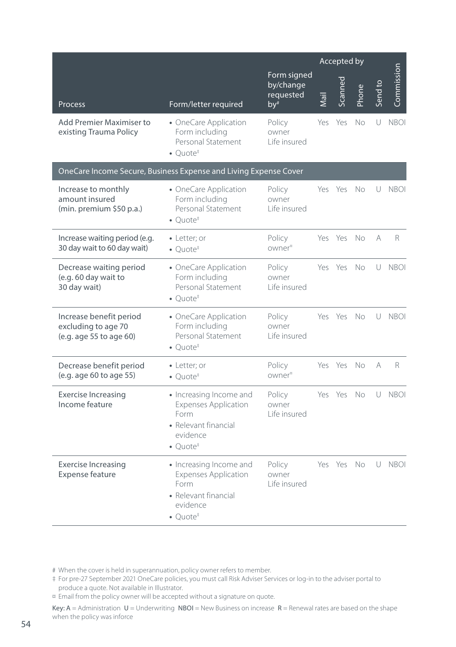|                                                                           |                                                                                                                                    |                                              | Accepted by |         |           |         |             |
|---------------------------------------------------------------------------|------------------------------------------------------------------------------------------------------------------------------------|----------------------------------------------|-------------|---------|-----------|---------|-------------|
| Process                                                                   | Form/letter required                                                                                                               | Form signed<br>by/change<br>requested<br>by# | Jiey        | pennes  | Phone     | Send to | Commission  |
| Add Premier Maximiser to<br>existing Trauma Policy                        | • OneCare Application<br>Form including<br>Personal Statement<br>$\bullet$ Ouote <sup>#</sup>                                      | Policy<br>owner<br>Life insured              | Yes         | Yes     | No        | U       | <b>NBOI</b> |
| OneCare Income Secure, Business Expense and Living Expense Cover          |                                                                                                                                    |                                              |             |         |           |         |             |
| Increase to monthly<br>amount insured<br>(min. premium \$50 p.a.)         | • OneCare Application<br>Form including<br>Personal Statement<br>$\bullet$ Ouote <sup>#</sup>                                      | Policy<br>owner<br>Life insured              |             | Yes Yes | <b>No</b> | U       | <b>NBOI</b> |
| Increase waiting period (e.g.<br>30 day wait to 60 day wait)              | • Letter; or<br>$\bullet$ Ouote <sup>#</sup>                                                                                       | Policy<br>owner <sup>¤</sup>                 |             | Yes Yes | No.       | А       | R           |
| Decrease waiting period<br>(e.g. 60 day wait to<br>30 day wait)           | • OneCare Application<br>Form including<br>Personal Statement<br>$\bullet$ Ouote <sup>#</sup>                                      | Policy<br>owner<br>Life insured              |             | Yes Yes | No.       | U       | <b>NBOI</b> |
| Increase benefit period<br>excluding to age 70<br>(e.g. age 55 to age 60) | • OneCare Application<br>Form including<br>Personal Statement<br>$\bullet$ Ouote <sup>#</sup>                                      | Policy<br>owner<br>Life insured              |             | Yes Yes | <b>No</b> | U       | <b>NBOI</b> |
| Decrease benefit period<br>(e.g. age 60 to age 55)                        | • Letter; or<br>$\bullet$ Ouote <sup>#</sup>                                                                                       | Policy<br>owner                              |             | Yes Yes | <b>No</b> | A       | R           |
| <b>Exercise Increasing</b><br>Income feature                              | • Increasing Income and<br><b>Expenses Application</b><br>Form<br>• Relevant financial<br>evidence<br>$\bullet$ Ouote <sup>#</sup> | Policy<br>owner<br>Life insured              |             | Yes Yes | No.       | U       | <b>NBOI</b> |
| <b>Exercise Increasing</b><br><b>Expense feature</b>                      | • Increasing Income and<br><b>Expenses Application</b><br>Form<br>• Relevant financial<br>evidence<br>$\bullet$ Quote <sup>#</sup> | Policy<br>owner<br>Life insured              |             | Yes Yes | No.       | U       | <b>NBOI</b> |

‡ For pre-27 September 2021 OneCare policies, you must call Risk Adviser Services or log-in to the adviser portal to produce a quote. Not available in Illustrator.

¤ Email from the policy owner will be accepted without a signature on quote.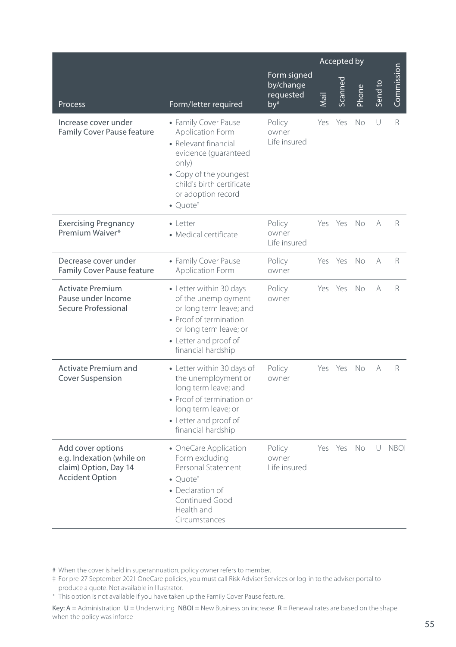|                                                                                                   |                                                                                                                                                                                                                |                                              |       | Accepted by |                 |         |             |
|---------------------------------------------------------------------------------------------------|----------------------------------------------------------------------------------------------------------------------------------------------------------------------------------------------------------------|----------------------------------------------|-------|-------------|-----------------|---------|-------------|
| Process                                                                                           | Form/letter required                                                                                                                                                                                           | Form signed<br>by/change<br>requested<br>by# | Viail | Scanned     | <sup>hone</sup> | Send to | Commission  |
| Increase cover under<br><b>Family Cover Pause feature</b>                                         | • Family Cover Pause<br>Application Form<br>• Relevant financial<br>evidence (quaranteed<br>only)<br>• Copy of the youngest<br>child's birth certificate<br>or adoption record<br>$\bullet$ Quote <sup>#</sup> | Policy<br>owner<br>Life insured              | Yes   | Yes         | No              | U       | R           |
| <b>Exercising Pregnancy</b><br>Premium Waiver*                                                    | $\bullet$   etter<br>• Medical certificate                                                                                                                                                                     | Policy<br>owner<br>Life insured              |       | Yes Yes     | No              | A       | R           |
| Decrease cover under<br><b>Family Cover Pause feature</b>                                         | • Family Cover Pause<br>Application Form                                                                                                                                                                       | Policy<br>owner                              | Yes   | Yes         | <b>No</b>       | A       | R           |
| <b>Activate Premium</b><br>Pause under Income<br>Secure Professional                              | • Letter within 30 days<br>of the unemployment<br>or long term leave; and<br>• Proof of termination<br>or long term leave; or<br>• Letter and proof of<br>financial hardship                                   | Policy<br>owner                              | Yes   | Yes         | <b>No</b>       | А       | R           |
| Activate Premium and<br><b>Cover Suspension</b>                                                   | • Letter within 30 days of<br>the unemployment or<br>long term leave; and<br>• Proof of termination or<br>long term leave; or<br>• Letter and proof of<br>financial hardship                                   | Policy<br>owner                              |       | Yes Yes     | <b>No</b>       | A       | R           |
| Add cover options<br>e.g. Indexation (while on<br>claim) Option, Day 14<br><b>Accident Option</b> | • OneCare Application<br>Form excluding<br>Personal Statement<br>$\bullet$ Ouote <sup>#</sup><br>• Declaration of<br>Continued Good<br>Health and<br>Circumstances                                             | Policy<br>owner<br>I ife insured             | Yes.  | Yes         | No              | U       | <b>NBOI</b> |

‡ For pre-27 September 2021 OneCare policies, you must call Risk Adviser Services or log-in to the adviser portal to produce a quote. Not available in Illustrator.

\* This option is not available if you have taken up the Family Cover Pause feature.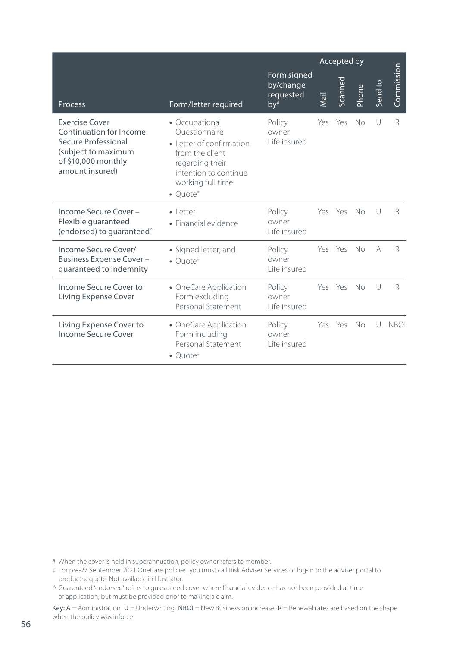|                                                                                                                                   |                                                                                                                                                                                 |                                                          |      | Accepted by |              |                |             |
|-----------------------------------------------------------------------------------------------------------------------------------|---------------------------------------------------------------------------------------------------------------------------------------------------------------------------------|----------------------------------------------------------|------|-------------|--------------|----------------|-------------|
| Process                                                                                                                           | Form/letter required                                                                                                                                                            | Form signed<br>by/change<br>requested<br>by <sup>#</sup> | Mail | Scanned     | <b>Phone</b> | Send to        | Commission  |
| Exercise Cover<br>Continuation for Income<br>Secure Professional<br>(subject to maximum<br>of \$10,000 monthly<br>amount insured) | • Occupational<br>Ouestionnaire<br>· Letter of confirmation<br>from the client<br>regarding their<br>intention to continue<br>working full time<br>$\bullet$ Ouote <sup>#</sup> | Policy<br>owner<br>Life insured                          | Yes. | Yes         | No           |                | R           |
| Income Secure Cover -<br>Flexible guaranteed<br>(endorsed) to quaranteed <sup>^</sup>                                             | $\bullet$   etter<br>· Financial evidence                                                                                                                                       | Policy<br>owner<br>Life insured                          |      | Yes Yes     | <b>No</b>    | $\cup$         | R           |
| Income Secure Cover/<br>Business Expense Cover-<br>quaranteed to indemnity                                                        | • Signed letter; and<br>$\bullet$ Quote <sup>#</sup>                                                                                                                            | Policy<br>owner<br>Life insured                          |      | Yes Yes No  |              | $\overline{A}$ | R           |
| Income Secure Cover to<br>Living Expense Cover                                                                                    | • OneCare Application<br>Form excluding<br>Personal Statement                                                                                                                   | Policy<br>owner<br>Life insured                          |      | Yes Yes     | <b>No</b>    | U              | R           |
| Living Expense Cover to<br>Income Secure Cover                                                                                    | • OneCare Application<br>Form including<br>Personal Statement<br>$\bullet$ Ouote <sup>#</sup>                                                                                   | Policy<br>owner<br>I ife insured                         |      | Yes Yes     | <b>No</b>    | U              | <b>NBOI</b> |

- ‡ For pre-27 September 2021 OneCare policies, you must call Risk Adviser Services or log-in to the adviser portal to produce a quote. Not available in Illustrator.
- ^ Guaranteed 'endorsed' refers to guaranteed cover where financial evidence has not been provided at time of application, but must be provided prior to making a claim.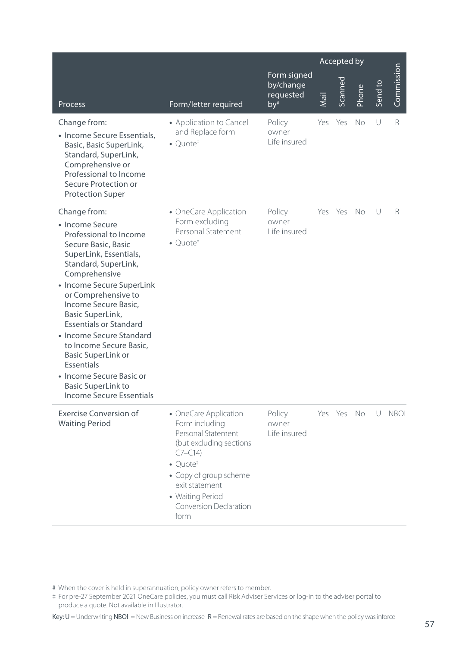|                                                                                                                                                                                                                                                                                                                                                                                                                                                                                           | Accepted by                                                                                                                                                                                                                            |                                                          |       |         |           |         |            |
|-------------------------------------------------------------------------------------------------------------------------------------------------------------------------------------------------------------------------------------------------------------------------------------------------------------------------------------------------------------------------------------------------------------------------------------------------------------------------------------------|----------------------------------------------------------------------------------------------------------------------------------------------------------------------------------------------------------------------------------------|----------------------------------------------------------|-------|---------|-----------|---------|------------|
| Process                                                                                                                                                                                                                                                                                                                                                                                                                                                                                   | Form/letter required                                                                                                                                                                                                                   | Form signed<br>by/change<br>requested<br>by <sup>#</sup> | Vlail | Scanned | Phone     | Send to | Commission |
| Change from:<br>• Income Secure Essentials,<br>Basic, Basic SuperLink,<br>Standard, SuperLink,<br>Comprehensive or<br>Professional to Income<br>Secure Protection or<br><b>Protection Super</b>                                                                                                                                                                                                                                                                                           | • Application to Cancel<br>and Replace form<br>$\bullet$ Ouote <sup>#</sup>                                                                                                                                                            | Policy<br>owner<br>I ife insured                         | Yes   | Yes     | No        | $\cup$  | R          |
| Change from:<br>• Income Secure<br>Professional to Income<br>Secure Basic, Basic<br>SuperLink, Essentials,<br>Standard, SuperLink,<br>Comprehensive<br>• Income Secure SuperLink<br>or Comprehensive to<br>Income Secure Basic,<br>Basic SuperLink,<br><b>Essentials or Standard</b><br>• Income Secure Standard<br>to Income Secure Basic,<br><b>Basic SuperLink or</b><br><b>Essentials</b><br>• Income Secure Basic or<br><b>Basic SuperLink to</b><br><b>Income Secure Essentials</b> | • OneCare Application<br>Form excluding<br>Personal Statement<br>$\bullet$ Ouote <sup>#</sup>                                                                                                                                          | Policy<br>owner<br>I ife insured                         |       | Yes Yes | No        | U       | R          |
| <b>Exercise Conversion of</b><br><b>Waiting Period</b>                                                                                                                                                                                                                                                                                                                                                                                                                                    | • OneCare Application<br>Form includina<br>Personal Statement<br>(but excluding sections<br>$C7-C14$<br>$\bullet$ Ouote <sup>#</sup><br>• Copy of group scheme<br>exit statement<br>• Waiting Period<br>Conversion Declaration<br>form | Policy<br>owner<br>I ife insured                         |       | Yes Yes | <b>No</b> |         | U NBOI     |

<sup>‡</sup> For pre-27 September 2021 OneCare policies, you must call Risk Adviser Services or log-in to the adviser portal to produce a quote. Not available in Illustrator.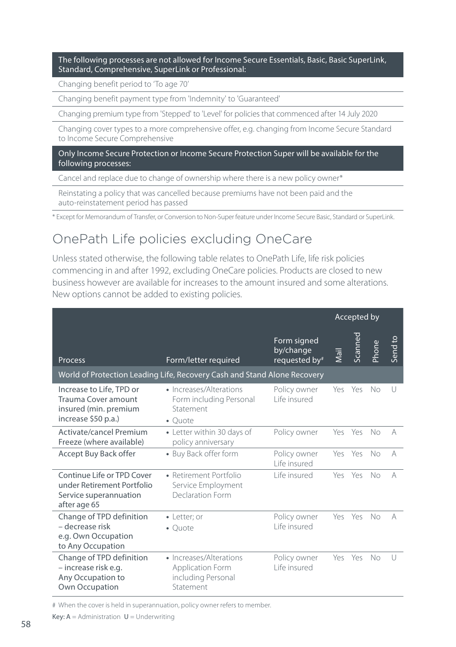The following processes are not allowed for Income Secure Essentials, Basic, Basic SuperLink, Standard, Comprehensive, SuperLink or Professional:

Changing benefit period to 'To age 70'

Changing benefit payment type from 'Indemnity' to 'Guaranteed'

Changing premium type from 'Stepped' to 'Level' for policies that commenced after 14 July 2020

Changing cover types to a more comprehensive offer, e.g. changing from Income Secure Standard to Income Secure Comprehensive

Only Income Secure Protection or Income Secure Protection Super will be available for the following processes:

Cancel and replace due to change of ownership where there is a new policy owner\*

Reinstating a policy that was cancelled because premiums have not been paid and the auto-reinstatement period has passed

\* Except for Memorandum of Transfer, or Conversion to Non-Super feature under Income Secure Basic, Standard or SuperLink.

# OnePath Life policies excluding OneCare

Unless stated otherwise, the following table relates to OnePath Life, life risk policies commencing in and after 1992, excluding OneCare policies. Products are closed to new business however are available for increases to the amount insured and some alterations. New options cannot be added to existing policies.

|                                                                                                    |                                                                                |                                           | Accepted by |         |                  |                    |
|----------------------------------------------------------------------------------------------------|--------------------------------------------------------------------------------|-------------------------------------------|-------------|---------|------------------|--------------------|
| Process                                                                                            | Form/letter required                                                           | Form signed<br>by/change<br>requested by# | Nail        | Scanne  | <sup>h</sup> one | Send <sub>to</sub> |
|                                                                                                    | World of Protection Leading Life, Recovery Cash and Stand Alone Recovery       |                                           |             |         |                  |                    |
| Increase to Life, TPD or<br>Trauma Cover amount<br>insured (min. premium<br>increase \$50 p.a.)    | • Increases/Alterations<br>Form including Personal<br>Statement<br>• Ouote     | Policy owner<br>Life insured              |             | Yes Yes | No               | $\cup$             |
| Activate/cancel Premium<br>Freeze (where available)                                                | • Letter within 30 days of<br>policy anniversary                               | Policy owner                              | Yes         | Yes     | No               | A                  |
| Accept Buy Back offer                                                                              | • Buy Back offer form                                                          | Policy owner<br>I ife insured             | Yes.        | Yes     | <b>No</b>        | A                  |
| Continue Life or TPD Cover<br>under Retirement Portfolio<br>Service superannuation<br>after age 65 | • Retirement Portfolio<br>Service Employment<br>Declaration Form               | I ife insured                             | Yes         | Yes     | No               | A                  |
| Change of TPD definition<br>- decrease risk<br>e.g. Own Occupation<br>to Any Occupation            | • Letter; or<br>• Ouote                                                        | Policy owner<br>I ife insured             | Yes         | Yes     | <b>No</b>        | A                  |
| Change of TPD definition<br>- increase risk e.g.<br>Any Occupation to<br>Own Occupation            | • Increases/Alterations<br>Application Form<br>including Personal<br>Statement | Policy owner<br>I ife insured             |             | Yes Yes | <b>No</b>        | U                  |

# When the cover is held in superannuation, policy owner refers to member.

 $Kev: A =$  Administration  $U =$  Underwriting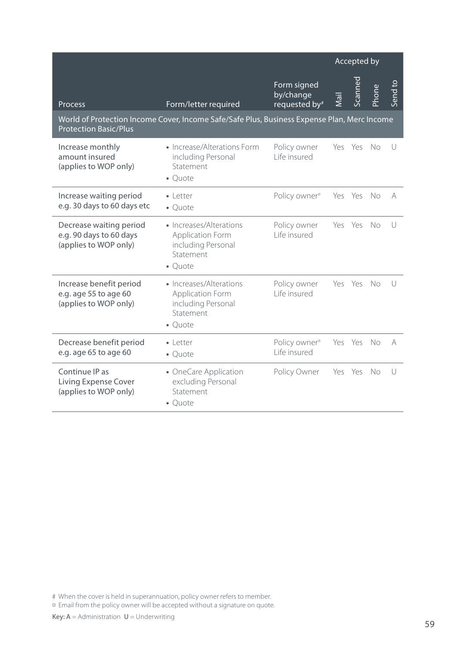|                                                                             |                                                                                             | Accepted by                               |       |         |                 |         |
|-----------------------------------------------------------------------------|---------------------------------------------------------------------------------------------|-------------------------------------------|-------|---------|-----------------|---------|
| Process                                                                     | Form/letter required                                                                        | Form signed<br>by/change<br>requested by# | Jiely | Scannec | <sup>hone</sup> | Send to |
| <b>Protection Basic/Plus</b>                                                | World of Protection Income Cover, Income Safe/Safe Plus, Business Expense Plan, Merc Income |                                           |       |         |                 |         |
| Increase monthly<br>amount insured<br>(applies to WOP only)                 | • Increase/Alterations Form<br>including Personal<br>Statement<br>• Ouote                   | Policy owner<br>I ife insured             |       | Yes Yes | No              | U       |
| Increase waiting period<br>e.g. 30 days to 60 days etc                      | $\bullet$   etter<br>• Quote                                                                | Policy owner <sup>¤</sup>                 |       | Yes Yes | <b>No</b>       | А       |
| Decrease waiting period<br>e.g. 90 days to 60 days<br>(applies to WOP only) | • Increases/Alterations<br>Application Form<br>including Personal<br>Statement<br>• Ouote   | Policy owner<br>I ife insured             |       | Yes Yes | <b>No</b>       | U       |
| Increase benefit period<br>e.g. age 55 to age 60<br>(applies to WOP only)   | • Increases/Alterations<br>Application Form<br>including Personal<br>Statement<br>• Quote   | Policy owner<br>I ife insured             |       | Yes Yes | No              | $\cup$  |
| Decrease benefit period<br>e.g. age $65$ to age $60$                        | $\bullet$   etter<br>• Quote                                                                | Policy owner <sup>a</sup><br>Life insured |       | Yes Yes | <b>No</b>       | A       |
| Continue IP as<br>Living Expense Cover<br>(applies to WOP only)             | • OneCare Application<br>excluding Personal<br>Statement<br>• Quote                         | Policy Owner                              |       | Yes Yes | No              | $\cup$  |

¤ Email from the policy owner will be accepted without a signature on quote.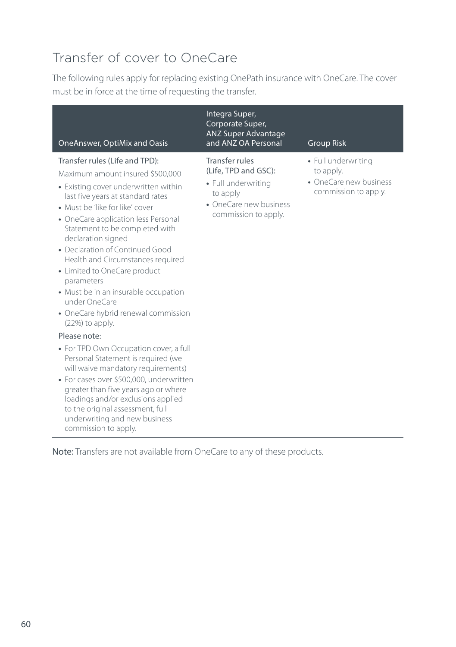# Transfer of cover to OneCare

The following rules apply for replacing existing OnePath insurance with OneCare. The cover must be in force at the time of requesting the transfer.

| OneAnswer, OptiMix and Oasis                                                                                                                                                                                                                                                                                                                                                                                                                                                                                                                                                           | Integra Super,<br>Corporate Super,<br><b>ANZ Super Advantage</b><br>and ANZ OA Personal                                     | <b>Group Risk</b>                                                                  |
|----------------------------------------------------------------------------------------------------------------------------------------------------------------------------------------------------------------------------------------------------------------------------------------------------------------------------------------------------------------------------------------------------------------------------------------------------------------------------------------------------------------------------------------------------------------------------------------|-----------------------------------------------------------------------------------------------------------------------------|------------------------------------------------------------------------------------|
| Transfer rules (Life and TPD):<br>Maximum amount insured \$500,000<br>• Existing cover underwritten within<br>last five years at standard rates<br>• Must be 'like for like' cover<br>• OneCare application less Personal<br>Statement to be completed with<br>declaration signed<br>• Declaration of Continued Good<br>Health and Circumstances required<br>• Limited to OneCare product<br>parameters<br>• Must be in an insurable occupation<br>under OneCare<br>• OneCare hybrid renewal commission<br>$(22%)$ to apply.<br>Please note:<br>• For TPD Own Occupation cover, a full | Transfer rules<br>(Life, TPD and GSC):<br>• Full underwriting<br>to apply<br>• OneCare new business<br>commission to apply. | • Full underwriting<br>to apply.<br>• OneCare new business<br>commission to apply. |
| Personal Statement is required (we<br>will waive mandatory requirements)<br>· For cases over \$500,000, underwritten<br>greater than five years ago or where<br>loadings and/or exclusions applied<br>to the original assessment, full<br>underwriting and new business<br>commission to apply.                                                                                                                                                                                                                                                                                        |                                                                                                                             |                                                                                    |

Note: Transfers are not available from OneCare to any of these products.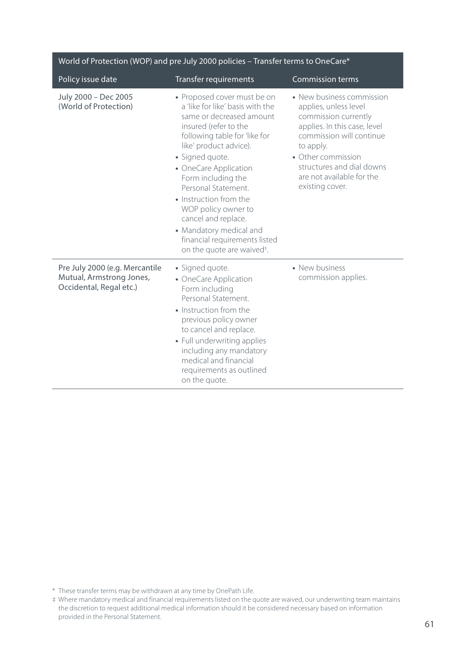| World of Protection (WOP) and pre July 2000 policies – Transfer terms to OneCare*     |                                                                                                                                                                                                                                                                                                                                                                                                                                                        |                                                                                                                                                                                                                                                        |  |  |  |  |  |
|---------------------------------------------------------------------------------------|--------------------------------------------------------------------------------------------------------------------------------------------------------------------------------------------------------------------------------------------------------------------------------------------------------------------------------------------------------------------------------------------------------------------------------------------------------|--------------------------------------------------------------------------------------------------------------------------------------------------------------------------------------------------------------------------------------------------------|--|--|--|--|--|
| Policy issue date                                                                     | <b>Transfer requirements</b>                                                                                                                                                                                                                                                                                                                                                                                                                           | <b>Commission terms</b>                                                                                                                                                                                                                                |  |  |  |  |  |
| July 2000 - Dec 2005<br>(World of Protection)                                         | • Proposed cover must be on<br>a 'like for like' basis with the<br>same or decreased amount<br>insured (refer to the<br>following table for 'like for<br>like' product advice).<br>· Signed quote.<br>• OneCare Application<br>Form including the<br>Personal Statement.<br>• Instruction from the<br>WOP policy owner to<br>cancel and replace.<br>• Mandatory medical and<br>financial requirements listed<br>on the quote are waived <sup>#</sup> . | • New business commission<br>applies, unless level<br>commission currently<br>applies. In this case, level<br>commission will continue<br>to apply.<br>• Other commission<br>structures and dial downs<br>are not available for the<br>existing cover. |  |  |  |  |  |
| Pre July 2000 (e.g. Mercantile<br>Mutual, Armstrong Jones,<br>Occidental, Regal etc.) | · Signed quote.<br>• OneCare Application<br>Form including<br>Personal Statement.<br>• Instruction from the<br>previous policy owner<br>to cancel and replace.<br>• Full underwriting applies<br>including any mandatory<br>medical and financial<br>requirements as outlined<br>on the quote.                                                                                                                                                         | • New business<br>commission applies.                                                                                                                                                                                                                  |  |  |  |  |  |

<sup>\*</sup> These transfer terms may be withdrawn at any time by OnePath Life.

<sup>‡</sup> Where mandatory medical and financial requirements listed on the quote are waived, our underwriting team maintains the discretion to request additional medical information should it be considered necessary based on information provided in the Personal Statement.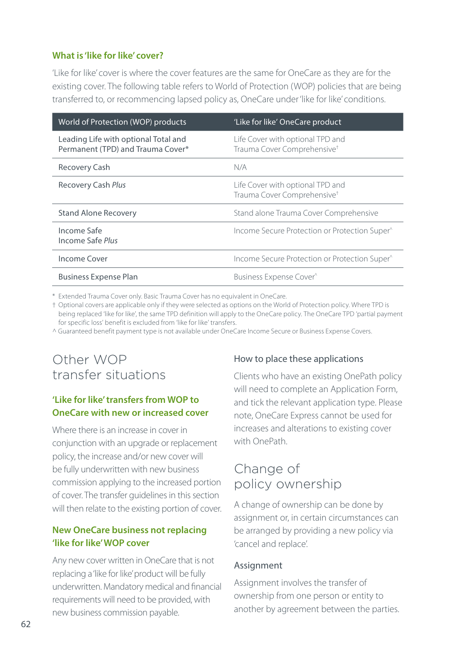### **What is 'like for like' cover?**

'Like for like' cover is where the cover features are the same for OneCare as they are for the existing cover. The following table refers to World of Protection (WOP) policies that are being transferred to, or recommencing lapsed policy as, OneCare under 'like for like' conditions.

| World of Protection (WOP) products                                        | 'Like for like' OneCare product                                             |
|---------------------------------------------------------------------------|-----------------------------------------------------------------------------|
| Leading Life with optional Total and<br>Permanent (TPD) and Trauma Cover* | Life Cover with optional TPD and<br>Trauma Cover Comprehensive <sup>+</sup> |
| <b>Recovery Cash</b>                                                      | N/A                                                                         |
| Recovery Cash Plus                                                        | Life Cover with optional TPD and<br>Trauma Cover Comprehensive <sup>+</sup> |
| <b>Stand Alone Recovery</b>                                               | Stand alone Trauma Cover Comprehensive                                      |
| Income Safe<br>Income Safe Plus                                           | Income Secure Protection or Protection Super                                |
| Income Cover                                                              | Income Secure Protection or Protection Super                                |
| <b>Business Expense Plan</b>                                              | Business Expense Cover                                                      |

\* Extended Trauma Cover only. Basic Trauma Cover has no equivalent in OneCare.

† Optional covers are applicable only if they were selected as options on the World of Protection policy. Where TPD is being replaced 'like for like', the same TPD definition will apply to the OneCare policy. The OneCare TPD 'partial payment for specific loss' benefit is excluded from 'like for like' transfers.

^ Guaranteed benefit payment type is not available under OneCare Income Secure or Business Expense Covers.

# Other WOP transfer situations

# **'Like for like' transfers from WOP to OneCare with new or increased cover**

Where there is an increase in cover in conjunction with an upgrade or replacement policy, the increase and/or new cover will be fully underwritten with new business commission applying to the increased portion of cover. The transfer guidelines in this section will then relate to the existing portion of cover.

### **New OneCare business not replacing 'like for like' WOP cover**

Any new cover written in OneCare that is not replacing a 'like for like' product will be fully underwritten. Mandatory medical and financial requirements will need to be provided, with new business commission payable.

#### How to place these applications

Clients who have an existing OnePath policy will need to complete an Application Form, and tick the relevant application type. Please note, OneCare Express cannot be used for increases and alterations to existing cover with OnePath.

# Change of policy ownership

A change of ownership can be done by assignment or, in certain circumstances can be arranged by providing a new policy via 'cancel and replace'.

#### Assignment

Assignment involves the transfer of ownership from one person or entity to another by agreement between the parties.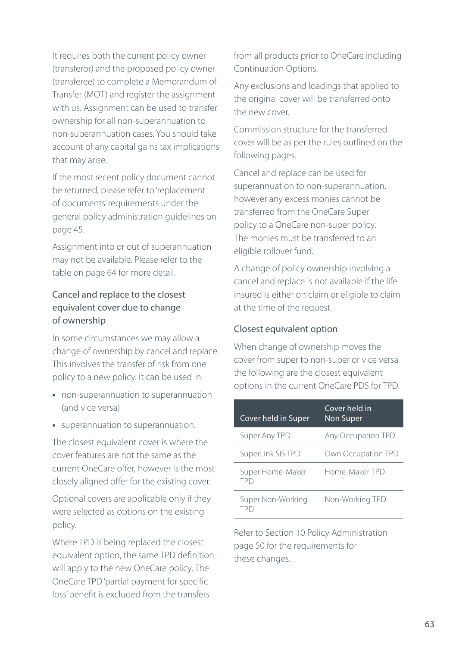It requires both the current policy owner (transferor) and the proposed policy owner (transferee) to complete a Memorandum of Transfer (MOT) and register the assignment with us. Assignment can be used to transfer ownership for all non-superannuation to non-superannuation cases. You should take account of any capital gains tax implications that may arise.

If the most recent policy document cannot be returned, please refer to 'replacement of documents' requirements under the general policy administration guidelines on page 45.

Assignment into or out of superannuation may not be available. Please refer to the table on page 64 for more detail.

# Cancel and replace to the closest equivalent cover due to change of ownership

In some circumstances we may allow a change of ownership by cancel and replace. This involves the transfer of risk from one policy to a new policy. It can be used in:

- **•** non-superannuation to superannuation (and vice versa)
- **•** superannuation to superannuation.

The closest equivalent cover is where the cover features are not the same as the current OneCare offer, however is the most closely aligned offer for the existing cover.

Optional covers are applicable only if they were selected as options on the existing policy.

Where TPD is being replaced the closest equivalent option, the same TPD definition will apply to the new OneCare policy. The OneCare TPD 'partial payment for specific loss' benefit is excluded from the transfers

from all products prior to OneCare including Continuation Options.

Any exclusions and loadings that applied to the original cover will be transferred onto the new cover.

Commission structure for the transferred cover will be as per the rules outlined on the following pages.

Cancel and replace can be used for superannuation to non-superannuation, however any excess monies cannot be transferred from the OneCare Super policy to a OneCare non-super policy. The monies must be transferred to an eligible rollover fund.

A change of policy ownership involving a cancel and replace is not available if the life insured is either on claim or eligible to claim at the time of the request.

### Closest equivalent option

When change of ownership moves the cover from super to non-super or vice versa the following are the closest equivalent options in the current OneCare PDS for TPD.

| Cover held in Super     | Cover held in<br>Non Super |
|-------------------------|----------------------------|
| Super Any TPD           | Any Occupation TPD         |
| SuperLink SIS TPD       | Own Occupation TPD         |
| Super Home-Maker<br>TPD | Home-Maker TPD             |
| Super Non-Working       | Non-Working TPD            |

Refer to Section 10 Policy Administration page 50 for the requirements for these changes.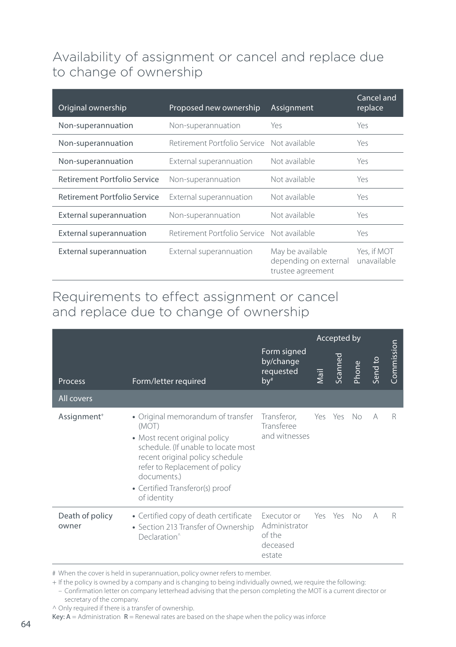# Availability of assignment or cancel and replace due to change of ownership

| Original ownership             | Proposed new ownership                     | Assignment                                                     | Cancel and<br>replace      |
|--------------------------------|--------------------------------------------|----------------------------------------------------------------|----------------------------|
| Non-superannuation             | Non-superannuation                         | Yes.                                                           | Yes.                       |
| Non-superannuation             | Retirement Portfolio Service Not available |                                                                | Yes                        |
| Non-superannuation             | External superannuation                    | Not available                                                  | Yes                        |
| Retirement Portfolio Service   | Non-superannuation                         | Not available                                                  | Yes                        |
| Retirement Portfolio Service   | External superannuation                    | Not available                                                  | Yes                        |
| External superannuation        | Non-superannuation                         | Not available                                                  | Yes                        |
| <b>External superannuation</b> | Retirement Portfolio Service Not available |                                                                | Yes                        |
| <b>External superannuation</b> | External superannuation                    | May be available<br>depending on external<br>trustee agreement | Yes, if MOT<br>unavailable |

# Requirements to effect assignment or cancel and replace due to change of ownership

|                          |                                                                                                                                                                                                                                                          |                                                              |       | <b>Accepted by</b> |       |         |            |
|--------------------------|----------------------------------------------------------------------------------------------------------------------------------------------------------------------------------------------------------------------------------------------------------|--------------------------------------------------------------|-------|--------------------|-------|---------|------------|
| Process                  | Form/letter required                                                                                                                                                                                                                                     | Form signed<br>by/change<br>requested<br>by <sup>#</sup>     | Vlail | Scanned            | Phone | Send to | Commission |
| All covers               |                                                                                                                                                                                                                                                          |                                                              |       |                    |       |         |            |
| Assignment <sup>+</sup>  | • Original memorandum of transfer<br>(MOT)<br>• Most recent original policy<br>schedule. (If unable to locate most<br>recent original policy schedule<br>refer to Replacement of policy<br>documents.)<br>• Certified Transferor(s) proof<br>of identity | Transferor,<br>Transferee<br>and witnesses                   |       | Yes Yes No         |       | A       | R          |
| Death of policy<br>owner | • Certified copy of death certificate<br>• Section 213 Transfer of Ownership<br>Declaration <sup>^</sup>                                                                                                                                                 | Executor or<br>Administrator<br>of the<br>deceased<br>estate |       | Yes Yes No         |       | A       | R          |

# When the cover is held in superannuation, policy owner refers to member.

+ If the policy is owned by a company and is changing to being individually owned, we require the following:

^ Only required if there is a transfer of ownership.

Key:  $A =$  Administration  $R =$  Renewal rates are based on the shape when the policy was inforce

<sup>–</sup> Confirmation letter on company letterhead advising that the person completing the MOT is a current director or secretary of the company.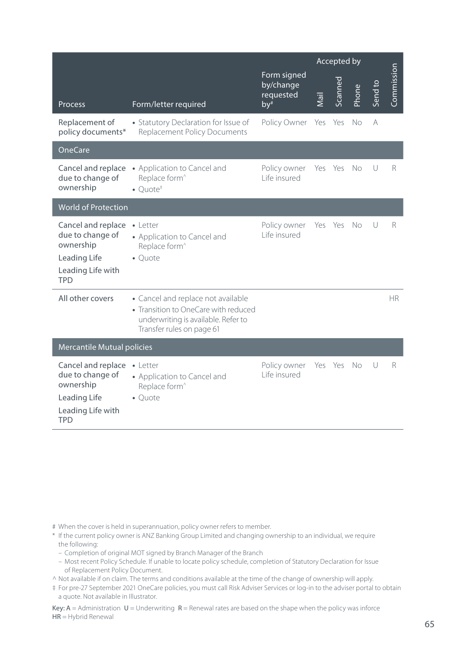|                                                                                                        |                                                                                                                                                |                                              | Accepted by |         |           |         |            |
|--------------------------------------------------------------------------------------------------------|------------------------------------------------------------------------------------------------------------------------------------------------|----------------------------------------------|-------------|---------|-----------|---------|------------|
| Process                                                                                                | Form/letter required                                                                                                                           | Form signed<br>by/change<br>requested<br>by# | Mail        | Scanned | Phone     | Send to | Commission |
| Replacement of<br>policy documents*                                                                    | • Statutory Declaration for Issue of<br><b>Replacement Policy Documents</b>                                                                    | Policy Owner Yes Yes                         |             |         | No        | A       |            |
| <b>OneCare</b>                                                                                         |                                                                                                                                                |                                              |             |         |           |         |            |
| Cancel and replace<br>due to change of<br>ownership                                                    | • Application to Cancel and<br>Replace form <sup>^</sup><br>$\bullet$ Ouote <sup>#</sup>                                                       | Policy owner<br>I ife insured                |             | Yes Yes | <b>No</b> | U       | R          |
| <b>World of Protection</b>                                                                             |                                                                                                                                                |                                              |             |         |           |         |            |
| Cancel and replace<br>due to change of<br>ownership<br>Leading Life<br>Leading Life with<br><b>TPD</b> | $\bullet$   etter<br>• Application to Cancel and<br>Replace form <sup>^</sup><br>• Ouote                                                       | Policy owner<br>I ife insured                |             | Yes Yes | No.       | U       | R          |
| All other covers                                                                                       | • Cancel and replace not available<br>• Transition to OneCare with reduced<br>underwriting is available. Refer to<br>Transfer rules on page 61 |                                              |             |         |           |         | <b>HR</b>  |
| <b>Mercantile Mutual policies</b>                                                                      |                                                                                                                                                |                                              |             |         |           |         |            |
| Cancel and replace<br>due to change of<br>ownership<br>Leading Life<br>Leading Life with<br><b>TPD</b> | $\bullet$   etter<br>• Application to Cancel and<br>Replace form <sup>^</sup><br>• Ouote                                                       | Policy owner<br>I ife insured                |             | Yes Yes | No        | U       | R          |

- \* If the current policy owner is ANZ Banking Group Limited and changing ownership to an individual, we require the following:
	- Completion of original MOT signed by Branch Manager of the Branch
	- Most recent Policy Schedule. If unable to locate policy schedule, completion of Statutory Declaration for Issue of Replacement Policy Document.
- ^ Not available if on claim. The terms and conditions available at the time of the change of ownership will apply.

‡ For pre-27 September 2021 OneCare policies, you must call Risk Adviser Services or log-in to the adviser portal to obtain a quote. Not available in Illustrator.

Key:  $A =$  Administration  $U =$  Underwriting  $R =$  Renewal rates are based on the shape when the policy was inforce  $HR = Hvbrid$  Renewal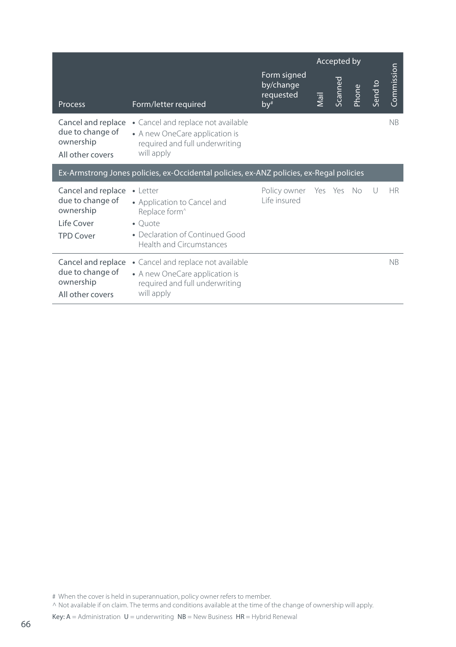|                                                                                       |                                                                                                                                                                |                                                    |      | Accepted by |       |         |            |
|---------------------------------------------------------------------------------------|----------------------------------------------------------------------------------------------------------------------------------------------------------------|----------------------------------------------------|------|-------------|-------|---------|------------|
| <b>Process</b>                                                                        | Form/letter required                                                                                                                                           | Form signed<br>by/change<br>requested<br>$by^{\#}$ | Nail | Scanned     | Phone | Send to | Commission |
| due to change of<br>ownership<br>All other covers                                     | Cancel and replace • Cancel and replace not available<br>• A new OneCare application is<br>required and full underwriting<br>will apply                        |                                                    |      |             |       |         | <b>NB</b>  |
|                                                                                       | Ex-Armstrong Jones policies, ex-Occidental policies, ex-ANZ policies, ex-Regal policies                                                                        |                                                    |      |             |       |         |            |
| Cancel and replace<br>due to change of<br>ownership<br>Life Cover<br><b>TPD Cover</b> | $\bullet$   etter<br>• Application to Cancel and<br>Replace form <sup>^</sup><br>• Ouote<br>• Declaration of Continued Good<br><b>Health and Circumstances</b> | Policy owner Yes Yes No<br>Life insured            |      |             |       | $\cup$  | HR.        |
| Cancel and replace<br>due to change of<br>ownership<br>All other covers               | • Cancel and replace not available<br>• A new OneCare application is<br>required and full underwriting<br>will apply                                           |                                                    |      |             |       |         | <b>NB</b>  |

^ Not available if on claim. The terms and conditions available at the time of the change of ownership will apply.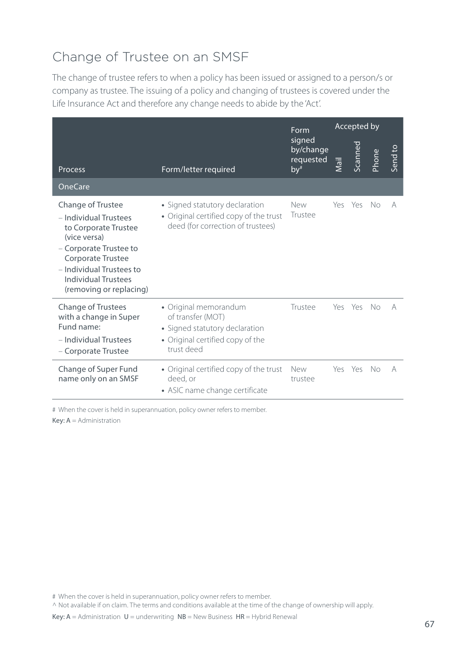# Change of Trustee on an SMSF

The change of trustee refers to when a policy has been issued or assigned to a person/s or company as trustee. The issuing of a policy and changing of trustees is covered under the Life Insurance Act and therefore any change needs to abide by the 'Act'.

|                                                                                                                                                                                                                        |                                                                                                                                | Form<br>signed<br>by/change<br>requested<br>by <sup>#</sup> | Accepted by |            |       |                |
|------------------------------------------------------------------------------------------------------------------------------------------------------------------------------------------------------------------------|--------------------------------------------------------------------------------------------------------------------------------|-------------------------------------------------------------|-------------|------------|-------|----------------|
| Process                                                                                                                                                                                                                | Form/letter required                                                                                                           |                                                             | Mail        | Scanneo    | Phone | Send to        |
| <b>OneCare</b>                                                                                                                                                                                                         |                                                                                                                                |                                                             |             |            |       |                |
| Change of Trustee<br>- Individual Trustees<br>to Corporate Trustee<br>(vice versa)<br>- Corporate Trustee to<br>Corporate Trustee<br>- Individual Trustees to<br><b>Individual Trustees</b><br>(removing or replacing) | • Signed statutory declaration<br>• Original certified copy of the trust<br>deed (for correction of trustees)                  | New<br>Trustee                                              |             | Yes Yes No |       | А              |
| <b>Change of Trustees</b><br>with a change in Super<br>Fund name:<br>- Individual Trustees<br>- Corporate Trustee                                                                                                      | • Original memorandum<br>of transfer (MOT)<br>• Signed statutory declaration<br>• Original certified copy of the<br>trust deed | Trustee                                                     |             | Yes Yes No |       | $\overline{A}$ |
| Change of Super Fund<br>name only on an SMSF                                                                                                                                                                           | • Original certified copy of the trust<br>deed, or<br>• ASIC name change certificate                                           | New<br>trustee                                              |             | Yes Yes No |       | A              |

# When the cover is held in superannuation, policy owner refers to member.

Key: A = Administration

# When the cover is held in superannuation, policy owner refers to member.

^ Not available if on claim. The terms and conditions available at the time of the change of ownership will apply.

Key:  $A =$  Administration  $U =$  underwriting  $NB =$  New Business  $HR =$  Hybrid Renewal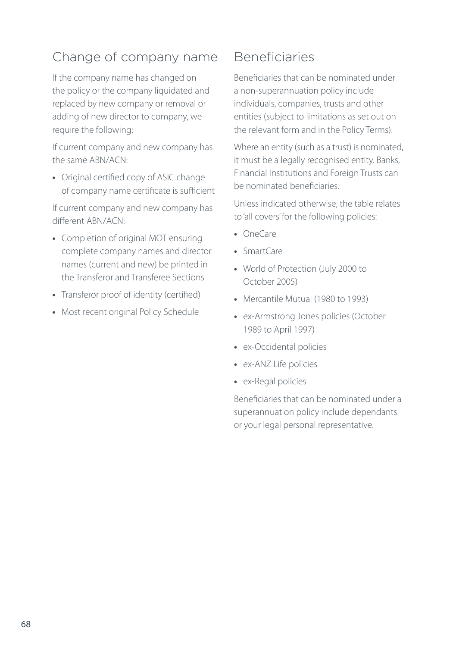# Change of company name

If the company name has changed on the policy or the company liquidated and replaced by new company or removal or adding of new director to company, we require the following:

If current company and new company has the same ABN/ACN:

**•** Original certified copy of ASIC change of company name certificate is sufficient

If current company and new company has different ABN/ACN:

- **•** Completion of original MOT ensuring complete company names and director names (current and new) be printed in the Transferor and Transferee Sections
- **•** Transferor proof of identity (certified)
- **•** Most recent original Policy Schedule

# Beneficiaries

Beneficiaries that can be nominated under a non-superannuation policy include individuals, companies, trusts and other entities (subject to limitations as set out on the relevant form and in the Policy Terms).

Where an entity (such as a trust) is nominated, it must be a legally recognised entity. Banks, Financial Institutions and Foreign Trusts can be nominated beneficiaries.

Unless indicated otherwise, the table relates to 'all covers' for the following policies:

- **•** OneCare
- **•** SmartCare
- **•** World of Protection (July 2000 to October 2005)
- **•** Mercantile Mutual (1980 to 1993)
- **•** ex-Armstrong Jones policies (October 1989 to April 1997)
- **•** ex-Occidental policies
- **•** ex-ANZ Life policies
- **•** ex-Regal policies

Beneficiaries that can be nominated under a superannuation policy include dependants or your legal personal representative.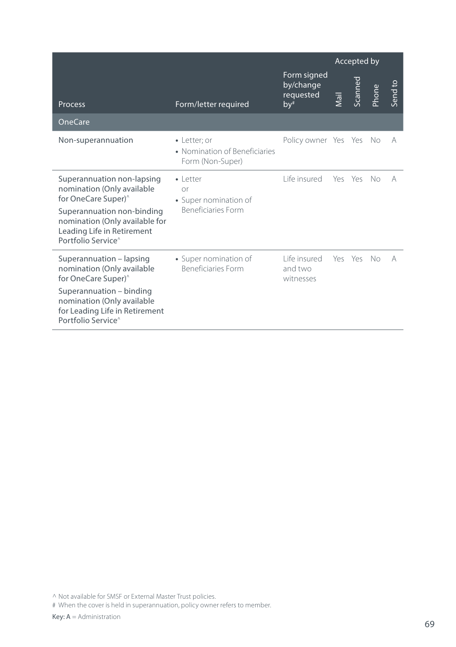|                                                                                                                                                                                                                             |                                                                                       |                                                          | Accepted by |            |       |         |
|-----------------------------------------------------------------------------------------------------------------------------------------------------------------------------------------------------------------------------|---------------------------------------------------------------------------------------|----------------------------------------------------------|-------------|------------|-------|---------|
| Process                                                                                                                                                                                                                     | Form/letter required                                                                  | Form signed<br>by/change<br>requested<br>by <sup>#</sup> | Nail        | Scanned    | Phone | Send to |
| <b>OneCare</b>                                                                                                                                                                                                              |                                                                                       |                                                          |             |            |       |         |
| Non-superannuation                                                                                                                                                                                                          | • Letter; or<br>• Nomination of Beneficiaries<br>Form (Non-Super)                     | Policy owner Yes Yes No                                  |             |            |       | A       |
| Superannuation non-lapsing<br>nomination (Only available<br>for OneCare Super) <sup>^</sup><br>Superannuation non-binding<br>nomination (Only available for<br>Leading Life in Retirement<br>Portfolio Service <sup>^</sup> | $\bullet$   etter<br>$\alpha$ r<br>• Super nomination of<br><b>Beneficiaries Form</b> | Life insured                                             |             | Yes Yes No |       | A       |
| Superannuation - lapsing<br>nomination (Only available<br>for OneCare Super) <sup>^</sup><br>Superannuation - binding<br>nomination (Only available<br>for Leading Life in Retirement<br>Portfolio Service <sup>^</sup>     | • Super nomination of<br><b>Beneficiaries Form</b>                                    | Life insured<br>and two<br>witnesses                     |             | Yes Yes No |       | A       |

<sup>#</sup> When the cover is held in superannuation, policy owner refers to member.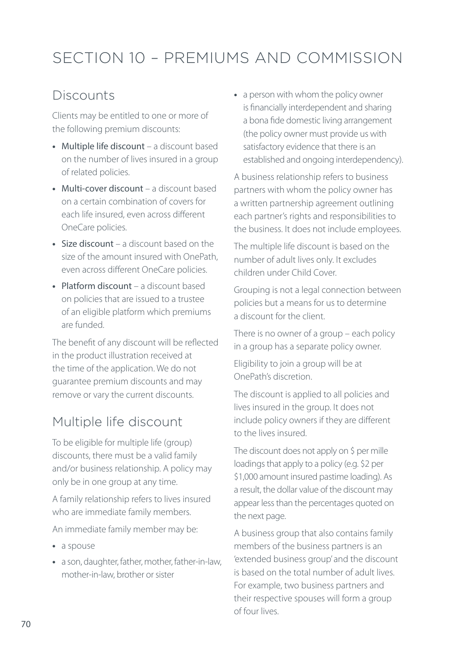# SECTION 10 – PREMIUMS AND COMMISSION

# Discounts

Clients may be entitled to one or more of the following premium discounts:

- **•** Multiple life discount a discount based on the number of lives insured in a group of related policies.
- **•** Multi-cover discount a discount based on a certain combination of covers for each life insured, even across different OneCare policies.
- **•** Size discount a discount based on the size of the amount insured with OnePath, even across different OneCare policies.
- **•** Platform discount a discount based on policies that are issued to a trustee of an eligible platform which premiums are funded.

The benefit of any discount will be reflected in the product illustration received at the time of the application. We do not guarantee premium discounts and may remove or vary the current discounts.

# Multiple life discount

To be eligible for multiple life (group) discounts, there must be a valid family and/or business relationship. A policy may only be in one group at any time.

A family relationship refers to lives insured who are immediate family members.

An immediate family member may be:

- **•** a spouse
- **•** a son, daughter, father, mother, father-in-law, mother-in-law, brother or sister

**•** a person with whom the policy owner is financially interdependent and sharing a bona fide domestic living arrangement (the policy owner must provide us with satisfactory evidence that there is an established and ongoing interdependency).

A business relationship refers to business partners with whom the policy owner has a written partnership agreement outlining each partner's rights and responsibilities to the business. It does not include employees.

The multiple life discount is based on the number of adult lives only. It excludes children under Child Cover.

Grouping is not a legal connection between policies but a means for us to determine a discount for the client.

There is no owner of a group – each policy in a group has a separate policy owner.

Eligibility to join a group will be at OnePath's discretion.

The discount is applied to all policies and lives insured in the group. It does not include policy owners if they are different to the lives insured.

The discount does not apply on \$ per mille loadings that apply to a policy (e.g. \$2 per \$1,000 amount insured pastime loading). As a result, the dollar value of the discount may appear less than the percentages quoted on the next page.

A business group that also contains family members of the business partners is an 'extended business group' and the discount is based on the total number of adult lives. For example, two business partners and their respective spouses will form a group of four lives.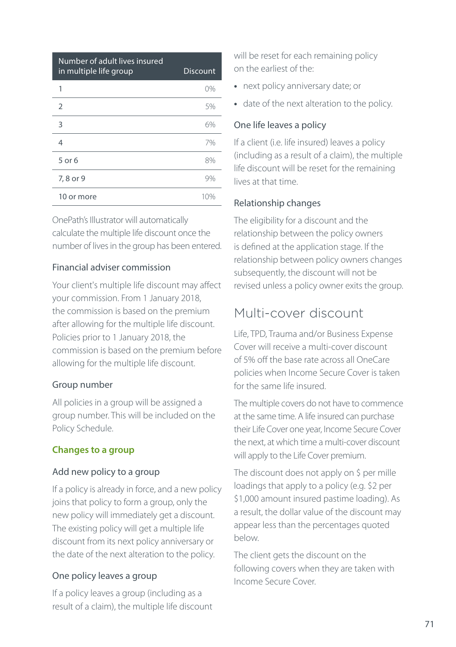| Number of adult lives insured<br>in multiple life group | <b>Discount</b> |  |  |
|---------------------------------------------------------|-----------------|--|--|
| 1                                                       | 0%              |  |  |
| $\overline{2}$                                          | 5%              |  |  |
| 3                                                       | 6%              |  |  |
| 4                                                       | 7%              |  |  |
| 5 or 6                                                  | 8%              |  |  |
| 7,8 or 9                                                | 9%              |  |  |
| 10 or more                                              | 10%             |  |  |

OnePath's Illustrator will automatically calculate the multiple life discount once the number of lives in the group has been entered.

### Financial adviser commission

Your client's multiple life discount may affect your commission. From 1 January 2018, the commission is based on the premium after allowing for the multiple life discount. Policies prior to 1 January 2018, the commission is based on the premium before allowing for the multiple life discount.

### Group number

All policies in a group will be assigned a group number. This will be included on the Policy Schedule.

### **Changes to a group**

### Add new policy to a group

If a policy is already in force, and a new policy joins that policy to form a group, only the new policy will immediately get a discount. The existing policy will get a multiple life discount from its next policy anniversary or the date of the next alteration to the policy.

### One policy leaves a group

If a policy leaves a group (including as a result of a claim), the multiple life discount will be reset for each remaining policy on the earliest of the:

- **•** next policy anniversary date; or
- **•** date of the next alteration to the policy.

#### One life leaves a policy

If a client (i.e. life insured) leaves a policy (including as a result of a claim), the multiple life discount will be reset for the remaining lives at that time.

#### Relationship changes

The eligibility for a discount and the relationship between the policy owners is defined at the application stage. If the relationship between policy owners changes subsequently, the discount will not be revised unless a policy owner exits the group.

# Multi-cover discount

Life, TPD, Trauma and/or Business Expense Cover will receive a multi-cover discount of 5% off the base rate across all OneCare policies when Income Secure Cover is taken for the same life insured.

The multiple covers do not have to commence at the same time. A life insured can purchase their Life Cover one year, Income Secure Cover the next, at which time a multi-cover discount will apply to the Life Cover premium.

The discount does not apply on \$ per mille loadings that apply to a policy (e.g. \$2 per \$1,000 amount insured pastime loading). As a result, the dollar value of the discount may appear less than the percentages quoted below.

The client gets the discount on the following covers when they are taken with Income Secure Cover.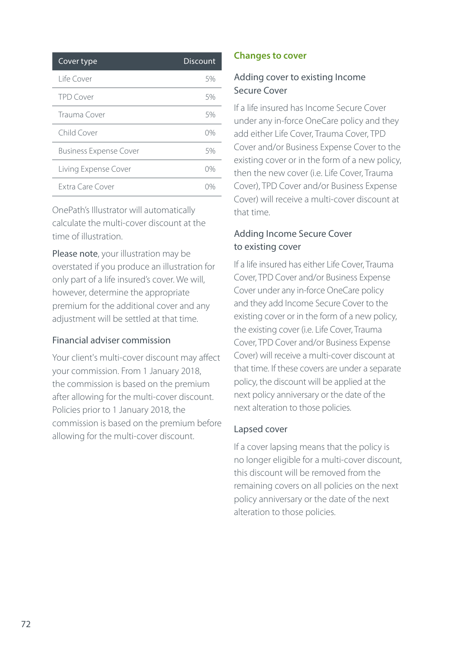| Cover type                    | Discount |
|-------------------------------|----------|
| Life Cover                    | 5%       |
| TPD Cover                     | 5%       |
| Trauma Cover                  | 5%       |
| Child Cover                   | 0%       |
| <b>Business Expense Cover</b> | 5%       |
| Living Expense Cover          | 0%       |
| Extra Care Cover              | 0%       |

OnePath's Illustrator will automatically calculate the multi-cover discount at the time of illustration.

Please note, your illustration may be overstated if you produce an illustration for only part of a life insured's cover. We will, however, determine the appropriate premium for the additional cover and any adjustment will be settled at that time.

### Financial adviser commission

Your client's multi-cover discount may affect your commission. From 1 January 2018, the commission is based on the premium after allowing for the multi-cover discount. Policies prior to 1 January 2018, the commission is based on the premium before allowing for the multi-cover discount.

#### **Changes to cover**

# Adding cover to existing Income Secure Cover

If a life insured has Income Secure Cover under any in-force OneCare policy and they add either Life Cover, Trauma Cover, TPD Cover and/or Business Expense Cover to the existing cover or in the form of a new policy, then the new cover (i.e. Life Cover, Trauma Cover), TPD Cover and/or Business Expense Cover) will receive a multi-cover discount at that time.

# Adding Income Secure Cover to existing cover

If a life insured has either Life Cover, Trauma Cover, TPD Cover and/or Business Expense Cover under any in-force OneCare policy and they add Income Secure Cover to the existing cover or in the form of a new policy, the existing cover (i.e. Life Cover, Trauma Cover, TPD Cover and/or Business Expense Cover) will receive a multi-cover discount at that time. If these covers are under a separate policy, the discount will be applied at the next policy anniversary or the date of the next alteration to those policies.

### Lapsed cover

If a cover lapsing means that the policy is no longer eligible for a multi-cover discount, this discount will be removed from the remaining covers on all policies on the next policy anniversary or the date of the next alteration to those policies.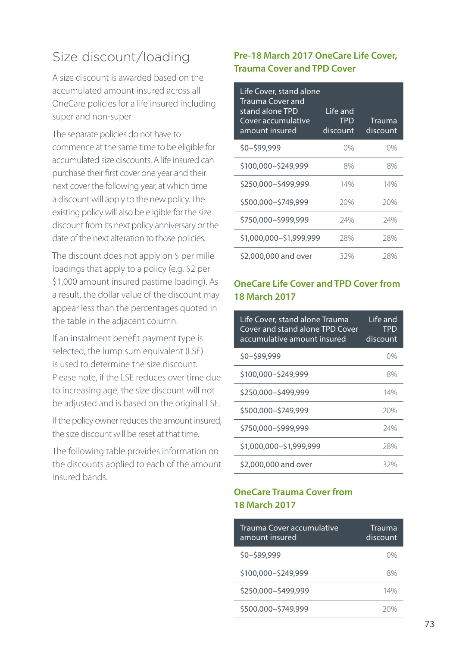# Size discount/loading

A size discount is awarded based on the accumulated amount insured across all OneCare policies for a life insured including super and non-super.

The separate policies do not have to commence at the same time to be eligible for accumulated size discounts. A life insured can purchase their first cover one year and their next cover the following year, at which time a discount will apply to the new policy. The existing policy will also be eligible for the size discount from its next policy anniversary or the date of the next alteration to those policies.

The discount does not apply on \$ per mille loadings that apply to a policy (e.g. \$2 per \$1,000 amount insured pastime loading). As a result, the dollar value of the discount may appear less than the percentages quoted in the table in the adjacent column.

If an instalment benefit payment type is selected, the lump sum equivalent (LSE) is used to determine the size discount. Please note, if the LSE reduces over time due to increasing age, the size discount will not be adjusted and is based on the original LSE.

If the policy owner reduces the amount insured, the size discount will be reset at that time.

The following table provides information on the discounts applied to each of the amount insured bands.

# **Pre-18 March 2017 OneCare Life Cover, Trauma Cover and TPD Cover**

| Life Cover, stand alone<br>Trauma Cover and<br>stand alone TPD<br>Cover accumulative<br>amount insured | I ife and<br><b>TPD</b><br>discount | Trauma<br>discount |
|--------------------------------------------------------------------------------------------------------|-------------------------------------|--------------------|
| \$0-\$99,999                                                                                           | 0%                                  | 0%                 |
| \$100,000-\$249,999                                                                                    | 8%                                  | 8%                 |
| \$250,000-\$499,999                                                                                    | 14%                                 | 14%                |
| \$500,000-\$749,999                                                                                    | 20%                                 | 20%                |
| \$750,000-\$999,999                                                                                    | 24%                                 | 24%                |
| \$1,000,000-\$1,999,999                                                                                | 28%                                 | 28%                |
| \$2,000,000 and over                                                                                   | 32%                                 | 28%                |

# **OneCare Life Cover and TPD Cover from 18 March 2017**

| Life Cover, stand alone Trauma<br>Cover and stand alone TPD Cover<br>accumulative amount insured | I ife and<br>TPD<br>discount |
|--------------------------------------------------------------------------------------------------|------------------------------|
| \$0-\$99,999                                                                                     | 0%                           |
| \$100,000-\$249,999                                                                              | 8%                           |
| \$250,000-\$499,999                                                                              | 14%                          |
| \$500,000-\$749,999                                                                              | 20%                          |
| \$750,000-\$999,999                                                                              | 74%                          |
| \$1,000,000-\$1,999,999                                                                          | 28%                          |
| \$2,000,000 and over                                                                             | 32%                          |

# **OneCare Trauma Cover from 18 March 2017**

| Trauma Cover accumulative<br>amount insured | Trauma<br>discount     |
|---------------------------------------------|------------------------|
| \$0-\$99,999                                | $\bigcap\mathcal{O}_C$ |
| \$100,000-\$249,999                         | 8%                     |
| \$250,000-\$499,999                         | 14%                    |
| \$500,000-\$749,999                         |                        |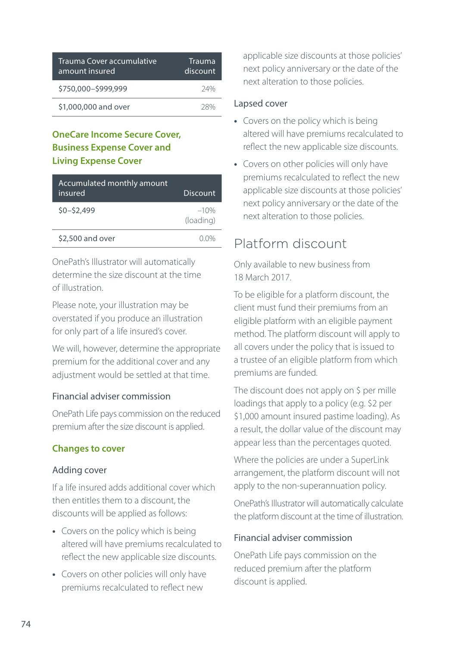| Trauma Cover accumulative<br>amount insured | Trauma<br>discount |
|---------------------------------------------|--------------------|
| \$750,000-\$999,999                         | 24%                |
| \$1,000,000 and over                        | 28%                |

# **OneCare Income Secure Cover, Business Expense Cover and Living Expense Cover**

| Accumulated monthly amount<br>insured | Discount            |
|---------------------------------------|---------------------|
| $$0 - $2,499$                         | $-10%$<br>(loading) |
| \$2,500 and over                      | $0.0\%$             |

OnePath's Illustrator will automatically determine the size discount at the time of illustration.

Please note, your illustration may be overstated if you produce an illustration for only part of a life insured's cover.

We will, however, determine the appropriate premium for the additional cover and any adjustment would be settled at that time.

#### Financial adviser commission

OnePath Life pays commission on the reduced premium after the size discount is applied.

# **Changes to cover**

# Adding cover

If a life insured adds additional cover which then entitles them to a discount, the discounts will be applied as follows:

- **•** Covers on the policy which is being altered will have premiums recalculated to reflect the new applicable size discounts.
- **•** Covers on other policies will only have premiums recalculated to reflect new

applicable size discounts at those policies' next policy anniversary or the date of the next alteration to those policies.

## Lapsed cover

- **•** Covers on the policy which is being altered will have premiums recalculated to reflect the new applicable size discounts.
- **•** Covers on other policies will only have premiums recalculated to reflect the new applicable size discounts at those policies' next policy anniversary or the date of the next alteration to those policies.

# Platform discount

Only available to new business from 18 March 2017.

To be eligible for a platform discount, the client must fund their premiums from an eligible platform with an eligible payment method. The platform discount will apply to all covers under the policy that is issued to a trustee of an eligible platform from which premiums are funded.

The discount does not apply on \$ per mille loadings that apply to a policy (e.g. \$2 per \$1,000 amount insured pastime loading). As a result, the dollar value of the discount may appear less than the percentages quoted.

Where the policies are under a SuperLink arrangement, the platform discount will not apply to the non-superannuation policy.

OnePath's Illustrator will automatically calculate the platform discount at the time of illustration.

# Financial adviser commission

OnePath Life pays commission on the reduced premium after the platform discount is applied.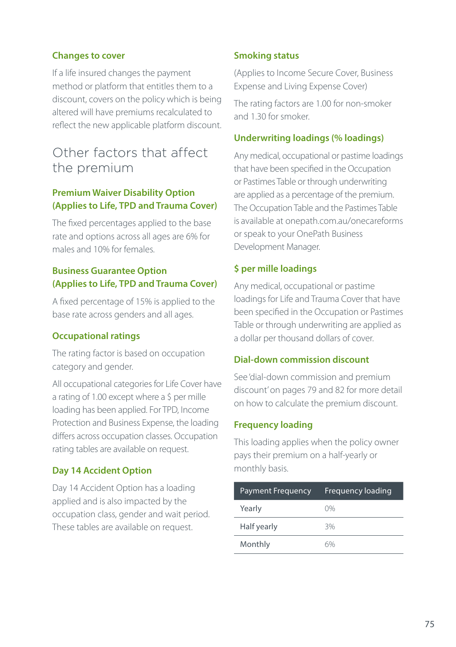#### **Changes to cover**

If a life insured changes the payment method or platform that entitles them to a discount, covers on the policy which is being altered will have premiums recalculated to reflect the new applicable platform discount.

# Other factors that affect the premium

## **Premium Waiver Disability Option (Applies to Life, TPD and Trauma Cover)**

The fixed percentages applied to the base rate and options across all ages are 6% for males and 10% for females.

# **Business Guarantee Option (Applies to Life, TPD and Trauma Cover)**

A fixed percentage of 15% is applied to the base rate across genders and all ages.

#### **Occupational ratings**

The rating factor is based on occupation category and gender.

All occupational categories for Life Cover have a rating of 1.00 except where a \$ per mille loading has been applied. For TPD, Income Protection and Business Expense, the loading differs across occupation classes. Occupation rating tables are available on request.

# **Day 14 Accident Option**

Day 14 Accident Option has a loading applied and is also impacted by the occupation class, gender and wait period. These tables are available on request.

#### **Smoking status**

(Applies to Income Secure Cover, Business Expense and Living Expense Cover)

The rating factors are 1.00 for non-smoker and 1.30 for smoker.

#### **Underwriting loadings (% loadings)**

Any medical, occupational or pastime loadings that have been specified in the Occupation or Pastimes Table or through underwriting are applied as a percentage of the premium. The Occupation Table and the Pastimes Table is available at [onepath.com.au/onecareforms](http://onepath.com.au/onecareforms ) or speak to your OnePath Business Development Manager.

#### **\$ per mille loadings**

Any medical, occupational or pastime loadings for Life and Trauma Cover that have been specified in the Occupation or Pastimes Table or through underwriting are applied as a dollar per thousand dollars of cover.

#### **Dial-down commission discount**

See 'dial-down commission and premium discount' on pages 79 and 82 for more detail on how to calculate the premium discount.

#### **Frequency loading**

This loading applies when the policy owner pays their premium on a half-yearly or monthly basis.

| <b>Payment Frequency</b> | Frequency loading |
|--------------------------|-------------------|
| Yearly                   | $0\%$             |
| Half yearly              | 3%                |
| Monthly                  | 6%                |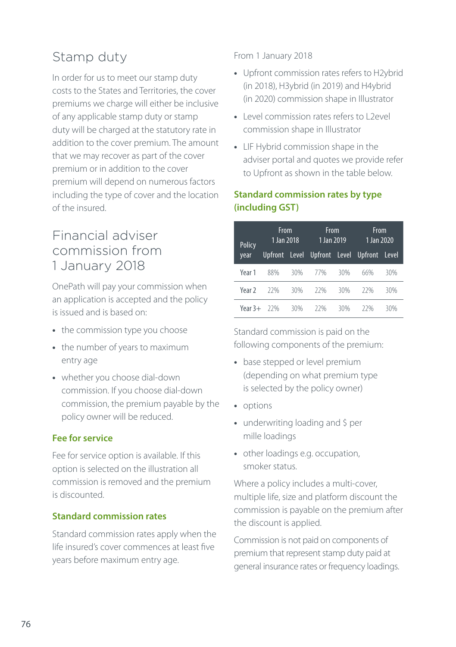# Stamp duty

In order for us to meet our stamp duty costs to the States and Territories, the cover premiums we charge will either be inclusive of any applicable stamp duty or stamp duty will be charged at the statutory rate in addition to the cover premium. The amount that we may recover as part of the cover premium or in addition to the cover premium will depend on numerous factors including the type of cover and the location of the insured.

# Financial adviser commission from 1 January 2018

OnePath will pay your commission when an application is accepted and the policy is issued and is based on:

- **•** the commission type you choose
- **•** the number of years to maximum entry age
- **•** whether you choose dial-down commission. If you choose dial-down commission, the premium payable by the policy owner will be reduced.

## **Fee for service**

Fee for service option is available. If this option is selected on the illustration all commission is removed and the premium is discounted.

#### **Standard commission rates**

Standard commission rates apply when the life insured's cover commences at least five years before maximum entry age.

From 1 January 2018

- **•** Upfront commission rates refers to H2ybrid (in 2018), H3ybrid (in 2019) and H4ybrid (in 2020) commission shape in Illustrator
- Level commission rates refers to L2evel commission shape in Illustrator
- **•** LIF Hybrid commission shape in the adviser portal and quotes we provide refer to Upfront as shown in the table below.

# <span id="page-75-0"></span>**Standard commission rates by type (including GST)**

| Policy      | From<br>From<br>1 Jan 2018<br>1 Jan 2019 |     |                     | From<br>1 Jan 2020 |         |       |
|-------------|------------------------------------------|-----|---------------------|--------------------|---------|-------|
| year        | Upfront                                  |     | Level Upfront Level |                    | Upfront | Level |
| Year 1      | 88%                                      | 30% | 77%                 | 30%                | 66%     | 30%   |
| Year 2      | 22%                                      | 30% | 72%                 | 30%                | 22%     | 30%   |
| Year 3+ 22% |                                          | 30% | 22%                 | 30%                | 22%     | 30%   |

Standard commission is paid on the following components of the premium:

- **•** base stepped or level premium (depending on what premium type is selected by the policy owner)
- **•** options
- **•** underwriting loading and \$ per mille loadings
- **•** other loadings e.g. occupation, smoker status.

Where a policy includes a multi-cover, multiple life, size and platform discount the commission is payable on the premium after the discount is applied.

Commission is not paid on components of premium that represent stamp duty paid at general insurance rates or frequency loadings.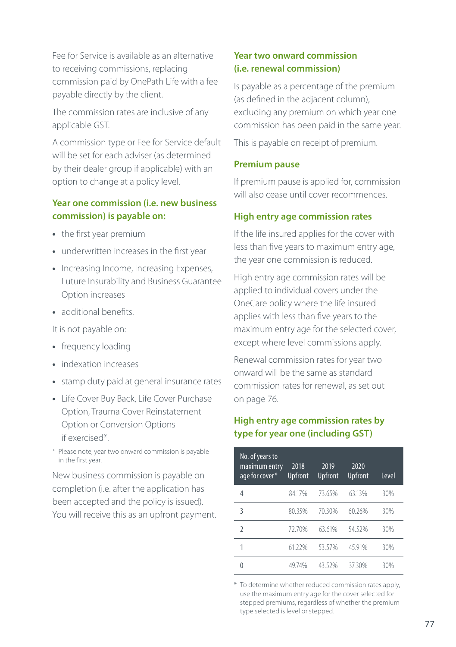Fee for Service is available as an alternative to receiving commissions, replacing commission paid by OnePath Life with a fee payable directly by the client.

The commission rates are inclusive of any applicable GST.

A commission type or Fee for Service default will be set for each adviser (as determined by their dealer group if applicable) with an option to change at a policy level.

#### **Year one commission (i.e. new business commission) is payable on:**

- **•** the first year premium
- **•** underwritten increases in the first year
- **•** Increasing Income, Increasing Expenses, Future Insurability and Business Guarantee Option increases
- **•** additional benefits.

It is not payable on:

- **•** frequency loading
- **•** indexation increases
- **•** stamp duty paid at general insurance rates
- **•** Life Cover Buy Back, Life Cover Purchase Option, Trauma Cover Reinstatement Option or Conversion Options if exercised\*.
- \* Please note, year two onward commission is payable in the first year.

New business commission is payable on completion (i.e. after the application has been accepted and the policy is issued). You will receive this as an upfront payment.

# **Year two onward commission (i.e. renewal commission)**

Is payable as a percentage of the premium (as defined in the adjacent column), excluding any premium on which year one commission has been paid in the same year.

This is payable on receipt of premium.

#### **Premium pause**

If premium pause is applied for, commission will also cease until cover recommences.

#### **High entry age commission rates**

If the life insured applies for the cover with less than five years to maximum entry age, the year one commission is reduced.

High entry age commission rates will be applied to individual covers under the OneCare policy where the life insured applies with less than five years to the maximum entry age for the selected cover, except where level commissions apply.

Renewal commission rates for year two onward will be the same as standard commission rates for renewal, as set out on page [76.](#page-75-0)

# **High entry age commission rates by type for year one (including GST)**

| No. of years to<br>maximum entry<br>age for cover* | 2018<br><b>Upfront</b> | 2019<br><b>Upfront</b> | 2020<br><b>Upfront</b> | Level |
|----------------------------------------------------|------------------------|------------------------|------------------------|-------|
| 4                                                  | 84.17%                 | 73.65%                 | 63.13%                 | 30%   |
| ς                                                  | 80.35%                 | 70.30%                 | 60.26%                 | 30%   |
| $\mathcal{I}$                                      | 72.70%                 | 63.61%                 | 54.52%                 | 30%   |
|                                                    | 61.22%                 | 53.57%                 | 45.91%                 | 30%   |
|                                                    | 49.74%                 | 43 52%                 | 37.30%                 | 30%   |

\* To determine whether reduced commission rates apply, use the maximum entry age for the cover selected for stepped premiums, regardless of whether the premium type selected is level or stepped.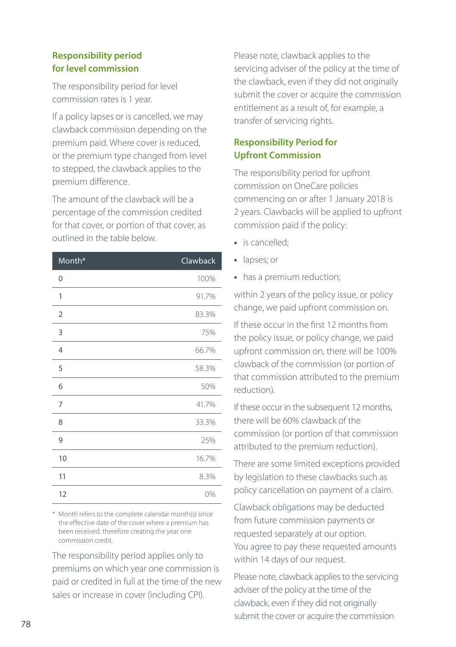# **Responsibility period for level commission**

The responsibility period for level commission rates is 1 year.

If a policy lapses or is cancelled, we may clawback commission depending on the premium paid. Where cover is reduced, or the premium type changed from level to stepped, the clawback applies to the premium difference.

The amount of the clawback will be a percentage of the commission credited for that cover, or portion of that cover, as outlined in the table below.

| Month*         | Clawback |
|----------------|----------|
| 0              | 100%     |
| 1              | 91.7%    |
| $\overline{2}$ | 83.3%    |
| 3              | 75%      |
| $\overline{4}$ | 66.7%    |
| 5              | 58.3%    |
| 6              | 50%      |
| 7              | 41.7%    |
| 8              | 33.3%    |
| 9              | 25%      |
| 10             | 16.7%    |
| 11             | 8.3%     |
| 12             | 0%       |

\* Month refers to the complete calendar month(s) since the effective date of the cover where a premium has been received, therefore creating the year one commission credit.

The responsibility period applies only to premiums on which year one commission is paid or credited in full at the time of the new sales or increase in cover (including CPI).

Please note, clawback applies to the servicing adviser of the policy at the time of the clawback, even if they did not originally submit the cover or acquire the commission entitlement as a result of, for example, a transfer of servicing rights.

# **Responsibility Period for Upfront Commission**

The responsibility period for upfront commission on OneCare policies commencing on or after 1 January 2018 is 2 years. Clawbacks will be applied to upfront commission paid if the policy:

- **•** is cancelled;
- **•** lapses; or
- **•** has a premium reduction;

within 2 years of the policy issue, or policy change, we paid upfront commission on.

If these occur in the first 12 months from the policy issue, or policy change, we paid upfront commission on, there will be 100% clawback of the commission (or portion of that commission attributed to the premium reduction).

If these occur in the subsequent 12 months, there will be 60% clawback of the commission (or portion of that commission attributed to the premium reduction).

There are some limited exceptions provided by legislation to these clawbacks such as policy cancellation on payment of a claim.

Clawback obligations may be deducted from future commission payments or requested separately at our option. You agree to pay these requested amounts within 14 days of our request.

Please note, clawback applies to the servicing adviser of the policy at the time of the clawback, even if they did not originally submit the cover or acquire the commission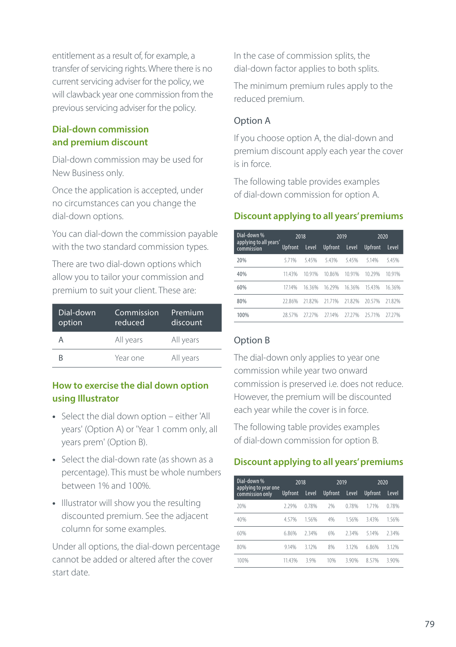entitlement as a result of, for example, a transfer of servicing rights. Where there is no current servicing adviser for the policy, we will clawback year one commission from the previous servicing adviser for the policy.

# **Dial-down commission and premium discount**

Dial-down commission may be used for New Business only.

Once the application is accepted, under no circumstances can you change the dial-down options.

You can dial-down the commission payable with the two standard commission types.

There are two dial-down options which allow you to tailor your commission and premium to suit your client. These are:

| Dial-down<br>option | Commission<br>reduced | Premium<br>discount |
|---------------------|-----------------------|---------------------|
|                     | All years             | All years           |
|                     | Year one              | All years           |

# **How to exercise the dial down option using Illustrator**

- **•** Select the dial down option either 'All years' (Option A) or 'Year 1 comm only, all years prem' (Option B).
- **•** Select the dial-down rate (as shown as a percentage). This must be whole numbers between 1% and 100%.
- **•** Illustrator will show you the resulting discounted premium. See the adjacent column for some examples.

Under all options, the dial-down percentage cannot be added or altered after the cover start date.

In the case of commission splits, the dial-down factor applies to both splits.

The minimum premium rules apply to the reduced premium.

## Option A

If you choose option A, the dial-down and premium discount apply each year the cover is in force.

The following table provides examples of dial-down commission for option A.

#### **Discount applying to all years' premiums**

| Dial-down %                          | 2018           |         |                | 2019<br>2020 |                |              |
|--------------------------------------|----------------|---------|----------------|--------------|----------------|--------------|
| applying to all years'<br>commission | <b>Upfront</b> | Level   | <b>Upfront</b> | Level        | <b>Upfront</b> | <b>Level</b> |
| 20%                                  | 5.71%          | 5.45%   | 5 4 3 %        | 545%         | 5.14%          | 545%         |
| 40%                                  | 11.43%         | 10 9 1% | 10.86%         | 10 9 1%      | 10 29%         | 10 91%       |
| 60%                                  | 1714%          | 16 36%  | 16.29%         | 16 36%       | 15 4 3 %       | 16.36%       |
| 80%                                  | 22.86%         | 21.82%  | 21.71%         | 21.82%       | 20.57%         | 218296       |
| 100%                                 | 28.57%         | 27.27%  | 2714%          | 27.27%       | 25.71%         | 27.27%       |

#### Option B

The dial-down only applies to year one commission while year two onward commission is preserved i.e. does not reduce. However, the premium will be discounted each year while the cover is in force.

The following table provides examples of dial-down commission for option B.

#### **Discount applying to all years' premiums**

| Dial-down %                             | 2018           |       |                | 2019<br>2020 |                |       |
|-----------------------------------------|----------------|-------|----------------|--------------|----------------|-------|
| applying to year one<br>commission only | <b>Upfront</b> | Level | <b>Upfront</b> | Level        | <b>Upfront</b> | Level |
| 20%                                     | 2.29%          | 0.78% | 2%             | 0.78%        | 1.71%          | 0.78% |
| 40%                                     | 4 5 7 %        | 1.56% | 4%             | 1.56%        | 3 4 3 %        | 1.56% |
| 60%                                     | 6.86%          | 2.34% | 6%             | 2.34%        | 5.14%          | 2.34% |
| 80%                                     | 9 1 4 %        | 3.12% | 8%             | 31296        | 6.86%          | 3.12% |
| 100%                                    | 11 4 3 %       | 3 9%  | 10%            | 390%         | 857%           | 3.90% |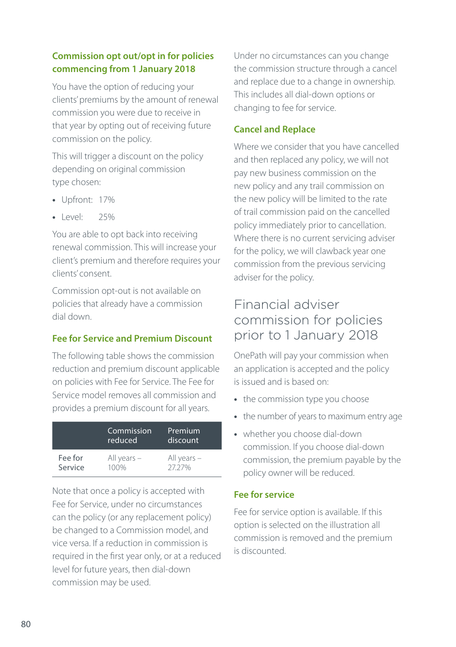# **Commission opt out/opt in for policies commencing from 1 January 2018**

You have the option of reducing your clients' premiums by the amount of renewal commission you were due to receive in that year by opting out of receiving future commission on the policy.

This will trigger a discount on the policy depending on original commission type chosen:

- **•** Upfront: 17%
- **•** Level: 25%

You are able to opt back into receiving renewal commission. This will increase your client's premium and therefore requires your clients' consent.

Commission opt-out is not available on policies that already have a commission dial down.

#### **Fee for Service and Premium Discount**

The following table shows the commission reduction and premium discount applicable on policies with Fee for Service. The Fee for Service model removes all commission and provides a premium discount for all years.

|         | Commission.<br>reduced | Premium<br>discount |
|---------|------------------------|---------------------|
| Fee for | All years -            | All years -         |
| Service | 100%                   | 2727%               |

Note that once a policy is accepted with Fee for Service, under no circumstances can the policy (or any replacement policy) be changed to a Commission model, and vice versa. If a reduction in commission is required in the first year only, or at a reduced level for future years, then dial-down commission may be used.

Under no circumstances can you change the commission structure through a cancel and replace due to a change in ownership. This includes all dial-down options or changing to fee for service.

## **Cancel and Replace**

Where we consider that you have cancelled and then replaced any policy, we will not pay new business commission on the new policy and any trail commission on the new policy will be limited to the rate of trail commission paid on the cancelled policy immediately prior to cancellation. Where there is no current servicing adviser for the policy, we will clawback year one commission from the previous servicing adviser for the policy.

# Financial adviser commission for policies prior to 1 January 2018

OnePath will pay your commission when an application is accepted and the policy is issued and is based on:

- **•** the commission type you choose
- **•** the number of years to maximum entry age
- **•** whether you choose dial-down commission. If you choose dial-down commission, the premium payable by the policy owner will be reduced.

#### **Fee for service**

Fee for service option is available. If this option is selected on the illustration all commission is removed and the premium is discounted.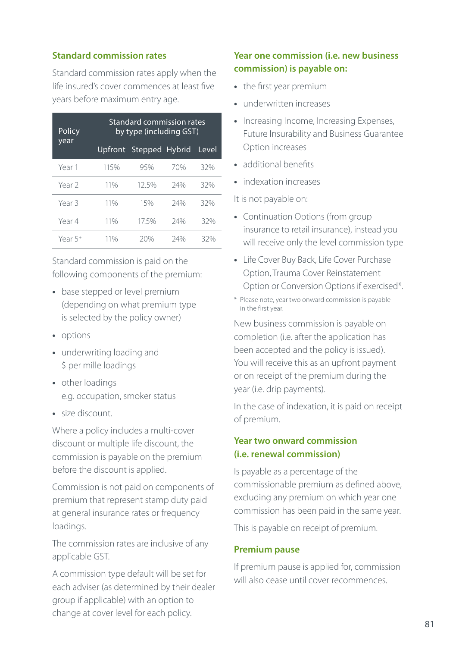#### <span id="page-80-0"></span>**Standard commission rates**

Standard commission rates apply when the life insured's cover commences at least five years before maximum entry age.

| Policy<br>year    | Standard commission rates<br>by type (including GST) |                        |     |       |
|-------------------|------------------------------------------------------|------------------------|-----|-------|
|                   |                                                      | Upfront Stepped Hybrid |     | Level |
| Year 1            | 115%                                                 | 95%                    | 70% | 32%   |
| Year <sub>2</sub> | 11%                                                  | 12.5%                  | 24% | 32%   |
| Year 3            | 11%                                                  | 15%                    | 24% | 32%   |
| Year 4            | 11%                                                  | 17.5%                  | 24% | 32%   |
| Year $5^+$        | 11%                                                  | 20%                    | 24% | 32%   |

Standard commission is paid on the following components of the premium:

- **•** base stepped or level premium (depending on what premium type is selected by the policy owner)
- **•** options
- **•** underwriting loading and \$ per mille loadings
- **•** other loadings e.g. occupation, smoker status
- **•** size discount.

Where a policy includes a multi-cover discount or multiple life discount, the commission is payable on the premium before the discount is applied.

Commission is not paid on components of premium that represent stamp duty paid at general insurance rates or frequency loadings.

The commission rates are inclusive of any applicable GST.

A commission type default will be set for each adviser (as determined by their dealer group if applicable) with an option to change at cover level for each policy.

# **Year one commission (i.e. new business commission) is payable on:**

- **•** the first year premium
- **•** underwritten increases
- **•** Increasing Income, Increasing Expenses, Future Insurability and Business Guarantee Option increases
- **•** additional benefits
- **•** indexation increases

It is not payable on:

- **•** Continuation Options (from group insurance to retail insurance), instead you will receive only the level commission type
- **•** Life Cover Buy Back, Life Cover Purchase Option, Trauma Cover Reinstatement Option or Conversion Options if exercised\*.
- \* Please note, year two onward commission is payable in the first year.

New business commission is payable on completion (i.e. after the application has been accepted and the policy is issued). You will receive this as an upfront payment or on receipt of the premium during the year (i.e. drip payments).

In the case of indexation, it is paid on receipt of premium.

# **Year two onward commission (i.e. renewal commission)**

Is payable as a percentage of the commissionable premium as defined above, excluding any premium on which year one commission has been paid in the same year.

This is payable on receipt of premium.

#### **Premium pause**

If premium pause is applied for, commission will also cease until cover recommences.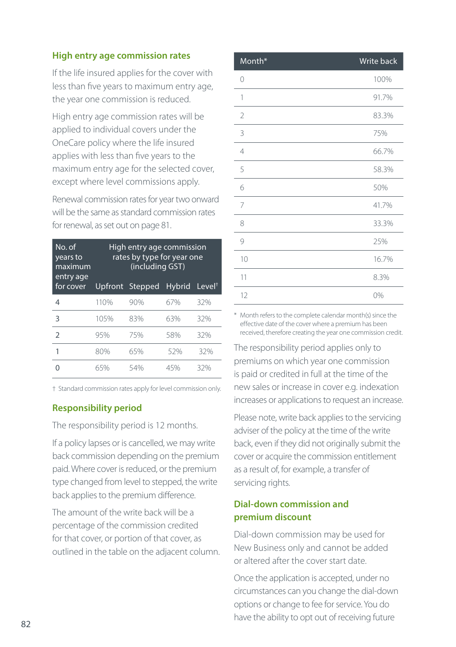#### **High entry age commission rates**

If the life insured applies for the cover with less than five years to maximum entry age, the year one commission is reduced.

High entry age commission rates will be applied to individual covers under the OneCare policy where the life insured applies with less than five years to the maximum entry age for the selected cover, except where level commissions apply.

Renewal commission rates for year two onward will be the same as standard commission rates for renewal, as set out on page [81](#page-80-0).

| No. of<br>years to<br>maximum<br>entry age | High entry age commission<br>rates by type for year one<br>(including GST) |                 |        |                    |
|--------------------------------------------|----------------------------------------------------------------------------|-----------------|--------|--------------------|
| for cover                                  |                                                                            | Upfront Stepped | Hybrid | Level <sup>+</sup> |
| 4                                          | 110%                                                                       | 90%             | 67%    | 32%                |
| 3                                          | 105%                                                                       | 83%             | 63%    | 32%                |
| $\mathcal{P}$                              | 95%                                                                        | 75%             | 58%    | 32%                |
|                                            | 80%                                                                        | 65%             | 52%    | 32%                |
|                                            | 65%                                                                        | 54%             | 45%    | 32%                |

† Standard commission rates apply for level commission only.

#### **Responsibility period**

The responsibility period is 12 months.

If a policy lapses or is cancelled, we may write back commission depending on the premium paid. Where cover is reduced, or the premium type changed from level to stepped, the write back applies to the premium difference.

The amount of the write back will be a percentage of the commission credited for that cover, or portion of that cover, as outlined in the table on the adjacent column.

| Month*         | Write back |
|----------------|------------|
| 0              | 100%       |
| 1              | 91.7%      |
| $\overline{2}$ | 83.3%      |
| 3              | 75%        |
| $\overline{4}$ | 66.7%      |
| 5              | 58.3%      |
| 6              | 50%        |
| 7              | 41.7%      |
| 8              | 33.3%      |
| 9              | 25%        |
| 10             | 16.7%      |
| 11             | 8.3%       |
| 12             | 0%         |

\* Month refers to the complete calendar month(s) since the effective date of the cover where a premium has been received, therefore creating the year one commission credit.

The responsibility period applies only to premiums on which year one commission is paid or credited in full at the time of the new sales or increase in cover e.g. indexation increases or applications to request an increase.

Please note, write back applies to the servicing adviser of the policy at the time of the write back, even if they did not originally submit the cover or acquire the commission entitlement as a result of, for example, a transfer of servicing rights.

# **Dial-down commission and premium discount**

Dial-down commission may be used for New Business only and cannot be added or altered after the cover start date.

Once the application is accepted, under no circumstances can you change the dial-down options or change to fee for service. You do have the ability to opt out of receiving future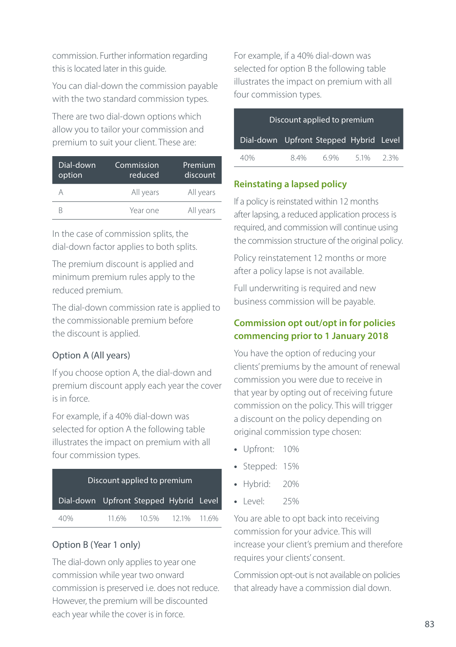commission. Further information regarding this is located later in this guide.

You can dial-down the commission payable with the two standard commission types.

There are two dial-down options which allow you to tailor your commission and premium to suit your client. These are:

| Dial-down<br>option | Commission<br>reduced | Premium<br>discount |
|---------------------|-----------------------|---------------------|
|                     | All years             | All years           |
|                     | Year one              | All years           |

In the case of commission splits, the dial-down factor applies to both splits.

The premium discount is applied and minimum premium rules apply to the reduced premium.

The dial-down commission rate is applied to the commissionable premium before the discount is applied.

#### Option A (All years)

If you choose option A, the dial-down and premium discount apply each year the cover is in force.

For example, if a 40% dial-down was selected for option A the following table illustrates the impact on premium with all four commission types.

| Discount applied to premium            |       |                   |  |  |
|----------------------------------------|-------|-------------------|--|--|
| Dial-down Upfront Stepped Hybrid Level |       |                   |  |  |
| 40%                                    | 11.6% | 10.5% 12.1% 11.6% |  |  |

# Option B (Year 1 only)

The dial-down only applies to year one commission while year two onward commission is preserved i.e. does not reduce. However, the premium will be discounted each year while the cover is in force.

For example, if a 40% dial-down was selected for option B the following table illustrates the impact on premium with all four commission types.

| Discount applied to premium            |      |     |      |     |
|----------------------------------------|------|-----|------|-----|
| Dial-down Upfront Stepped Hybrid Level |      |     |      |     |
| 40%                                    | 8.4% | 69% | 5 1% | 23% |

#### **Reinstating a lapsed policy**

If a policy is reinstated within 12 months after lapsing, a reduced application process is required, and commission will continue using the commission structure of the original policy.

Policy reinstatement 12 months or more after a policy lapse is not available.

Full underwriting is required and new business commission will be payable.

### **Commission opt out/opt in for policies commencing prior to 1 January 2018**

You have the option of reducing your clients' premiums by the amount of renewal commission you were due to receive in that year by opting out of receiving future commission on the policy. This will trigger a discount on the policy depending on original commission type chosen:

- **•** Upfront: 10%
- **•** Stepped: 15%
- **•** Hybrid: 20%
- **•** Level: 25%

You are able to opt back into receiving commission for your advice. This will increase your client's premium and therefore requires your clients' consent.

Commission opt-out is not available on policies that already have a commission dial down.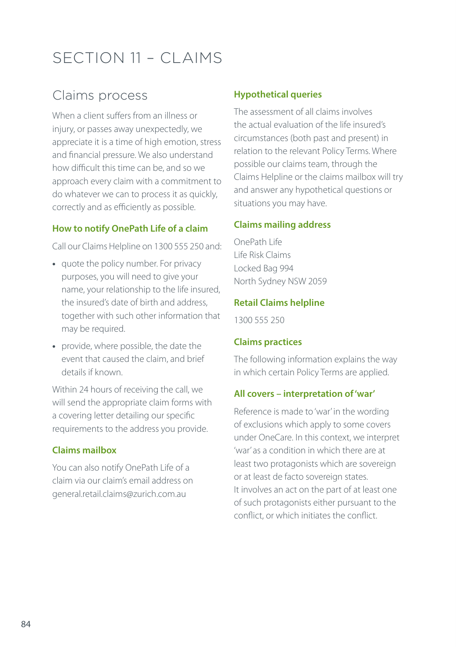# SECTION 11 - CLAIMS

# Claims process

When a client suffers from an illness or injury, or passes away unexpectedly, we appreciate it is a time of high emotion, stress and financial pressure. We also understand how difficult this time can be, and so we approach every claim with a commitment to do whatever we can to process it as quickly, correctly and as efficiently as possible.

#### **How to notify OnePath Life of a claim**

Call our Claims Helpline on 1300 555 250 and:

- **•** quote the policy number. For privacy purposes, you will need to give your name, your relationship to the life insured, the insured's date of birth and address, together with such other information that may be required.
- **•** provide, where possible, the date the event that caused the claim, and brief details if known.

Within 24 hours of receiving the call, we will send the appropriate claim forms with a covering letter detailing our specific requirements to the address you provide.

#### **Claims mailbox**

You can also notify OnePath Life of a claim via our claim's email address on [general.retail.claims@zurich.com.au](http://general.retail.claims@zurich.com.au)

#### **Hypothetical queries**

The assessment of all claims involves the actual evaluation of the life insured's circumstances (both past and present) in relation to the relevant Policy Terms. Where possible our claims team, through the Claims Helpline or the claims mailbox will try and answer any hypothetical questions or situations you may have.

### **Claims mailing address**

OnePath Life Life Risk Claims Locked Bag 994 North Sydney NSW 2059

#### **Retail Claims helpline**

1300 555 250

#### **Claims practices**

The following information explains the way in which certain Policy Terms are applied.

#### **All covers – interpretation of 'war'**

Reference is made to 'war' in the wording of exclusions which apply to some covers under OneCare. In this context, we interpret 'war' as a condition in which there are at least two protagonists which are sovereign or at least de facto sovereign states. It involves an act on the part of at least one of such protagonists either pursuant to the conflict, or which initiates the conflict.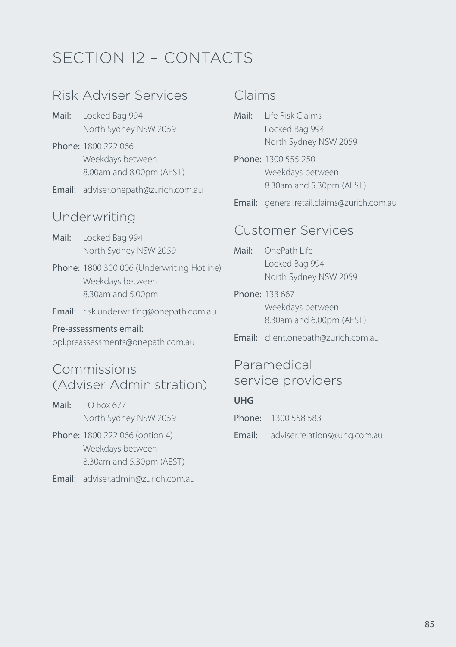# SECTION 12 – CONTACTS

# Risk Adviser Services

Mail: Locked Bag 994 North Sydney NSW 2059

Phone: 1800 222 066 Weekdays between 8.00am and 8.00pm (AEST)

Email: adviser.onepath@zurich.com.au

# Underwriting

Mail: Locked Bag 994 North Sydney NSW 2059

Phone: 1800 300 006 (Underwriting Hotline) Weekdays between 8.30am and 5.00pm

Email: risk.underwriting@onepath.com.au

#### Pre-assessments email:

opl.preassessments@onepath.com.au

# Commissions (Adviser Administration)

Mail: PO Box 677 North Sydney NSW 2059

Phone: 1800 222 066 (option 4) Weekdays between 8.30am and 5.30pm (AEST)

Email: adviser.admin@zurich.com.au

# Claims

Mail: Life Risk Claims Locked Bag 994 North Sydney NSW 2059

Phone: 1300 555 250 Weekdays between 8.30am and 5.30pm (AEST)

Email: general.retail.claims@zurich.com.au

# Customer Services

Mail: OnePath Life Locked Bag 994 North Sydney NSW 2059

Phone: 133 667 Weekdays between 8.30am and 6.00pm (AEST)

Email: client.onepath@zurich.com.au

# Paramedical service providers

#### **UHG**

| Phone: | 1300 558 583 |  |
|--------|--------------|--|
|--------|--------------|--|

Email: adviser.relations@uhg.com.au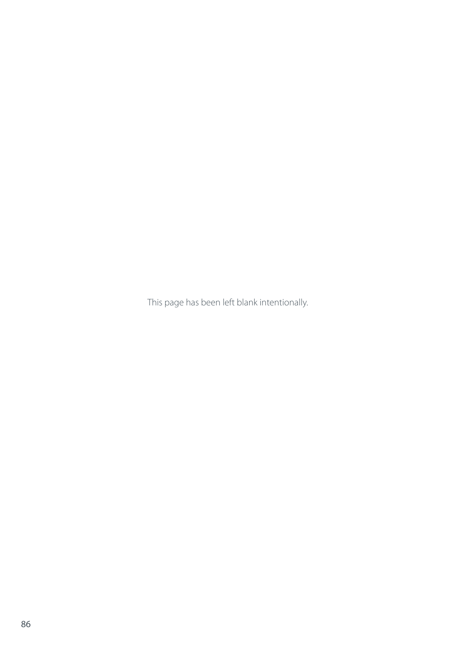This page has been left blank intentionally.